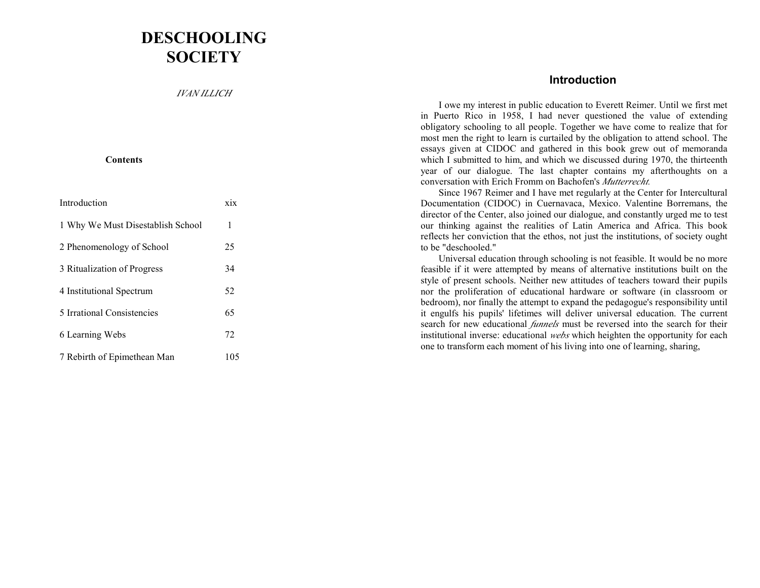# **DESCHOOLING SOCIETY**

#### **IVAN ILLICH**

#### **Contents**

| Introduction                      | xix |
|-----------------------------------|-----|
| 1 Why We Must Disestablish School | 1   |
| 2 Phenomenology of School         | 25  |
| 3 Ritualization of Progress       | 34  |
| 4 Institutional Spectrum          | 52  |
| 5 Irrational Consistencies        | 65  |
| 6 Learning Webs                   | 72  |
| 7 Rebirth of Epimethean Man       | 105 |

## **Introduction**

I owe my interest in public education to Everett Reimer. Until we first met in Puerto Rico in 1958, I had never questioned the value of extending obligatory schooling to all people. Together we have come to realize that for most men the right to learn is curtailed by the obligation to attend school. The essays given at CIDOC and gathered in this book grew out of memoranda which I submitted to him, and which we discussed during 1970, the thirteenth year of our dialogue. The last chapter contains my after thoughts on a conversation with Erich Fromm on Bachofen's Mutterrecht.

Since 1967 Reimer and I have met regularly at the Center for Intercultural Documentation (CIDOC) in Cuernavaca, Mexico. Valentine Borremans, the director of the Center, also joined our dialogue, and constantly urged me to test our thinking against the realities of Latin America and Africa. This book reflects her conviction that the ethos, not just the institutions, of society ought to be "deschooled."

Universal education through schooling is not feasible. It would be no more feasible if it were attempted by means of alternative institutions built on the style of present schools. Neither new attitudes of teachers toward their pupils nor the proliferation of educational hardware or software (in classroom or bedroom), nor finally the attempt to expand the pedagogue's responsibility until it engulfs his pupils' lifetimes will deliver universal education. The current search for new educational *funnels* must be reversed into the search for their institutional inverse: educational *webs* which heighten the opportunity for each one to transform each moment of his living into one of learning, sharing,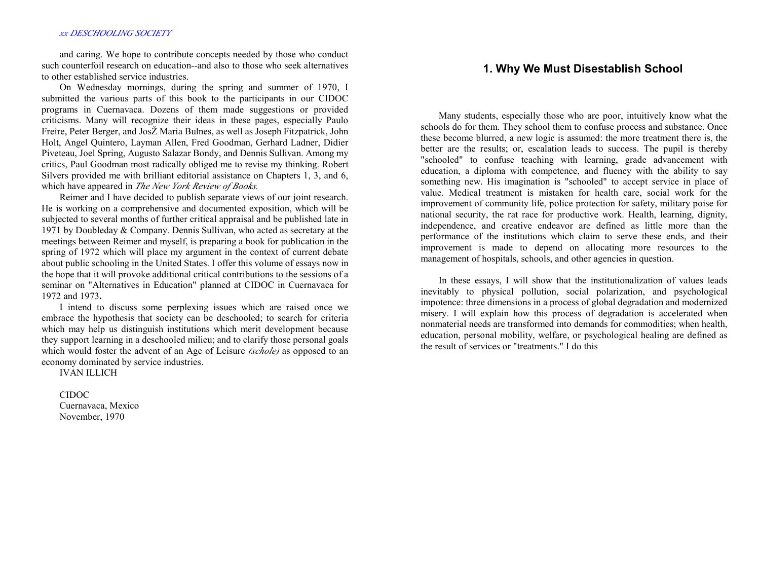and caring. We hope to contribute concepts needed by those who conduct such counterfoil research on education-and also to those who seek alternatives to other established service industries

On Wednesday mornings, during the spring and summer of 1970, I submitted the various parts of this book to the participants in our CIDOC programs in Cuernavaca. Dozens of them made suggestions or provided criticisms. Many will recognize their ideas in these pages, especially Paulo Freire, Peter Berger, and JosŽ Maria Bulnes, as well as Joseph Fitzpatrick, John Holt, Angel Quintero, Layman Allen, Fred Goodman, Gerhard Ladner, Didier Piveteau, Joel Spring, Augusto Salazar Bondy, and Dennis Sullivan, Among my critics, Paul Goodman most radically obliged me to revise my thinking. Robert Silvers provided me with brilliant editorial assistance on Chapters 1, 3, and 6. which have appeared in *The New York Review of Books*.

Reimer and I have decided to publish separate views of our joint research. He is working on a comprehensive and documented exposition, which will be subjected to several months of further critical appraisal and be published late in 1971 by Doubleday & Company. Dennis Sullivan, who acted as secretary at the meetings between Reimer and myself, is preparing a book for publication in the spring of 1972 which will place my argument in the context of current debate about public schooling in the United States. I offer this volume of essays now in the hope that it will provoke additional critical contributions to the sessions of a seminar on "Alternatives in Education" planned at CIDOC in Cuernavaca for 1972 and 1973.

I intend to discuss some perplexing issues which are raised once we embrace the hypothesis that society can be deschooled; to search for criteria which may help us distinguish institutions which merit development because they support learning in a deschooled milieu; and to clarify those personal goals which would foster the advent of an Age of Leisure *(schole)* as opposed to an economy dominated by service industries.

**IVAN ILLICH** 

## **CIDOC**

Cuernavaca, Mexico November, 1970

# 1. Why We Must Disestablish School

Many students, especially those who are poor, intuitively know what the schools do for them. They school them to confuse process and substance. Once these become blurred, a new logic is assumed: the more treatment there is, the better are the results; or, escalation leads to success. The pupil is thereby "schooled" to confuse teaching with learning, grade advancement with education, a diploma with competence, and fluency with the ability to say something new. His imagination is "schooled" to accept service in place of value. Medical treatment is mistaken for health care, social work for the improvement of community life, police protection for safety, military poise for national security, the rat race for productive work. Health, learning, dignity, independence, and creative endeavor are defined as little more than the performance of the institutions which claim to serve these ends, and their improvement is made to depend on allocating more resources to the management of hospitals, schools, and other agencies in question.

In these essays, I will show that the institutionalization of values leads inevitably to physical pollution, social polarization, and psychological impotence: three dimensions in a process of global degradation and modernized misery. I will explain how this process of degradation is accelerated when nonmaterial needs are transformed into demands for commodities; when health, education, personal mobility, welfare, or psychological healing are defined as the result of services or "treatments." I do this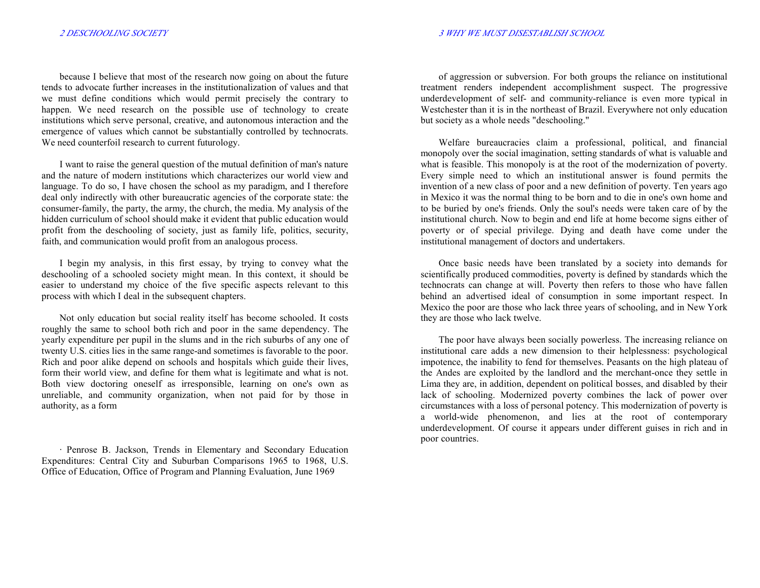because I believe that most of the research now going on about the future tends to advocate further increases in the institutionalization of values and that we must define conditions which would permit precisely the contrary to happen. We need research on the possible use of technology to create institutions which serve personal, creative, and autonomous interaction and the emergence of values which cannot be substantially controlled by technocrats. We need counterfoil research to current futurology.

I want to raise the general question of the mutual definition of man's nature and the nature of modern institutions which characterizes our world view and language. To do so, I have chosen the school as my paradigm, and I therefore deal only indirectly with other bureaucratic agencies of the corporate state: the consumer-family, the party, the army, the church, the media. My analysis of the hidden curriculum of school should make it evident that public education would profit from the deschooling of society, just as family life, politics, security, faith, and communication would profit from an analogous process.

I begin my analysis, in this first essay, by trying to convey what the deschooling of a schooled society might mean. In this context, it should be easier to understand my choice of the five specific aspects relevant to this process with which I deal in the subsequent chapters.

Not only education but social reality itself has become schooled. It costs roughly the same to school both rich and poor in the same dependency. The yearly expenditure per pupil in the slums and in the rich suburbs of any one of twenty U.S. cities lies in the same range-and sometimes is favorable to the poor. Rich and poor alike depend on schools and hospitals which guide their lives, form their world view, and define for them what is legitimate and what is not. Both view doctoring oneself as irresponsible, learning on one's own as unreliable, and community organization, when not paid for by those in authority, as a form

· Penrose B. Jackson, Trends in Elementary and Secondary Education Expenditures: Central City and Suburban Comparisons 1965 to 1968, U.S. Office of Education, Office of Program and Planning Evaluation, June 1969

of aggression or subversion. For both groups the reliance on institutional treatment renders independent accomplishment suspect. The progressive underdevelopment of self- and community-reliance is even more typical in Westchester than it is in the northeast of Brazil. Everywhere not only education but society as a whole needs "deschooling."

Welfare bureaucracies claim a professional, political, and financial monopoly over the social imagination, setting standards of what is valuable and what is feasible. This monopoly is at the root of the modernization of poverty. Every simple need to which an institutional answer is found permits the invention of a new class of poor and a new definition of poverty. Ten years ago in Mexico it was the normal thing to be born and to die in one's own home and to be buried by one's friends. Only the soul's needs were taken care of by the institutional church. Now to begin and end life at home become signs either of poverty or of special privilege. Dying and death have come under the institutional management of doctors and undertakers.

Once basic needs have been translated by a society into demands for scientifically produced commodities, poverty is defined by standards which the technocrats can change at will. Poverty then refers to those who have fallen behind an advertised ideal of consumption in some important respect. In Mexico the poor are those who lack three years of schooling, and in New York they are those who lack twelve.

The poor have always been socially powerless. The increasing reliance on institutional care adds a new dimension to their helplessness: psychological impotence, the inability to fend for themselves. Peasants on the high plateau of the Andes are exploited by the landlord and the merchant-once they settle in Lima they are, in addition, dependent on political bosses, and disabled by their lack of schooling. Modernized poverty combines the lack of power over circumstances with a loss of personal potency. This modernization of poverty is a world-wide phenomenon, and lies at the root of contemporary underdevelopment. Of course it appears under different guises in rich and in poor countries.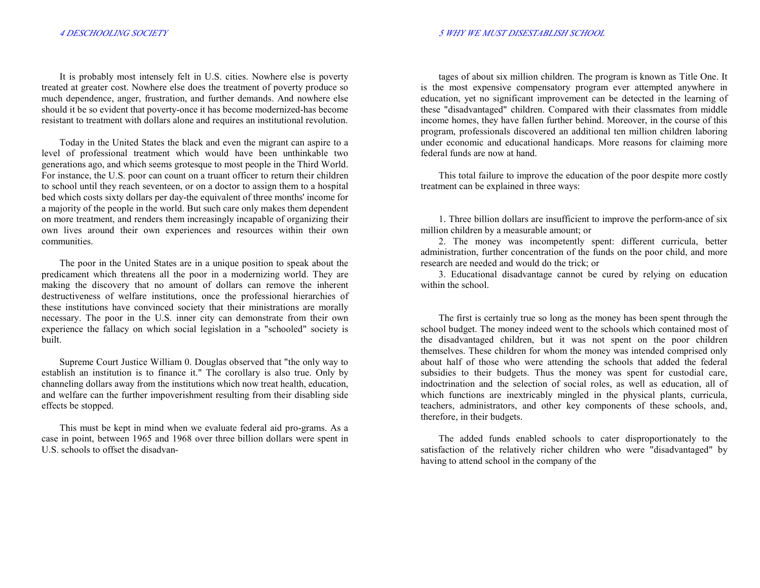It is probably most intensely felt in U.S. cities. Nowhere else is poverty treated at greater cost. Nowhere else does the treatment of poverty produce so much dependence, anger, frustration, and further demands. And nowhere else should it be so evident that poverty-once it has become modernized-has become resistant to treatment with dollars alone and requires an institutional revolution.

Today in the United States the black and even the migrant can aspire to a level of professional treatment which would have been unthinkable two generations ago, and which seems grotesque to most people in the Third World. For instance, the U.S. poor can count on a truant officer to return their children to school until they reach seventeen, or on a doctor to assign them to a hospital bed which costs sixty dollars per day-the equivalent of three months' income for a majority of the people in the world. But such care only makes them dependent on more treatment, and renders them increasingly incapable of organizing their own lives around their own experiences and resources within their own communities

The poor in the United States are in a unique position to speak about the predicament which threatens all the poor in a modernizing world. They are making the discovery that no amount of dollars can remove the inherent destructiveness of welfare institutions, once the professional hierarchies of these institutions have convinced society that their ministrations are morally necessary. The poor in the U.S. inner city can demonstrate from their own experience the fallacy on which social legislation in a "schooled" society is built.

Supreme Court Justice William 0. Douglas observed that "the only way to establish an institution is to finance it." The corollary is also true. Only by channeling dollars away from the institutions which now treat health, education, and welfare can the further impoverishment resulting from their disabling side effects be stopped.

This must be kept in mind when we evaluate federal aid pro-grams. As a case in point, between 1965 and 1968 over three billion dollars were spent in U.S. schools to offset the disadvan-

tages of about six million children. The program is known as Title One. It is the most expensive compensatory program ever attempted anywhere in education, yet no significant improvement can be detected in the learning of these "disadvantaged" children. Compared with their classmates from middle income homes, they have fallen further behind. Moreover, in the course of this program, professionals discovered an additional ten million children laboring under economic and educational handicaps. More reasons for claiming more federal funds are now at hand

This total failure to improve the education of the poor despite more costly treatment can be explained in three ways:

1. Three billion dollars are insufficient to improve the perform-ance of six million children by a measurable amount; or

2. The money was incompetently spent: different curricula, better administration, further concentration of the funds on the poor child, and more research are needed and would do the trick: or

3. Educational disadvantage cannot be cured by relying on education within the school.

The first is certainly true so long as the money has been spent through the school budget. The money indeed went to the schools which contained most of the disadvantaged children, but it was not spent on the poor children themselves. These children for whom the money was intended comprised only about half of those who were attending the schools that added the federal subsidies to their budgets. Thus the money was spent for custodial care. indoctrination and the selection of social roles, as well as education, all of which functions are inextricably mingled in the physical plants, curricula, teachers, administrators, and other key components of these schools, and, therefore, in their budgets.

The added funds enabled schools to cater disproportionately to the satisfaction of the relatively richer children who were "disadvantaged" by having to attend school in the company of the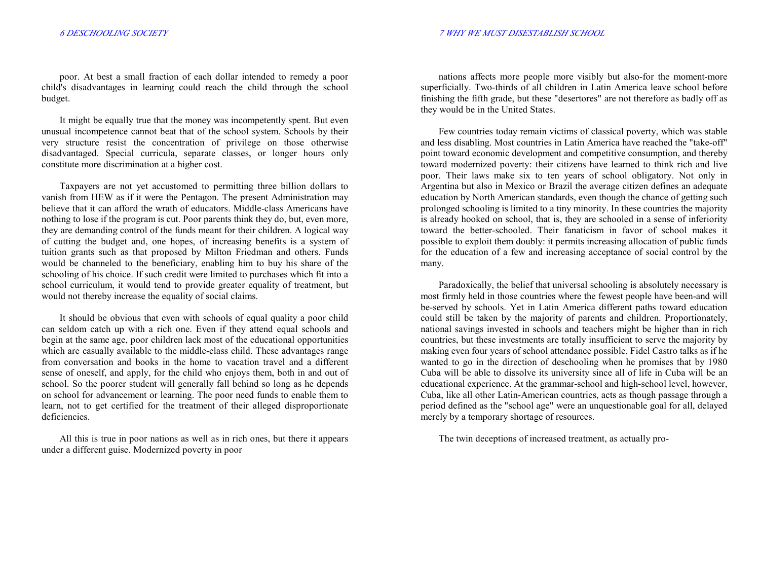poor. At best a small fraction of each dollar intended to remedy a poor child's disadvantages in learning could reach the child through the school budget.

It might be equally true that the money was incompetently spent. But even unusual incompetence cannot beat that of the school system. Schools by their very structure resist the concentration of privilege on those otherwise disadvantaged. Special curricula, separate classes, or longer hours only constitute more discrimination at a higher cost.

Taxpayers are not yet accustomed to permitting three billion dollars to vanish from HEW as if it were the Pentagon. The present Administration may believe that it can afford the wrath of educators. Middle-class Americans have nothing to lose if the program is cut. Poor parents think they do, but, even more, they are demanding control of the funds meant for their children. A logical way of cutting the budget and, one hopes, of increasing benefits is a system of tuition grants such as that proposed by Milton Friedman and others. Funds would be channeled to the beneficiary, enabling him to buy his share of the schooling of his choice. If such credit were limited to purchases which fit into a school curriculum, it would tend to provide greater equality of treatment, but would not thereby increase the equality of social claims.

It should be obvious that even with schools of equal quality a poor child can seldom catch up with a rich one. Even if they attend equal schools and begin at the same age, poor children lack most of the educational opportunities which are casually available to the middle-class child. These advantages range from conversation and books in the home to vacation travel and a different sense of oneself, and apply, for the child who enjoys them, both in and out of school. So the poorer student will generally fall behind so long as he depends on school for advancement or learning. The poor need funds to enable them to learn, not to get certified for the treatment of their alleged disproportionate deficiencies.

All this is true in poor nations as well as in rich ones, but there it appears under a different guise. Modernized poverty in poor

nations affects more people more visibly but also-for the moment-more superficially. Two-thirds of all children in Latin America leave school before finishing the fifth grade, but these "desertores" are not therefore as badly off as they would be in the United States.

Few countries today remain victims of classical poverty, which was stable and less disabling. Most countries in Latin America have reached the "take-off" point toward economic development and competitive consumption, and thereby toward modernized poverty: their citizens have learned to think rich and live poor. Their laws make six to ten years of school obligatory. Not only in Argentina but also in Mexico or Brazil the average citizen defines an adequate education by North American standards, even though the chance of getting such prolonged schooling is limited to a tiny minority. In these countries the majority is already hooked on school, that is, they are schooled in a sense of inferiority toward the better-schooled. Their fanaticism in favor of school makes it possible to exploit them doubly: it permits increasing allocation of public funds for the education of a few and increasing acceptance of social control by the many.

Paradoxically, the belief that universal schooling is absolutely necessary is most firmly held in those countries where the fewest people have been-and will be-served by schools. Yet in Latin America different paths toward education could still be taken by the majority of parents and children. Proportionately, national savings invested in schools and teachers might be higher than in rich countries, but these investments are totally insufficient to serve the majority by making even four years of school attendance possible. Fidel Castro talks as if he wanted to go in the direction of deschooling when he promises that by 1980 Cuba will be able to dissolve its university since all of life in Cuba will be an educational experience. At the grammar-school and high-school level, however, Cuba, like all other Latin-American countries, acts as though passage through a period defined as the "school age" were an unquestionable goal for all, delayed merely by a temporary shortage of resources.

The twin deceptions of increased treatment, as actually pro-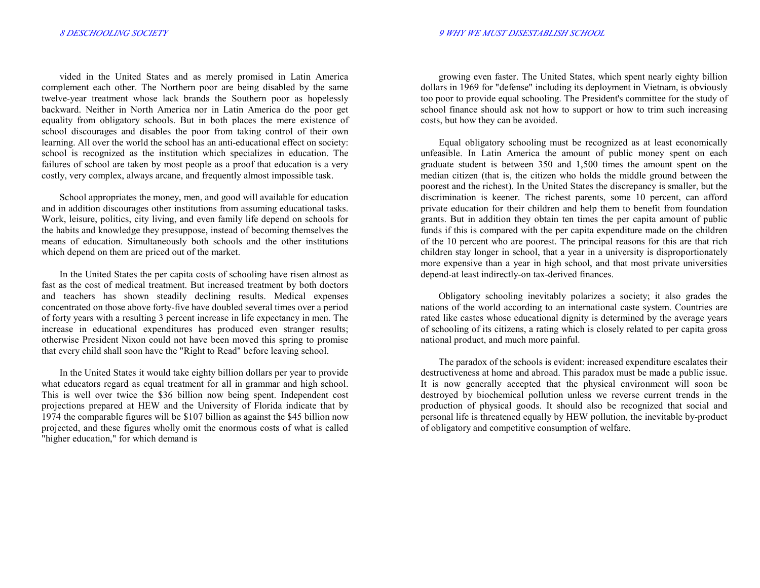vided in the United States and as merely promised in Latin America complement each other. The Northern poor are being disabled by the same twelve-year treatment whose lack brands the Southern poor as hopelessly backward. Neither in North America nor in Latin America do the poor get equality from obligatory schools. But in both places the mere existence of school discourages and disables the poor from taking control of their own learning. All over the world the school has an anti-educational effect on society: school is recognized as the institution which specializes in education. The failures of school are taken by most people as a proof that education is a very costly, very complex, always arcane, and frequently almost impossible task.

School appropriates the money, men, and good will available for education and in addition discourages other institutions from assuming educational tasks. Work, leisure, politics, city living, and even family life depend on schools for the habits and knowledge they presuppose, instead of becoming themselves the means of education. Simultaneously both schools and the other institutions which depend on them are priced out of the market.

In the United States the per capita costs of schooling have risen almost as fast as the cost of medical treatment. But increased treatment by both doctors and teachers has shown steadily declining results. Medical expenses concentrated on those above forty-five have doubled several times over a period of forty years with a resulting 3 percent increase in life expectancy in men. The increase in educational expenditures has produced even stranger results; otherwise President Nixon could not have been moved this spring to promise that every child shall soon have the "Right to Read" before leaving school.

In the United States it would take eighty billion dollars per year to provide what educators regard as equal treatment for all in grammar and high school. This is well over twice the \$36 billion now being spent. Independent cost projections prepared at HEW and the University of Florida indicate that by 1974 the comparable figures will be \$107 billion as against the \$45 billion now projected, and these figures wholly omit the enormous costs of what is called "higher education," for which demand is

growing even faster. The United States, which spent nearly eighty billion dollars in 1969 for "defense" including its deployment in Vietnam, is obviously too poor to provide equal schooling. The President's committee for the study of school finance should ask not how to support or how to trim such increasing costs, but how they can be avoided.

Equal obligatory schooling must be recognized as at least economically unfeasible. In Latin America the amount of public money spent on each graduate student is between 350 and 1,500 times the amount spent on the median citizen (that is, the citizen who holds the middle ground between the poorest and the richest). In the United States the discrepancy is smaller, but the discrimination is keener. The richest parents, some 10 percent, can afford private education for their children and help them to benefit from foundation grants. But in addition they obtain ten times the per capita amount of public funds if this is compared with the per capita expenditure made on the children of the 10 percent who are poorest. The principal reasons for this are that rich children stay longer in school, that a year in a university is disproportionately more expensive than a year in high school, and that most private universities depend-at least indirectly-on tax-derived finances.

Obligatory schooling inevitably polarizes a society; it also grades the nations of the world according to an international caste system. Countries are rated like castes whose educational dignity is determined by the average years of schooling of its citizens, a rating which is closely related to per capita gross national product, and much more painful.

The paradox of the schools is evident: increased expenditure escalates their destructiveness at home and abroad. This paradox must be made a public issue. It is now generally accepted that the physical environment will soon be destroyed by biochemical pollution unless we reverse current trends in the production of physical goods. It should also be recognized that social and personal life is threatened equally by HEW pollution, the inevitable by-product of obligatory and competitive consumption of welfare.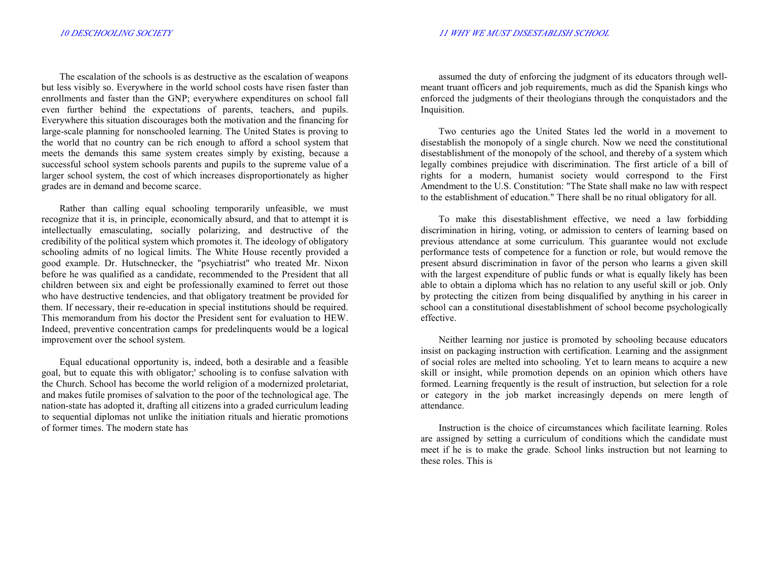The escalation of the schools is as destructive as the escalation of weapons but less visibly so. Everywhere in the world school costs have risen faster than enrollments and faster than the GNP; everywhere expenditures on school fall even further behind the expectations of parents, teachers, and pupils. Everywhere this situation discourages both the motivation and the financing for large-scale planning for nonschooled learning. The United States is proving to the world that no country can be rich enough to afford a school system that meets the demands this same system creates simply by existing, because a successful school system schools parents and pupils to the supreme value of a larger school system, the cost of which increases disproportionately as higher grades are in demand and become scarce.

Rather than calling equal schooling temporarily unfeasible, we must recognize that it is, in principle, economically absurd, and that to attempt it is intellectually emasculating, socially polarizing, and destructive of the credibility of the political system which promotes it. The ideology of obligatory schooling admits of no logical limits. The White House recently provided a good example. Dr. Hutschnecker, the "psychiatrist" who treated Mr. Nixon before he was qualified as a candidate, recommended to the President that all children between six and eight be professionally examined to ferret out those who have destructive tendencies, and that obligatory treatment be provided for them. If necessary, their re-education in special institutions should be required. This memorandum from his doctor the President sent for evaluation to HEW. Indeed, preventive concentration camps for predelinguents would be a logical improvement over the school system.

Equal educational opportunity is, indeed, both a desirable and a feasible goal, but to equate this with obligator; schooling is to confuse salvation with the Church. School has become the world religion of a modernized proletariat, and makes futile promises of salvation to the poor of the technological age. The nation-state has adopted it, drafting all citizens into a graded curriculum leading to sequential diplomas not unlike the initiation rituals and hieratic promotions of former times. The modern state has

assumed the duty of enforcing the judgment of its educators through wellmeant truant officers and job requirements, much as did the Spanish kings who enforced the judgments of their theologians through the conquistadors and the Inquisition.

Two centuries ago the United States led the world in a movement to disestablish the monopoly of a single church. Now we need the constitutional disestablishment of the monopoly of the school, and thereby of a system which legally combines prejudice with discrimination. The first article of a bill of rights for a modern, humanist society would correspond to the First Amendment to the U.S. Constitution: "The State shall make no law with respect to the establishment of education." There shall be no ritual obligatory for all.

To make this disestablishment effective, we need a law forbidding discrimination in hiring, voting, or admission to centers of learning based on previous attendance at some curriculum. This guarantee would not exclude performance tests of competence for a function or role, but would remove the present absurd discrimination in favor of the person who learns a given skill with the largest expenditure of public funds or what is equally likely has been able to obtain a diploma which has no relation to any useful skill or job. Only by protecting the citizen from being disqualified by anything in his career in school can a constitutional disestablishment of school become psychologically effective.

Neither learning nor justice is promoted by schooling because educators insist on packaging instruction with certification. Learning and the assignment of social roles are melted into schooling. Yet to learn means to acquire a new skill or insight, while promotion depends on an opinion which others have formed. Learning frequently is the result of instruction, but selection for a role or category in the job market increasingly depends on mere length of attendance

Instruction is the choice of circumstances which facilitate learning. Roles are assigned by setting a curriculum of conditions which the candidate must meet if he is to make the grade. School links instruction but not learning to these roles. This is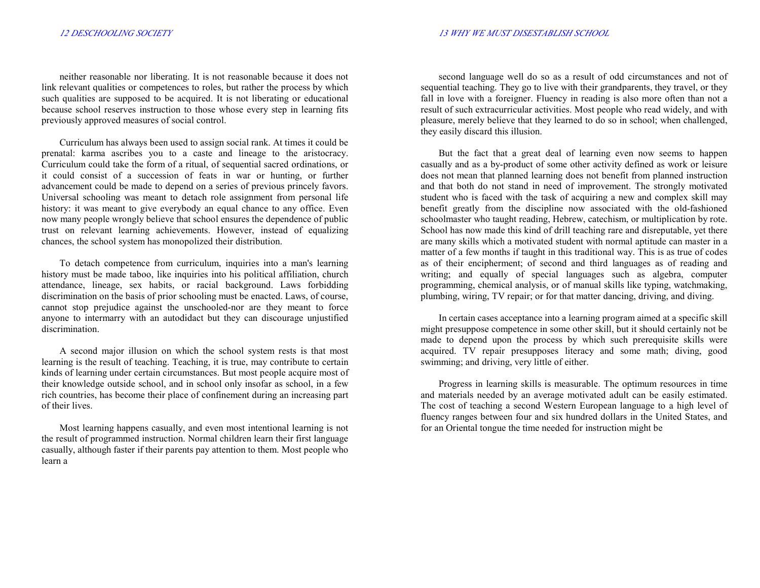neither reasonable nor liberating. It is not reasonable because it does not link relevant qualities or competences to roles, but rather the process by which such qualities are supposed to be acquired. It is not liberating or educational because school reserves instruction to those whose every step in learning fits previously approved measures of social control.

Curriculum has always been used to assign social rank. At times it could be prenatal: karma ascribes you to a caste and lineage to the aristocracy. Curriculum could take the form of a ritual, of sequential sacred ordinations, or it could consist of a succession of feats in war or hunting, or further advancement could be made to depend on a series of previous princely favors. Universal schooling was meant to detach role assignment from personal life history: it was meant to give everybody an equal chance to any office. Even now many people wrongly believe that school ensures the dependence of public trust on relevant learning achievements. However, instead of equalizing chances, the school system has monopolized their distribution.

To detach competence from curriculum, inquiries into a man's learning history must be made taboo, like inquiries into his political affiliation, church attendance, lineage, sex habits, or racial background. Laws forbidding discrimination on the basis of prior schooling must be enacted. Laws, of course, cannot stop prejudice against the unschooled-nor are they meant to force anyone to intermarry with an autodidact but they can discourage unjustified discrimination.

A second major illusion on which the school system rests is that most learning is the result of teaching. Teaching, it is true, may contribute to certain kinds of learning under certain circumstances. But most people acquire most of their knowledge outside school, and in school only insofar as school, in a few rich countries, has become their place of confinement during an increasing part of their lives

Most learning happens casually, and even most intentional learning is not the result of programmed instruction. Normal children learn their first language casually, although faster if their parents pay attention to them. Most people who learn a

second language well do so as a result of odd circumstances and not of sequential teaching. They go to live with their grandparents, they travel, or they fall in love with a foreigner. Fluency in reading is also more often than not a result of such extracurricular activities. Most people who read widely, and with pleasure, merely believe that they learned to do so in school; when challenged, they easily discard this illusion.

But the fact that a great deal of learning even now seems to happen casually and as a by-product of some other activity defined as work or leisure does not mean that planned learning does not benefit from planned instruction and that both do not stand in need of improvement. The strongly motivated student who is faced with the task of acquiring a new and complex skill may benefit greatly from the discipline now associated with the old-fashioned schoolmaster who taught reading, Hebrew, catechism, or multiplication by rote. School has now made this kind of drill teaching rare and disreputable, yet there are many skills which a motivated student with normal aptitude can master in a matter of a few months if taught in this traditional way. This is as true of codes as of their encipherment; of second and third languages as of reading and writing; and equally of special languages such as algebra, computer programming, chemical analysis, or of manual skills like typing, watchmaking, plumbing, wiring, TV repair; or for that matter dancing, driving, and diving.

In certain cases acceptance into a learning program aimed at a specific skill might presuppose competence in some other skill, but it should certainly not be made to depend upon the process by which such prerequisite skills were acquired. TV repair presupposes literacy and some math; diving, good swimming; and driving, very little of either.

Progress in learning skills is measurable. The optimum resources in time and materials needed by an average motivated adult can be easily estimated. The cost of teaching a second Western European language to a high level of fluency ranges between four and six hundred dollars in the United States, and for an Oriental tongue the time needed for instruction might be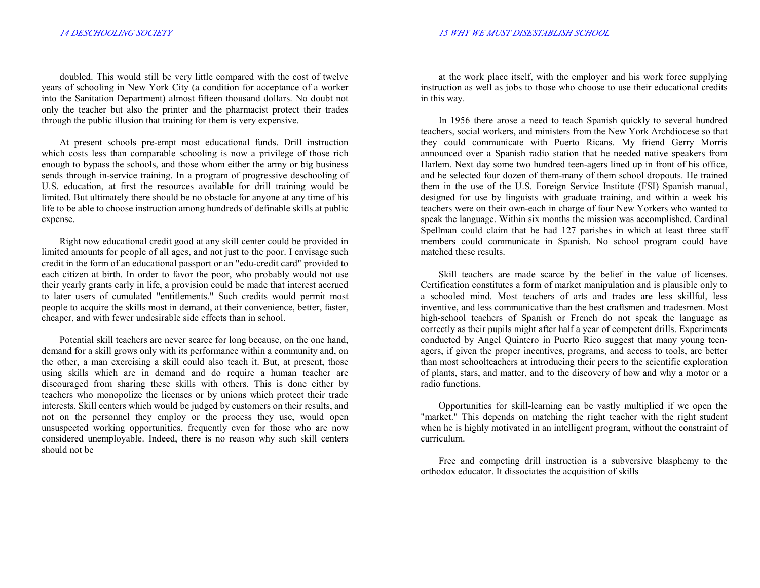doubled. This would still be very little compared with the cost of twelve years of schooling in New York City (a condition for acceptance of a worker into the Sanitation Department) almost fifteen thousand dollars. No doubt not only the teacher but also the printer and the pharmacist protect their trades through the public illusion that training for them is very expensive.

At present schools pre-empt most educational funds. Drill instruction which costs less than comparable schooling is now a privilege of those rich enough to bypass the schools, and those whom either the army or big business sends through in-service training. In a program of progressive deschooling of U.S. education, at first the resources available for drill training would be limited. But ultimately there should be no obstacle for anyone at any time of his life to be able to choose instruction among hundreds of definable skills at public expense.

Right now educational credit good at any skill center could be provided in limited amounts for people of all ages, and not just to the poor. I envisage such credit in the form of an educational passport or an "edu-credit card" provided to each citizen at birth. In order to favor the poor, who probably would not use their yearly grants early in life, a provision could be made that interest accrued to later users of cumulated "entitlements." Such credits would permit most people to acquire the skills most in demand, at their convenience, better, faster, cheaper, and with fewer undesirable side effects than in school.

Potential skill teachers are never scarce for long because, on the one hand, demand for a skill grows only with its performance within a community and, on the other, a man exercising a skill could also teach it. But, at present, those using skills which are in demand and do require a human teacher are discouraged from sharing these skills with others. This is done either by teachers who monopolize the licenses or by unions which protect their trade interests. Skill centers which would be judged by customers on their results, and not on the personnel they employ or the process they use, would open unsuspected working opportunities, frequently even for those who are now considered unemployable. Indeed, there is no reason why such skill centers should not be

at the work place itself, with the employer and his work force supplying instruction as well as jobs to those who choose to use their educational credits in this way.

In 1956 there arose a need to teach Spanish quickly to several hundred teachers, social workers, and ministers from the New York Archdiocese so that they could communicate with Puerto Ricans. My friend Gerry Morris announced over a Spanish radio station that he needed native speakers from Harlem. Next day some two hundred teen-agers lined up in front of his office, and he selected four dozen of them-many of them school dropouts. He trained them in the use of the U.S. Foreign Service Institute (FSI) Spanish manual, designed for use by linguists with graduate training, and within a week his teachers were on their own-each in charge of four New Yorkers who wanted to speak the language. Within six months the mission was accomplished. Cardinal Spellman could claim that he had 127 parishes in which at least three staff members could communicate in Spanish. No school program could have matched these results.

Skill teachers are made scarce by the belief in the value of licenses. Certification constitutes a form of market manipulation and is plausible only to a schooled mind. Most teachers of arts and trades are less skillful, less inventive, and less communicative than the best craftsmen and tradesmen. Most high-school teachers of Spanish or French do not speak the language as correctly as their pupils might after half a year of competent drills. Experiments conducted by Angel Quintero in Puerto Rico suggest that many young teenagers, if given the proper incentives, programs, and access to tools, are better than most schoolteachers at introducing their peers to the scientific exploration of plants, stars, and matter, and to the discovery of how and why a motor or a radio functions.

Opportunities for skill-learning can be vastly multiplied if we open the "market." This depends on matching the right teacher with the right student when he is highly motivated in an intelligent program, without the constraint of curriculum.

Free and competing drill instruction is a subversive blasphemy to the orthodox educator. It dissociates the acquisition of skills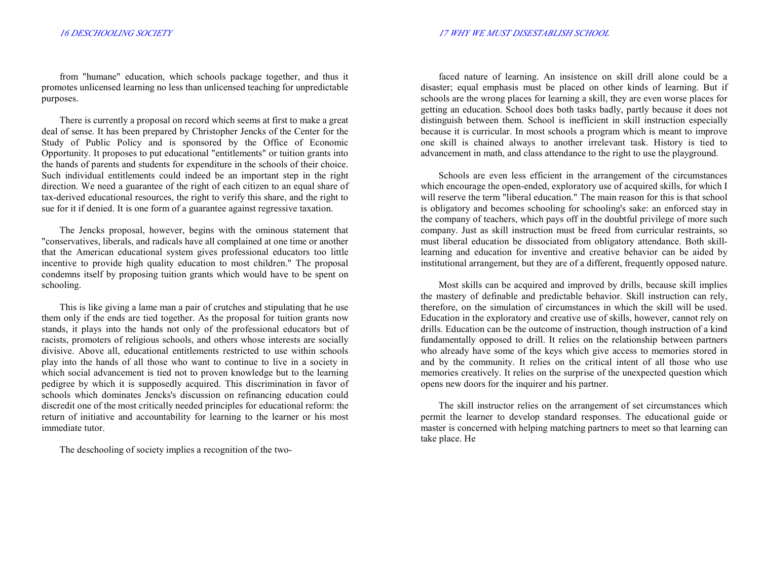from "humane" education, which schools package together, and thus it promotes unlicensed learning no less than unlicensed teaching for unpredictable purposes.

There is currently a proposal on record which seems at first to make a great deal of sense. It has been prepared by Christopher Jencks of the Center for the Study of Public Policy and is sponsored by the Office of Economic Opportunity. It proposes to put educational "entitlements" or tuition grants into the hands of parents and students for expenditure in the schools of their choice. Such individual entitlements could indeed be an important step in the right direction. We need a guarantee of the right of each citizen to an equal share of tax-derived educational resources, the right to verify this share, and the right to sue for it if denied. It is one form of a guarantee against regressive taxation.

The Jencks proposal, however, begins with the ominous statement that "conservatives, liberals, and radicals have all complained at one time or another that the American educational system gives professional educators too little incentive to provide high quality education to most children." The proposal condemns itself by proposing tuition grants which would have to be spent on schooling.

This is like giving a lame man a pair of crutches and stipulating that he use them only if the ends are tied together. As the proposal for tuition grants now stands, it plays into the hands not only of the professional educators but of racists, promoters of religious schools, and others whose interests are socially divisive. Above all, educational entitlements restricted to use within schools play into the hands of all those who want to continue to live in a society in which social advancement is tied not to proven knowledge but to the learning pedigree by which it is supposedly acquired. This discrimination in favor of schools which dominates Jencks's discussion on refinancing education could discredit one of the most critically needed principles for educational reform: the return of initiative and accountability for learning to the learner or his most immediate tutor.

The deschooling of society implies a recognition of the two-

faced nature of learning. An insistence on skill drill alone could be a disaster; equal emphasis must be placed on other kinds of learning. But if schools are the wrong places for learning a skill, they are even worse places for getting an education. School does both tasks badly, partly because it does not distinguish between them. School is inefficient in skill instruction especially because it is curricular. In most schools a program which is meant to improve one skill is chained always to another irrelevant task. History is tied to advancement in math, and class attendance to the right to use the playground.

Schools are even less efficient in the arrangement of the circumstances which encourage the open-ended, exploratory use of acquired skills, for which I will reserve the term "liberal education." The main reason for this is that school is obligatory and becomes schooling for schooling's sake: an enforced stay in the company of teachers, which pays off in the doubtful privilege of more such company. Just as skill instruction must be freed from curricular restraints, so must liberal education be dissociated from obligatory attendance. Both skilllearning and education for inventive and creative behavior can be aided by institutional arrangement, but they are of a different, frequently opposed nature.

Most skills can be acquired and improved by drills, because skill implies the mastery of definable and predictable behavior. Skill instruction can rely, therefore, on the simulation of circumstances in which the skill will be used. Education in the exploratory and creative use of skills, however, cannot rely on drills. Education can be the outcome of instruction, though instruction of a kind fundamentally opposed to drill. It relies on the relationship between partners who already have some of the keys which give access to memories stored in and by the community. It relies on the critical intent of all those who use memories creatively. It relies on the surprise of the unexpected question which opens new doors for the inquirer and his partner.

The skill instructor relies on the arrangement of set circumstances which permit the learner to develop standard responses. The educational guide or master is concerned with helping matching partners to meet so that learning can take place. He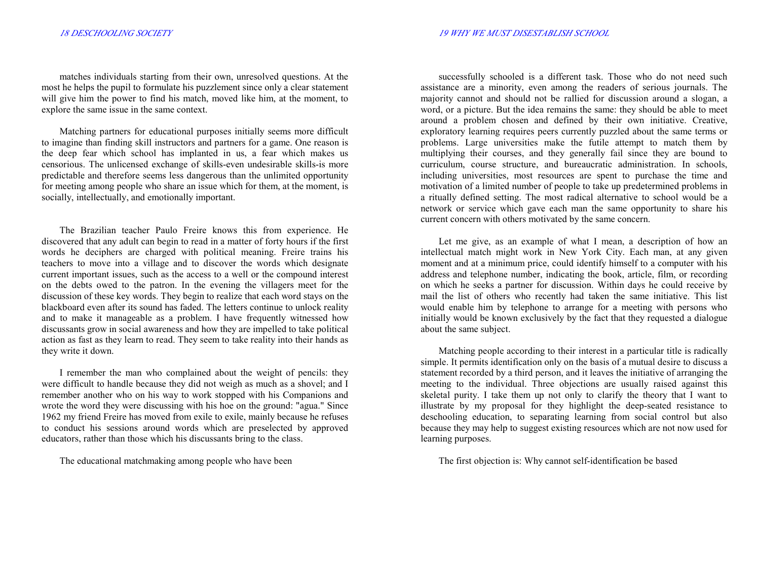matches individuals starting from their own, unresolved questions. At the most he helps the pupil to formulate his puzzlement since only a clear statement will give him the power to find his match, moved like him, at the moment, to explore the same issue in the same context.

Matching partners for educational purposes initially seems more difficult to imagine than finding skill instructors and partners for a game. One reason is the deep fear which school has implanted in us, a fear which makes us censorious. The unlicensed exchange of skills-even undesirable skills-is more predictable and therefore seems less dangerous than the unlimited opportunity for meeting among people who share an issue which for them, at the moment, is socially, intellectually, and emotionally important.

The Brazilian teacher Paulo Freire knows this from experience. He discovered that any adult can begin to read in a matter of forty hours if the first words he deciphers are charged with political meaning. Freire trains his teachers to move into a village and to discover the words which designate current important issues, such as the access to a well or the compound interest on the debts owed to the patron. In the evening the villagers meet for the discussion of these key words. They begin to realize that each word stays on the blackboard even after its sound has faded. The letters continue to unlock reality and to make it manageable as a problem. I have frequently witnessed how discussants grow in social awareness and how they are impelled to take political action as fast as they learn to read. They seem to take reality into their hands as they write it down.

I remember the man who complained about the weight of pencils: they were difficult to handle because they did not weigh as much as a shovel; and I remember another who on his way to work stopped with his Companions and wrote the word they were discussing with his hoe on the ground: "agua." Since 1962 my friend Freire has moved from exile to exile, mainly because he refuses to conduct his sessions around words which are preselected by approved educators, rather than those which his discussants bring to the class.

The educational matchmaking among people who have been

successfully schooled is a different task. Those who do not need such assistance are a minority, even among the readers of serious journals. The majority cannot and should not be rallied for discussion around a slogan, a word, or a picture. But the idea remains the same: they should be able to meet around a problem chosen and defined by their own initiative. Creative, exploratory learning requires peers currently puzzled about the same terms or problems. Large universities make the futile attempt to match them by multiplying their courses, and they generally fail since they are bound to curriculum, course structure, and bureaucratic administration. In schools, including universities, most resources are spent to purchase the time and motivation of a limited number of people to take up predetermined problems in a ritually defined setting. The most radical alternative to school would be a network or service which gave each man the same opportunity to share his current concern with others motivated by the same concern.

Let me give, as an example of what I mean, a description of how an intellectual match might work in New York City. Each man, at any given moment and at a minimum price, could identify himself to a computer with his address and telephone number, indicating the book, article, film, or recording on which he seeks a partner for discussion. Within days he could receive by mail the list of others who recently had taken the same initiative. This list would enable him by telephone to arrange for a meeting with persons who initially would be known exclusively by the fact that they requested a dialogue about the same subject.

Matching people according to their interest in a particular title is radically simple. It permits identification only on the basis of a mutual desire to discuss a statement recorded by a third person, and it leaves the initiative of arranging the meeting to the individual. Three objections are usually raised against this skeletal purity. I take them up not only to clarify the theory that I want to illustrate by my proposal for they highlight the deep-seated resistance to deschooling education, to separating learning from social control but also because they may help to suggest existing resources which are not now used for learning purposes.

The first objection is: Why cannot self-identification be based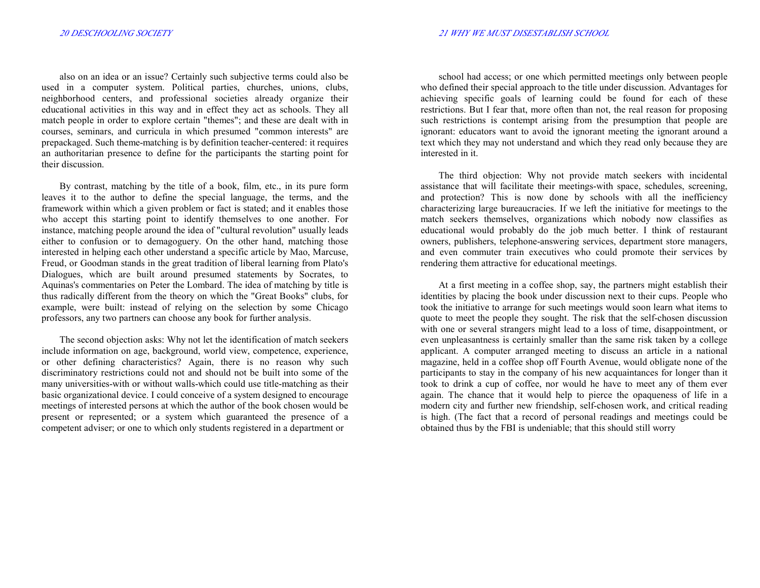also on an idea or an issue? Certainly such subjective terms could also be used in a computer system. Political parties, churches, unions, clubs, neighborhood centers, and professional societies already organize their educational activities in this way and in effect they act as schools. They all match people in order to explore certain "themes"; and these are dealt with in courses, seminars, and curricula in which presumed "common interests" are prepackaged. Such theme-matching is by definition teacher-centered: it requires an authoritarian presence to define for the participants the starting point for their discussion.

By contrast, matching by the title of a book, film, etc., in its pure form leaves it to the author to define the special language, the terms, and the framework within which a given problem or fact is stated; and it enables those who accept this starting point to identify themselves to one another. For instance, matching people around the idea of "cultural revolution" usually leads either to confusion or to demagoguery. On the other hand, matching those interested in helping each other understand a specific article by Mao, Marcuse, Freud, or Goodman stands in the great tradition of liberal learning from Plato's Dialogues, which are built around presumed statements by Socrates, to Aquinas's commentaries on Peter the Lombard. The idea of matching by title is thus radically different from the theory on which the "Great Books" clubs, for example, were built: instead of relying on the selection by some Chicago professors, any two partners can choose any book for further analysis.

The second objection asks: Why not let the identification of match seekers include information on age, background, world view, competence, experience, or other defining characteristics? Again, there is no reason why such discriminatory restrictions could not and should not be built into some of the many universities-with or without walls-which could use title-matching as their basic organizational device. I could conceive of a system designed to encourage meetings of interested persons at which the author of the book chosen would be present or represented; or a system which guaranteed the presence of a competent adviser; or one to which only students registered in a department or

school had access; or one which permitted meetings only between people who defined their special approach to the title under discussion. Advantages for achieving specific goals of learning could be found for each of these restrictions. But I fear that, more often than not, the real reason for proposing such restrictions is contempt arising from the presumption that people are ignorant: educators want to avoid the ignorant meeting the ignorant around a text which they may not understand and which they read only because they are interested in it

The third objection: Why not provide match seekers with incidental assistance that will facilitate their meetings-with space, schedules, screening, and protection? This is now done by schools with all the inefficiency characterizing large bureaucracies. If we left the initiative for meetings to the match seekers themselves, organizations which nobody now classifies as educational would probably do the job much better. I think of restaurant owners, publishers, telephone-answering services, department store managers, and even commuter train executives who could promote their services by rendering them attractive for educational meetings.

At a first meeting in a coffee shop, say, the partners might establish their identities by placing the book under discussion next to their cups. People who took the initiative to arrange for such meetings would soon learn what items to quote to meet the people they sought. The risk that the self-chosen discussion with one or several strangers might lead to a loss of time, disappointment, or even unpleasantness is certainly smaller than the same risk taken by a college applicant. A computer arranged meeting to discuss an article in a national magazine, held in a coffee shop off Fourth Avenue, would obligate none of the participants to stay in the company of his new acquaintances for longer than it took to drink a cup of coffee, nor would he have to meet any of them ever again. The chance that it would help to pierce the opaqueness of life in a modern city and further new friendship, self-chosen work, and critical reading is high. (The fact that a record of personal readings and meetings could be obtained thus by the FBI is undeniable; that this should still worry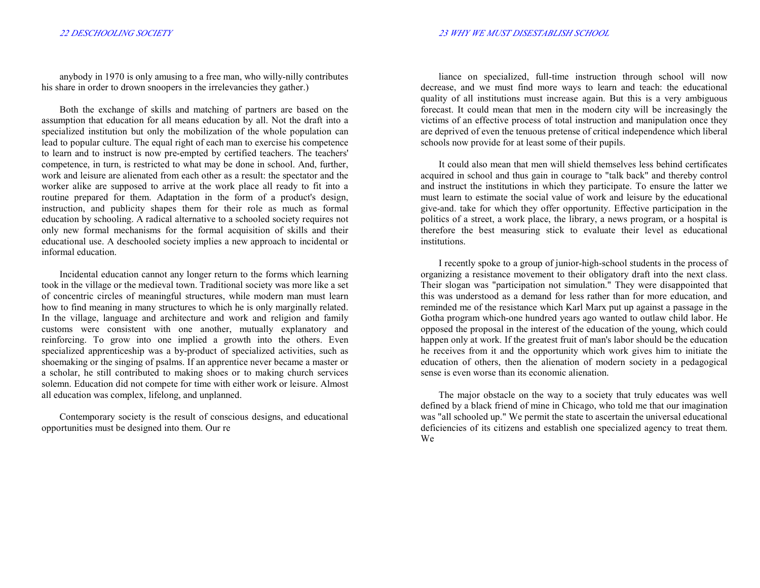anybody in 1970 is only amusing to a free man, who willy-nilly contributes his share in order to drown snoopers in the irrelevancies they gather.)

Both the exchange of skills and matching of partners are based on the assumption that education for all means education by all. Not the draft into a specialized institution but only the mobilization of the whole population can lead to popular culture. The equal right of each man to exercise his competence to learn and to instruct is now pre-empted by certified teachers. The teachers' competence, in turn, is restricted to what may be done in school. And, further, work and leisure are alienated from each other as a result: the spectator and the worker alike are supposed to arrive at the work place all ready to fit into a routine prepared for them. Adaptation in the form of a product's design, instruction, and publicity shapes them for their role as much as formal education by schooling. A radical alternative to a schooled society requires not only new formal mechanisms for the formal acquisition of skills and their educational use. A deschooled society implies a new approach to incidental or informal education.

Incidental education cannot any longer return to the forms which learning took in the village or the medieval town. Traditional society was more like a set of concentric circles of meaningful structures, while modern man must learn how to find meaning in many structures to which he is only marginally related. In the village, language and architecture and work and religion and family customs were consistent with one another, mutually explanatory and reinforcing. To grow into one implied a growth into the others. Even specialized apprenticeship was a by-product of specialized activities, such as shoemaking or the singing of psalms. If an apprentice never became a master or a scholar, he still contributed to making shoes or to making church services solemn. Education did not compete for time with either work or leisure. Almost all education was complex, lifelong, and unplanned.

Contemporary society is the result of conscious designs, and educational opportunities must be designed into them. Our re

liance on specialized, full-time instruction through school will now decrease, and we must find more ways to learn and teach: the educational quality of all institutions must increase again. But this is a very ambiguous forecast. It could mean that men in the modern city will be increasingly the victims of an effective process of total instruction and manipulation once they are deprived of even the tenuous pretense of critical independence which liberal schools now provide for at least some of their pupils.

It could also mean that men will shield themselves less behind certificates acquired in school and thus gain in courage to "talk back" and thereby control and instruct the institutions in which they participate. To ensure the latter we must learn to estimate the social value of work and leisure by the educational give-and. take for which they offer opportunity. Effective participation in the politics of a street, a work place, the library, a news program, or a hospital is therefore the best measuring stick to evaluate their level as educational institutions.

I recently spoke to a group of junior-high-school students in the process of organizing a resistance movement to their obligatory draft into the next class. Their slogan was "participation not simulation." They were disappointed that this was understood as a demand for less rather than for more education, and reminded me of the resistance which Karl Marx put up against a passage in the Gotha program which-one hundred years ago wanted to outlaw child labor. He opposed the proposal in the interest of the education of the young, which could happen only at work. If the greatest fruit of man's labor should be the education he receives from it and the opportunity which work gives him to initiate the education of others, then the alienation of modern society in a pedagogical sense is even worse than its economic alienation.

The major obstacle on the way to a society that truly educates was well defined by a black friend of mine in Chicago, who told me that our imagination was "all schooled up." We permit the state to ascertain the universal educational deficiencies of its citizens and establish one specialized agency to treat them. We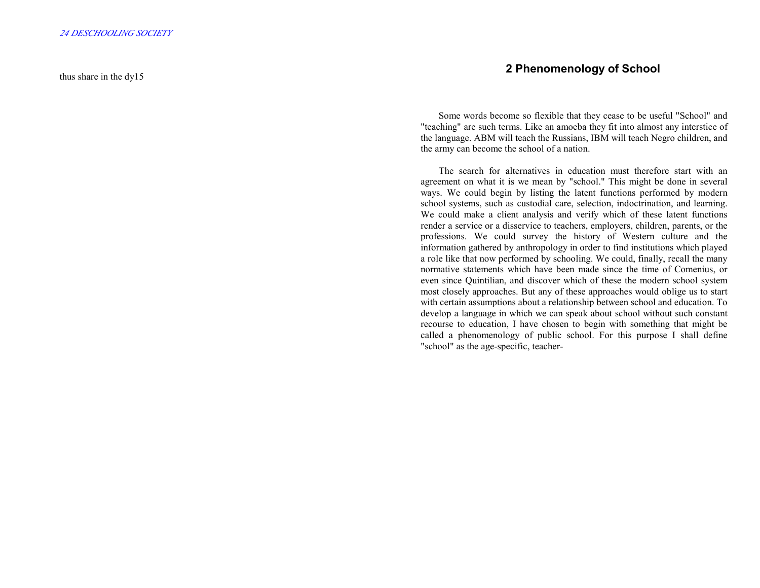thus share in the dy15

# 2 Phenomenology of School

Some words become so flexible that they cease to be useful "School" and "teaching" are such terms. Like an amoeba they fit into almost any interstice of the language. ABM will teach the Russians, IBM will teach Negro children, and the army can become the school of a nation.

The search for alternatives in education must therefore start with an agreement on what it is we mean by "school." This might be done in several ways. We could begin by listing the latent functions performed by modern school systems, such as custodial care, selection, indoctrination, and learning. We could make a client analysis and verify which of these latent functions render a service or a disservice to teachers, employers, children, parents, or the professions. We could survey the history of Western culture and the information gathered by anthropology in order to find institutions which played a role like that now performed by schooling. We could, finally, recall the many normative statements which have been made since the time of Comenius, or even since Quintilian, and discover which of these the modern school system most closely approaches. But any of these approaches would oblige us to start with certain assumptions about a relationship between school and education. To develop a language in which we can speak about school without such constant recourse to education, I have chosen to begin with something that might be called a phenomenology of public school. For this purpose I shall define "school" as the age-specific, teacher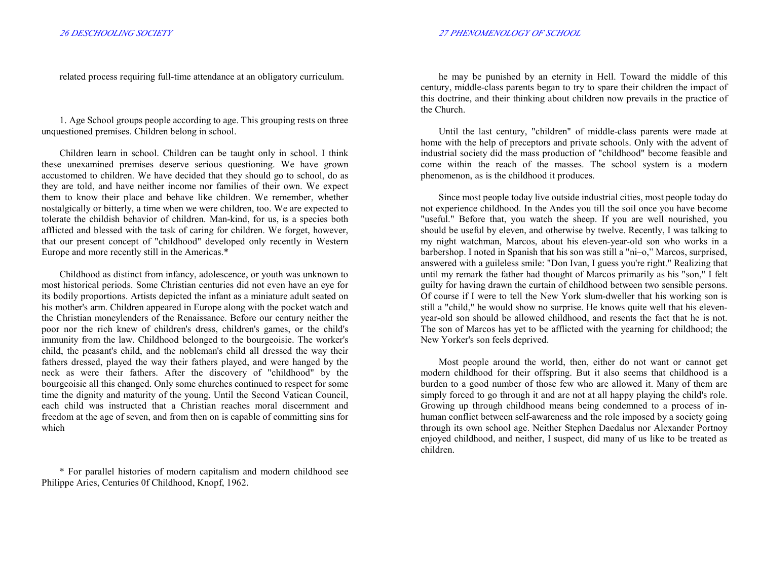related process requiring full-time attendance at an obligatory curriculum.

1. Age School groups people according to age. This grouping rests on three unquestioned premises. Children belong in school.

Children learn in school. Children can be taught only in school. I think these unexamined premises deserve serious questioning. We have grown accustomed to children. We have decided that they should go to school, do as they are told, and have neither income nor families of their own. We expect them to know their place and behave like children. We remember, whether nostalgically or bitterly, a time when we were children, too. We are expected to tolerate the childish behavior of children. Man-kind, for us, is a species both afflicted and blessed with the task of caring for children. We forget, however, that our present concept of "childhood" developed only recently in Western Europe and more recently still in the Americas.\*

Childhood as distinct from infancy, adolescence, or youth was unknown to most historical periods. Some Christian centuries did not even have an eve for its bodily proportions. Artists depicted the infant as a miniature adult seated on his mother's arm. Children appeared in Europe along with the pocket watch and the Christian moneylenders of the Renaissance. Before our century neither the poor nor the rich knew of children's dress, children's games, or the child's immunity from the law. Childhood belonged to the bourgeoisie. The worker's child, the peasant's child, and the nobleman's child all dressed the way their fathers dressed, played the way their fathers played, and were hanged by the neck as were their fathers. After the discovery of "childhood" by the bourgeoisie all this changed. Only some churches continued to respect for some time the dignity and maturity of the young. Until the Second Vatican Council, each child was instructed that a Christian reaches moral discernment and freedom at the age of seven, and from then on is capable of committing sins for which

\* For parallel histories of modern capitalism and modern childhood see Philippe Aries, Centuries Of Childhood, Knopf, 1962.

he may be punished by an eternity in Hell. Toward the middle of this century, middle-class parents began to try to spare their children the impact of this doctrine, and their thinking about children now prevails in the practice of the Church.

Until the last century, "children" of middle-class parents were made at home with the help of preceptors and private schools. Only with the advent of industrial society did the mass production of "childhood" become feasible and come within the reach of the masses. The school system is a modern phenomenon, as is the childhood it produces.

Since most people today live outside industrial cities, most people today do not experience childhood. In the Andes you till the soil once you have become "useful." Before that, you watch the sheep. If you are well nourished, you should be useful by eleven, and otherwise by twelve. Recently, I was talking to my night watchman, Marcos, about his eleven-year-old son who works in a barbershop. I noted in Spanish that his son was still a "ni-o," Marcos, surprised, answered with a guileless smile: "Don Ivan, I guess you're right." Realizing that until my remark the father had thought of Marcos primarily as his "son," I felt guilty for having drawn the curtain of childhood between two sensible persons. Of course if I were to tell the New York slum-dweller that his working son is still a "child," he would show no surprise. He knows quite well that his elevenyear-old son should be allowed childhood, and resents the fact that he is not. The son of Marcos has yet to be afflicted with the yearning for childhood; the New Yorker's son feels deprived.

Most people around the world, then, either do not want or cannot get modern childhood for their offspring. But it also seems that childhood is a burden to a good number of those few who are allowed it. Many of them are simply forced to go through it and are not at all happy playing the child's role. Growing up through childhood means being condemned to a process of inhuman conflict between self-awareness and the role imposed by a society going through its own school age. Neither Stephen Daedalus nor Alexander Portnoy enjoyed childhood, and neither, I suspect, did many of us like to be treated as children.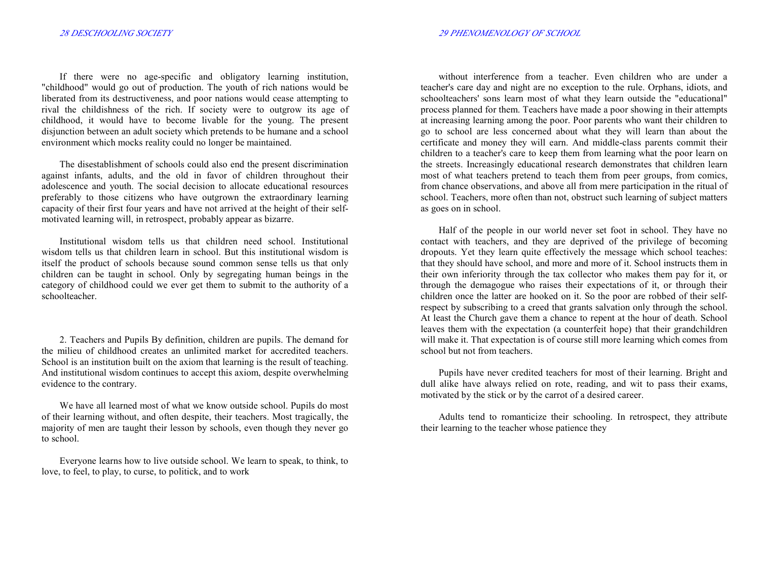If there were no age-specific and obligatory learning institution, "childhood" would go out of production. The youth of rich nations would be liberated from its destructiveness, and poor nations would cease attempting to rival the childishness of the rich. If society were to outgrow its age of childhood, it would have to become livable for the young. The present disjunction between an adult society which pretends to be humane and a school environment which mocks reality could no longer be maintained.

The disestablishment of schools could also end the present discrimination against infants, adults, and the old in favor of children throughout their adolescence and youth. The social decision to allocate educational resources preferably to those citizens who have outgrown the extraordinary learning capacity of their first four years and have not arrived at the height of their selfmotivated learning will, in retrospect, probably appear as bizarre.

Institutional wisdom tells us that children need school. Institutional wisdom tells us that children learn in school. But this institutional wisdom is itself the product of schools because sound common sense tells us that only children can be taught in school. Only by segregating human beings in the category of childhood could we ever get them to submit to the authority of a schoolteacher.

2. Teachers and Pupils By definition, children are pupils. The demand for the milieu of childhood creates an unlimited market for accredited teachers. School is an institution built on the axiom that learning is the result of teaching. And institutional wisdom continues to accept this axiom, despite overwhelming evidence to the contrary.

We have all learned most of what we know outside school. Pupils do most of their learning without, and often despite, their teachers. Most tragically, the majority of men are taught their lesson by schools, even though they never go to school.

Everyone learns how to live outside school. We learn to speak, to think, to love, to feel, to play, to curse, to politick, and to work

without interference from a teacher. Even children who are under a teacher's care day and night are no exception to the rule. Orphans, idiots, and schoolteachers' sons learn most of what they learn outside the "educational" process planned for them. Teachers have made a poor showing in their attempts at increasing learning among the poor. Poor parents who want their children to go to school are less concerned about what they will learn than about the certificate and money they will earn. And middle-class parents commit their children to a teacher's care to keep them from learning what the poor learn on the streets. Increasingly educational research demonstrates that children learn most of what teachers pretend to teach them from peer groups, from comics, from chance observations, and above all from mere participation in the ritual of school. Teachers, more often than not, obstruct such learning of subject matters as goes on in school.

Half of the people in our world never set foot in school. They have no contact with teachers, and they are deprived of the privilege of becoming dropouts. Yet they learn quite effectively the message which school teaches: that they should have school, and more and more of it. School instructs them in their own inferiority through the tax collector who makes them pay for it, or through the demagogue who raises their expectations of it, or through their children once the latter are hooked on it. So the poor are robbed of their selfrespect by subscribing to a creed that grants salvation only through the school. At least the Church gave them a chance to repent at the hour of death. School leaves them with the expectation (a counterfeit hope) that their grandchildren will make it. That expectation is of course still more learning which comes from school but not from teachers.

Pupils have never credited teachers for most of their learning. Bright and dull alike have always relied on rote, reading, and wit to pass their exams, motivated by the stick or by the carrot of a desired career.

Adults tend to romanticize their schooling. In retrospect, they attribute their learning to the teacher whose patience they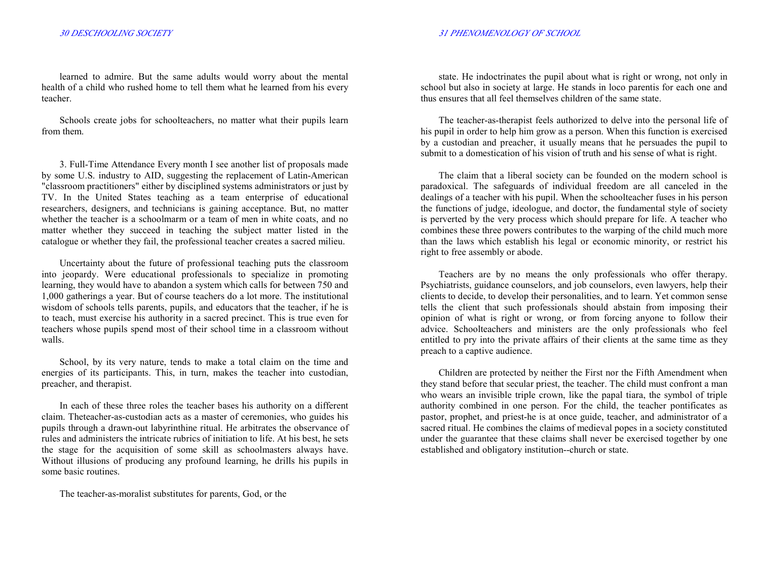learned to admire. But the same adults would worry about the mental health of a child who rushed home to tell them what he learned from his every teacher

Schools create jobs for schoolteachers, no matter what their pupils learn from them

3. Full-Time Attendance Every month I see another list of proposals made by some U.S. industry to AID, suggesting the replacement of Latin-American "classroom practitioners" either by disciplined systems administrators or just by TV. In the United States teaching as a team enterprise of educational researchers, designers, and technicians is gaining acceptance. But, no matter whether the teacher is a schoolmarm or a team of men in white coats, and no matter whether they succeed in teaching the subject matter listed in the catalogue or whether they fail, the professional teacher creates a sacred milieu.

Uncertainty about the future of professional teaching puts the classroom into jeopardy. Were educational professionals to specialize in promoting learning, they would have to abandon a system which calls for between 750 and 1,000 gatherings a year. But of course teachers do a lot more. The institutional wisdom of schools tells parents, pupils, and educators that the teacher, if he is to teach, must exercise his authority in a sacred precinct. This is true even for teachers whose pupils spend most of their school time in a classroom without walls.

School, by its very nature, tends to make a total claim on the time and energies of its participants. This, in turn, makes the teacher into custodian, preacher, and therapist.

In each of these three roles the teacher bases his authority on a different claim. The teacher-as-custodian acts as a master of ceremonies, who guides his pupils through a drawn-out labyrinthine ritual. He arbitrates the observance of rules and administers the intricate rubrics of initiation to life. At his best, he sets the stage for the acquisition of some skill as schoolmasters always have. Without illusions of producing any profound learning, he drills his pupils in some basic routines.

The teacher-as-moralist substitutes for parents, God, or the

state. He indoctrinates the pupil about what is right or wrong, not only in school but also in society at large. He stands in loco parentis for each one and thus ensures that all feel themselves children of the same state.

The teacher-as-therapist feels authorized to delve into the personal life of his pupil in order to help him grow as a person. When this function is exercised by a custodian and preacher, it usually means that he persuades the pupil to submit to a domestication of his vision of truth and his sense of what is right.

The claim that a liberal society can be founded on the modern school is paradoxical. The safeguards of individual freedom are all canceled in the dealings of a teacher with his pupil. When the schoolteacher fuses in his person the functions of judge, ideologue, and doctor, the fundamental style of society is perverted by the very process which should prepare for life. A teacher who combines these three powers contributes to the warping of the child much more than the laws which establish his legal or economic minority, or restrict his right to free assembly or abode.

Teachers are by no means the only professionals who offer therapy. Psychiatrists, guidance counselors, and job counselors, even lawyers, help their clients to decide, to develop their personalities, and to learn. Yet common sense tells the client that such professionals should abstain from imposing their opinion of what is right or wrong, or from forcing anyone to follow their advice. Schoolteachers and ministers are the only professionals who feel entitled to pry into the private affairs of their clients at the same time as they preach to a captive audience.

Children are protected by neither the First nor the Fifth Amendment when they stand before that secular priest, the teacher. The child must confront a man who wears an invisible triple crown, like the papal tiara, the symbol of triple authority combined in one person. For the child, the teacher pontificates as pastor, prophet, and priest-he is at once guide, teacher, and administrator of a sacred ritual. He combines the claims of medieval popes in a society constituted under the guarantee that these claims shall never be exercised together by one established and obligatory institution--church or state.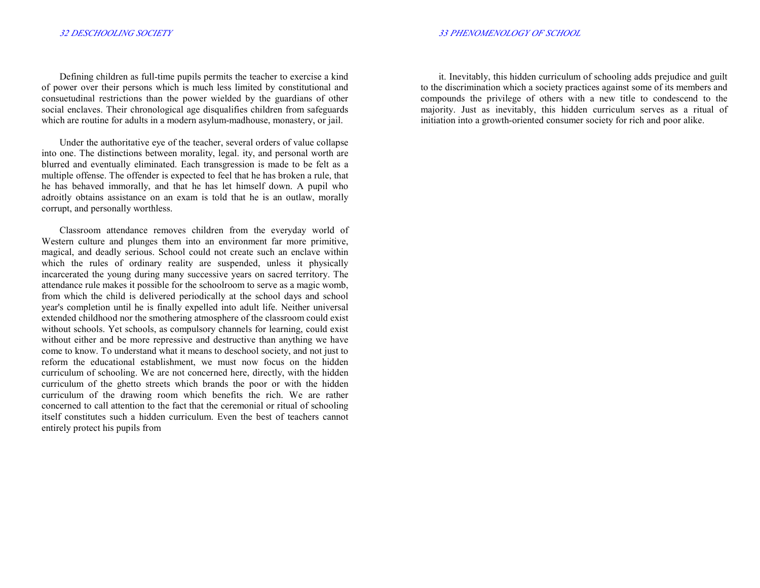Defining children as full-time pupils permits the teacher to exercise a kind of power over their persons which is much less limited by constitutional and consuetudinal restrictions than the power wielded by the guardians of other social enclaves. Their chronological age disqualifies children from safeguards which are routine for adults in a modern asylum-madhouse, monastery, or jail.

Under the authoritative eye of the teacher, several orders of value collapse into one. The distinctions between morality, legal, ity, and personal worth are blurred and eventually eliminated. Each transgression is made to be felt as a multiple offense. The offender is expected to feel that he has broken a rule, that he has behaved immorally, and that he has let himself down. A pupil who adroitly obtains assistance on an exam is told that he is an outlaw, morally corrupt, and personally worthless.

Classroom attendance removes children from the everyday world of Western culture and plunges them into an environment far more primitive, magical, and deadly serious. School could not create such an enclave within which the rules of ordinary reality are suspended, unless it physically incarcerated the young during many successive years on sacred territory. The attendance rule makes it possible for the schoolroom to serve as a magic womb, from which the child is delivered periodically at the school days and school year's completion until he is finally expelled into adult life. Neither universal extended childhood nor the smothering atmosphere of the classroom could exist without schools. Yet schools, as compulsory channels for learning, could exist without either and be more repressive and destructive than anything we have come to know. To understand what it means to deschool society, and not just to reform the educational establishment, we must now focus on the hidden curriculum of schooling. We are not concerned here, directly, with the hidden curriculum of the ghetto streets which brands the poor or with the hidden curriculum of the drawing room which benefits the rich. We are rather concerned to call attention to the fact that the ceremonial or ritual of schooling itself constitutes such a hidden curriculum. Even the best of teachers cannot entirely protect his pupils from

it. Inevitably, this hidden curriculum of schooling adds prejudice and guilt to the discrimination which a society practices against some of its members and compounds the privilege of others with a new title to condescend to the majority. Just as inevitably, this hidden curriculum serves as a ritual of initiation into a growth-oriented consumer society for rich and poor alike.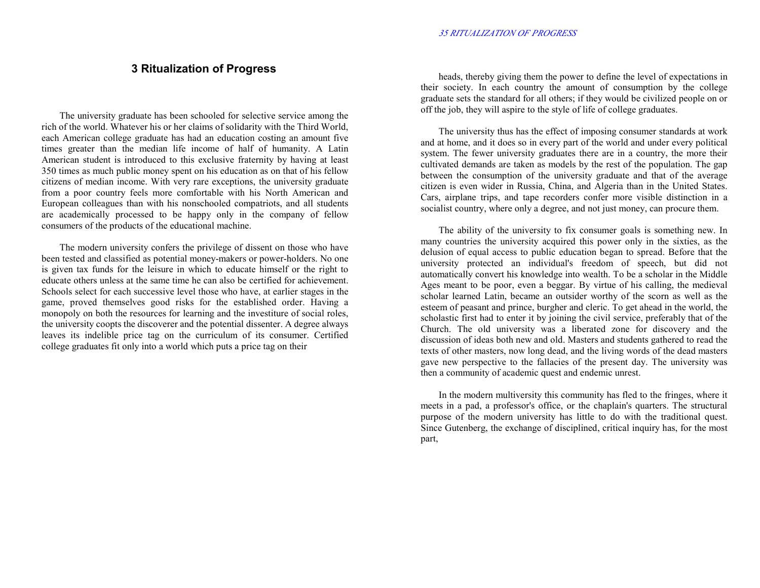# **3 Ritualization of Progress**

The university graduate has been schooled for selective service among the rich of the world. Whatever his or her claims of solidarity with the Third World, each American college graduate has had an education costing an amount five times greater than the median life income of half of humanity. A Latin American student is introduced to this exclusive fraternity by having at least 350 times as much public money spent on his education as on that of his fellow citizens of median income. With very rare exceptions, the university graduate from a poor country feels more comfortable with his North American and European colleagues than with his nonschooled compatriots, and all students are academically processed to be happy only in the company of fellow consumers of the products of the educational machine.

The modern university confers the privilege of dissent on those who have been tested and classified as potential money-makers or power-holders. No one is given tax funds for the leisure in which to educate himself or the right to educate others unless at the same time he can also be certified for achievement. Schools select for each successive level those who have, at earlier stages in the game, proved themselves good risks for the established order. Having a monopoly on both the resources for learning and the investiture of social roles, the university coopts the discoverer and the potential dissenter. A degree always leaves its indelible price tag on the curriculum of its consumer. Certified college graduates fit only into a world which puts a price tag on their

heads, thereby giving them the power to define the level of expectations in their society. In each country the amount of consumption by the college graduate sets the standard for all others; if they would be civilized people on or off the job, they will aspire to the style of life of college graduates.

The university thus has the effect of imposing consumer standards at work and at home, and it does so in every part of the world and under every political system. The fewer university graduates there are in a country, the more their cultivated demands are taken as models by the rest of the population. The gap between the consumption of the university graduate and that of the average citizen is even wider in Russia, China, and Algeria than in the United States. Cars, airplane trips, and tape recorders confer more visible distinction in a socialist country, where only a degree, and not just money, can procure them.

The ability of the university to fix consumer goals is something new. In many countries the university acquired this power only in the sixties, as the delusion of equal access to public education began to spread. Before that the university protected an individual's freedom of speech, but did not automatically convert his knowledge into wealth. To be a scholar in the Middle Ages meant to be poor, even a beggar. By virtue of his calling, the medieval scholar learned Latin, became an outsider worthy of the scorn as well as the esteem of peasant and prince, burgher and cleric. To get ahead in the world, the scholastic first had to enter it by joining the civil service, preferably that of the Church. The old university was a liberated zone for discovery and the discussion of ideas both new and old. Masters and students gathered to read the texts of other masters, now long dead, and the living words of the dead masters gave new perspective to the fallacies of the present day. The university was then a community of academic quest and endemic unrest.

In the modern multiversity this community has fled to the fringes, where it meets in a pad, a professor's office, or the chaplain's quarters. The structural purpose of the modern university has little to do with the traditional quest. Since Gutenberg, the exchange of disciplined, critical inquiry has, for the most part,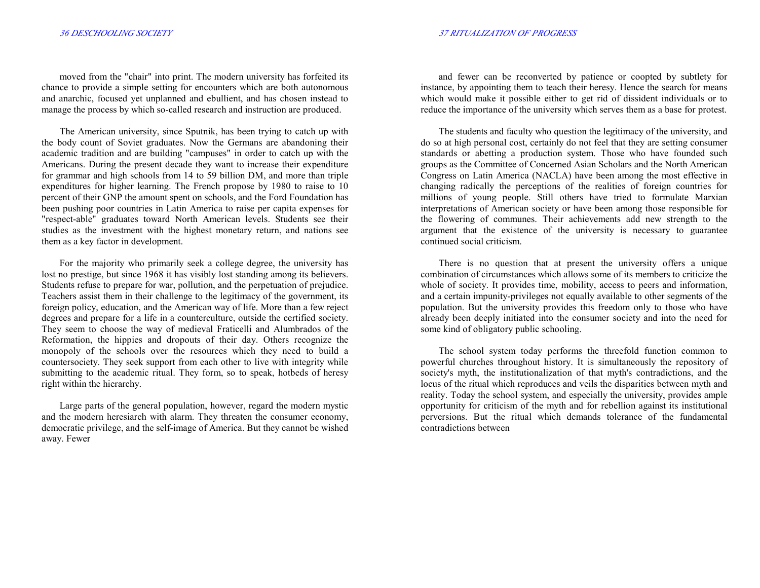moved from the "chair" into print. The modern university has forfeited its chance to provide a simple setting for encounters which are both autonomous and anarchic, focused yet unplanned and ebullient, and has chosen instead to manage the process by which so-called research and instruction are produced.

The American university, since Sputnik, has been trying to catch up with the body count of Soviet graduates. Now the Germans are abandoning their academic tradition and are building "campuses" in order to catch up with the Americans. During the present decade they want to increase their expenditure for grammar and high schools from 14 to 59 billion DM, and more than triple expenditures for higher learning. The French propose by 1980 to raise to 10 percent of their GNP the amount spent on schools, and the Ford Foundation has been pushing poor countries in Latin America to raise per capita expenses for "respect-able" graduates toward North American levels. Students see their studies as the investment with the highest monetary return, and nations see them as a key factor in development.

For the majority who primarily seek a college degree, the university has lost no prestige, but since 1968 it has visibly lost standing among its believers. Students refuse to prepare for war, pollution, and the perpetuation of prejudice. Teachers assist them in their challenge to the legitimacy of the government, its foreign policy, education, and the American way of life. More than a few reject degrees and prepare for a life in a counterculture, outside the certified society. They seem to choose the way of medieval Fraticelli and Alumbrados of the Reformation, the hippies and dropouts of their day. Others recognize the monopoly of the schools over the resources which they need to build a countersociety. They seek support from each other to live with integrity while submitting to the academic ritual. They form, so to speak, hotbeds of heresy right within the hierarchy.

Large parts of the general population, however, regard the modern mystic and the modern heresiarch with alarm. They threaten the consumer economy, democratic privilege, and the self-image of America. But they cannot be wished away. Fewer

and fewer can be reconverted by patience or coopted by subtlety for instance, by appointing them to teach their heresy. Hence the search for means which would make it possible either to get rid of dissident individuals or to reduce the importance of the university which serves them as a base for protest.

The students and faculty who question the legitimacy of the university, and do so at high personal cost, certainly do not feel that they are setting consumer standards or abetting a production system. Those who have founded such groups as the Committee of Concerned Asian Scholars and the North American Congress on Latin America (NACLA) have been among the most effective in changing radically the perceptions of the realities of foreign countries for millions of young people. Still others have tried to formulate Marxian interpretations of American society or have been among those responsible for the flowering of communes. Their achievements add new strength to the argument that the existence of the university is necessary to guarantee continued social criticism.

There is no question that at present the university offers a unique combination of circumstances which allows some of its members to criticize the whole of society. It provides time, mobility, access to peers and information, and a certain impunity-privileges not equally available to other segments of the population. But the university provides this freedom only to those who have already been deeply initiated into the consumer society and into the need for some kind of obligatory public schooling.

The school system today performs the threefold function common to powerful churches throughout history. It is simultaneously the repository of society's myth, the institutionalization of that myth's contradictions, and the locus of the ritual which reproduces and veils the disparities between myth and reality. Today the school system, and especially the university, provides ample opportunity for criticism of the myth and for rebellion against its institutional perversions. But the ritual which demands tolerance of the fundamental contradictions between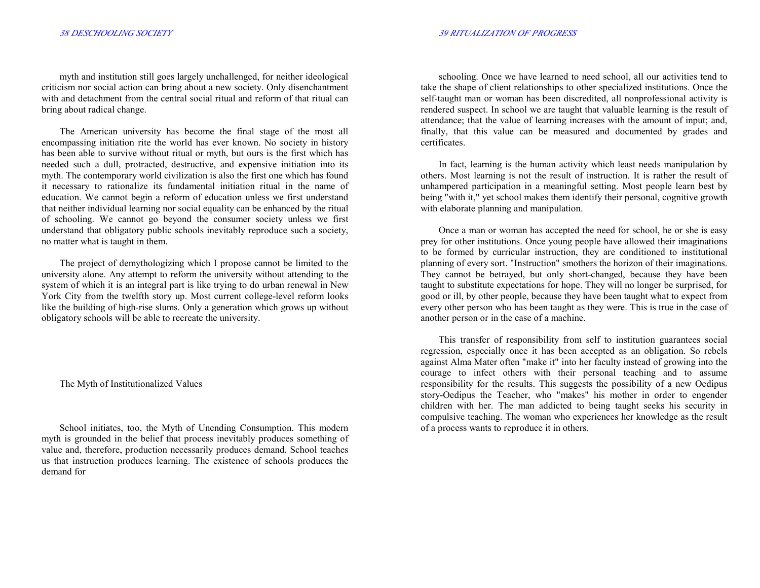myth and institution still goes largely unchallenged, for neither ideological criticism nor social action can bring about a new society. Only disenchantment with and detachment from the central social ritual and reform of that ritual can bring about radical change.

The American university has become the final stage of the most all encompassing initiation rite the world has ever known. No society in history has been able to survive without ritual or myth, but ours is the first which has needed such a dull, protracted, destructive, and expensive initiation into its myth. The contemporary world civilization is also the first one which has found it necessary to rationalize its fundamental initiation ritual in the name of education. We cannot begin a reform of education unless we first understand that neither individual learning nor social equality can be enhanced by the ritual of schooling. We cannot go beyond the consumer society unless we first understand that obligatory public schools inevitably reproduce such a society, no matter what is taught in them.

The project of demythologizing which I propose cannot be limited to the university alone. Any attempt to reform the university without attending to the system of which it is an integral part is like trying to do urban renewal in New York City from the twelfth story up. Most current college-level reform looks like the building of high-rise slums. Only a generation which grows up without obligatory schools will be able to recreate the university.

The Myth of Institutionalized Values

School initiates, too, the Myth of Unending Consumption. This modern myth is grounded in the belief that process inevitably produces something of value and, therefore, production necessarily produces demand. School teaches us that instruction produces learning. The existence of schools produces the demand for

schooling. Once we have learned to need school, all our activities tend to take the shape of client relationships to other specialized institutions. Once the self-taught man or woman has been discredited, all nonprofessional activity is rendered suspect. In school we are taught that valuable learning is the result of attendance; that the value of learning increases with the amount of input; and, finally, that this value can be measured and documented by grades and certificates.

In fact, learning is the human activity which least needs manipulation by others. Most learning is not the result of instruction. It is rather the result of unhampered participation in a meaningful setting. Most people learn best by being "with it," yet school makes them identify their personal, cognitive growth with elaborate planning and manipulation.

Once a man or woman has accepted the need for school, he or she is easy prey for other institutions. Once young people have allowed their imaginations to be formed by curricular instruction, they are conditioned to institutional planning of every sort. "Instruction" smothers the horizon of their imaginations. They cannot be betrayed, but only short-changed, because they have been taught to substitute expectations for hope. They will no longer be surprised, for good or ill, by other people, because they have been taught what to expect from every other person who has been taught as they were. This is true in the case of another person or in the case of a machine.

This transfer of responsibility from self to institution guarantees social regression, especially once it has been accepted as an obligation. So rebels against Alma Mater often "make it" into her faculty instead of growing into the courage to infect others with their personal teaching and to assume responsibility for the results. This suggests the possibility of a new Oedipus story-Oedipus the Teacher, who "makes" his mother in order to engender children with her. The man addicted to being taught seeks his security in compulsive teaching. The woman who experiences her knowledge as the result of a process wants to reproduce it in others.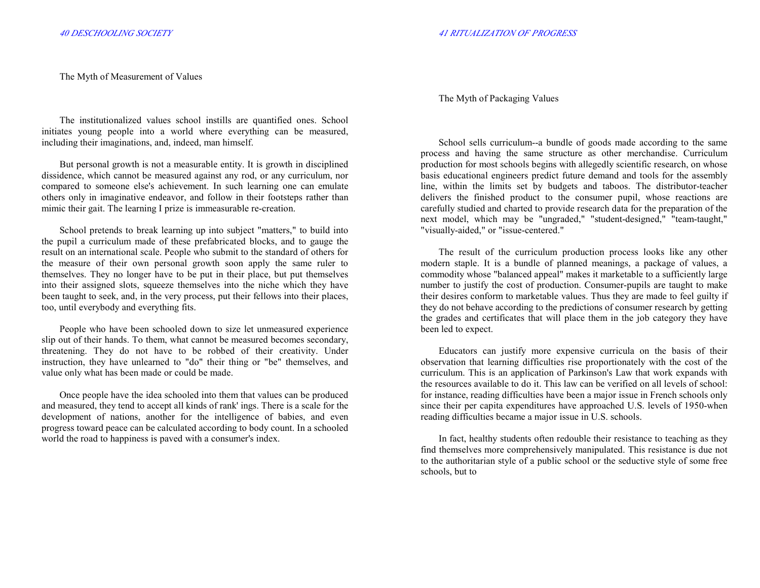#### The Myth of Measurement of Values

The institutionalized values school instills are quantified ones. School initiates young people into a world where everything can be measured, including their imaginations, and, indeed, man himself.

But personal growth is not a measurable entity. It is growth in disciplined dissidence, which cannot be measured against any rod, or any curriculum, nor compared to someone else's achievement. In such learning one can emulate others only in imaginative endeavor, and follow in their footsteps rather than mimic their gait. The learning I prize is immeasurable re-creation.

School pretends to break learning up into subject "matters," to build into the pupil a curriculum made of these prefabricated blocks, and to gauge the result on an international scale. People who submit to the standard of others for the measure of their own personal growth soon apply the same ruler to themselves. They no longer have to be put in their place, but put themselves into their assigned slots, squeeze themselves into the niche which they have been taught to seek, and, in the very process, put their fellows into their places, too, until everybody and everything fits.

People who have been schooled down to size let unmeasured experience slip out of their hands. To them, what cannot be measured becomes secondary, threatening. They do not have to be robbed of their creativity. Under instruction, they have unlearned to "do" their thing or "be" themselves, and value only what has been made or could be made.

Once people have the idea schooled into them that values can be produced and measured, they tend to accept all kinds of rank' ings. There is a scale for the development of nations, another for the intelligence of babies, and even progress toward peace can be calculated according to body count. In a schooled world the road to happiness is paved with a consumer's index.

The Myth of Packaging Values

School sells curriculum--a bundle of goods made according to the same process and having the same structure as other merchandise. Curriculum production for most schools begins with allegedly scientific research, on whose basis educational engineers predict future demand and tools for the assembly line, within the limits set by budgets and taboos. The distributor-teacher delivers the finished product to the consumer pupil, whose reactions are carefully studied and charted to provide research data for the preparation of the next model, which may be "ungraded," "student-designed," "team-taught," "visually-aided," or "issue-centered."

The result of the curriculum production process looks like any other modern staple. It is a bundle of planned meanings, a package of values, a commodity whose "balanced appeal" makes it marketable to a sufficiently large number to justify the cost of production. Consumer-pupils are taught to make their desires conform to marketable values. Thus they are made to feel guilty if they do not behave according to the predictions of consumer research by getting the grades and certificates that will place them in the job category they have been led to expect.

Educators can justify more expensive curricula on the basis of their observation that learning difficulties rise proportionately with the cost of the curriculum. This is an application of Parkinson's Law that work expands with the resources available to do it. This law can be verified on all levels of school: for instance, reading difficulties have been a major issue in French schools only since their per capita expenditures have approached U.S. levels of 1950-when reading difficulties became a major issue in U.S. schools.

In fact, healthy students often redouble their resistance to teaching as they find themselves more comprehensively manipulated. This resistance is due not to the authoritarian style of a public school or the seductive style of some free schools, but to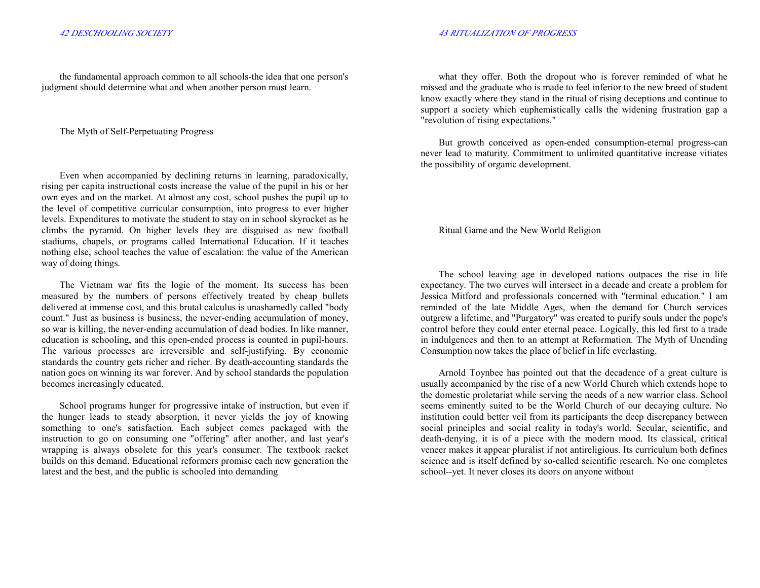the fundamental approach common to all schools-the idea that one person's judgment should determine what and when another person must learn.

The Myth of Self-Perpetuating Progress

Even when accompanied by declining returns in learning, paradoxically, rising per capita instructional costs increase the value of the pupil in his or her own eyes and on the market. At almost any cost, school pushes the pupil up to the level of competitive curricular consumption, into progress to ever higher levels. Expenditures to motivate the student to stay on in school skyrocket as he climbs the pyramid. On higher levels they are disguised as new football stadiums, chapels, or programs called International Education. If it teaches nothing else, school teaches the value of escalation: the value of the American way of doing things.

The Vietnam war fits the logic of the moment. Its success has been measured by the numbers of persons effectively treated by cheap bullets delivered at immense cost, and this brutal calculus is unashamedly called "body count." Just as business is business, the never-ending accumulation of money, so war is killing, the never-ending accumulation of dead bodies. In like manner, education is schooling, and this open-ended process is counted in pupil-hours. The various processes are irreversible and self-justifying. By economic standards the country gets richer and richer. By death-accounting standards the nation goes on winning its war forever. And by school standards the population becomes increasingly educated.

School programs hunger for progressive intake of instruction, but even if the hunger leads to steady absorption, it never yields the joy of knowing something to one's satisfaction. Each subject comes packaged with the instruction to go on consuming one "offering" after another, and last year's wrapping is always obsolete for this year's consumer. The textbook racket builds on this demand. Educational reformers promise each new generation the latest and the best, and the public is schooled into demanding

what they offer. Both the dropout who is forever reminded of what he missed and the graduate who is made to feel inferior to the new breed of student know exactly where they stand in the ritual of rising deceptions and continue to support a society which euphemistically calls the widening frustration gap a "revolution of rising expectations."

But growth conceived as open-ended consumption-eternal progress-can never lead to maturity. Commitment to unlimited quantitative increase vitiates the possibility of organic development.

Ritual Game and the New World Religion

The school leaving age in developed nations outpaces the rise in life expectancy. The two curves will intersect in a decade and create a problem for Jessica Mitford and professionals concerned with "terminal education." I am reminded of the late Middle Ages, when the demand for Church services outgrew a lifetime, and "Purgatory" was created to purify souls under the pope's control before they could enter eternal peace. Logically, this led first to a trade in indulgences and then to an attempt at Reformation. The Myth of Unending Consumption now takes the place of belief in life everlasting.

Arnold Toynbee has pointed out that the decadence of a great culture is usually accompanied by the rise of a new World Church which extends hope to the domestic proletariat while serving the needs of a new warrior class. School seems eminently suited to be the World Church of our decaying culture. No institution could better veil from its participants the deep discrepancy between social principles and social reality in today's world. Secular, scientific, and death-denying, it is of a piece with the modern mood. Its classical, critical veneer makes it appear pluralist if not antireligious. Its curriculum both defines science and is itself defined by so-called scientific research. No one completes school--yet. It never closes its doors on anyone without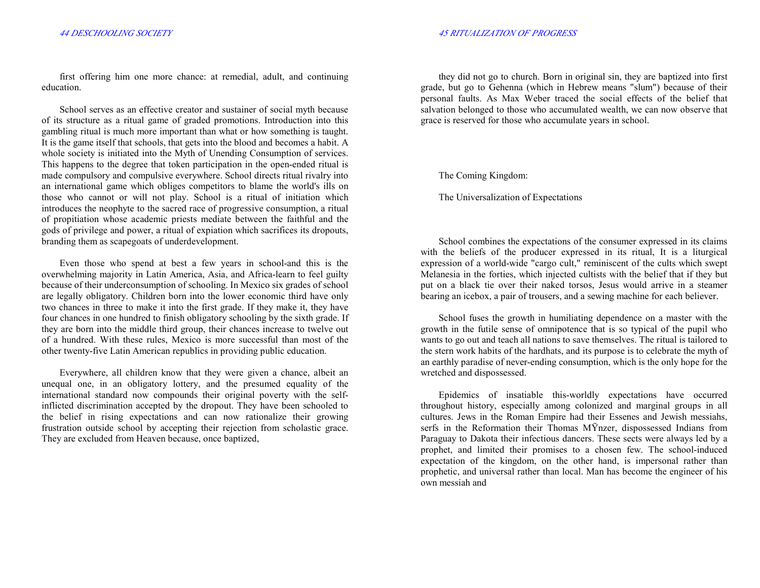first offering him one more chance: at remedial, adult, and continuing education.

School serves as an effective creator and sustainer of social myth because of its structure as a ritual game of graded promotions. Introduction into this gambling ritual is much more important than what or how something is taught. It is the game itself that schools, that gets into the blood and becomes a habit. A whole society is initiated into the Myth of Unending Consumption of services. This happens to the degree that token participation in the open-ended ritual is made compulsory and compulsive everywhere. School directs ritual rivalry into an international game which obliges competitors to blame the world's ills on those who cannot or will not play. School is a ritual of initiation which introduces the neophyte to the sacred race of progressive consumption, a ritual of propitiation whose academic priests mediate between the faithful and the gods of privilege and power, a ritual of expiation which sacrifices its dropouts, branding them as scapegoats of underdevelopment.

Even those who spend at best a few years in school-and this is the overwhelming majority in Latin America, Asia, and Africa-learn to feel guilty because of their underconsumption of schooling. In Mexico six grades of school are legally obligatory. Children born into the lower economic third have only two chances in three to make it into the first grade. If they make it, they have four chances in one hundred to finish obligatory schooling by the sixth grade. If they are born into the middle third group, their chances increase to twelve out of a hundred. With these rules, Mexico is more successful than most of the other twenty-five Latin American republics in providing public education.

Everywhere, all children know that they were given a chance, albeit an unequal one, in an obligatory lottery, and the presumed equality of the international standard now compounds their original poverty with the selfinflicted discrimination accepted by the dropout. They have been schooled to the belief in rising expectations and can now rationalize their growing frustration outside school by accepting their rejection from scholastic grace. They are excluded from Heaven because, once baptized,

they did not go to church. Born in original sin, they are baptized into first grade, but go to Gehenna (which in Hebrew means "slum") because of their personal faults. As Max Weber traced the social effects of the belief that salvation belonged to those who accumulated wealth, we can now observe that grace is reserved for those who accumulate years in school.

The Coming Kingdom:

The Universalization of Expectations

School combines the expectations of the consumer expressed in its claims with the beliefs of the producer expressed in its ritual, It is a liturgical expression of a world-wide "cargo cult," reminiscent of the cults which swept Melanesia in the forties, which injected cultists with the belief that if they but put on a black tie over their naked torsos, Jesus would arrive in a steamer bearing an icebox, a pair of trousers, and a sewing machine for each believer.

School fuses the growth in humiliating dependence on a master with the growth in the futile sense of omnipotence that is so typical of the pupil who wants to go out and teach all nations to save themselves. The ritual is tailored to the stern work habits of the hardhats, and its purpose is to celebrate the myth of an earthly paradise of never-ending consumption, which is the only hope for the wretched and dispossessed.

Epidemics of insatiable this-worldly expectations have occurred throughout history, especially among colonized and marginal groups in all cultures. Jews in the Roman Empire had their Essenes and Jewish messiahs, serfs in the Reformation their Thomas MŸnzer, dispossessed Indians from Paraguay to Dakota their infectious dancers. These sects were always led by a prophet, and limited their promises to a chosen few. The school-induced expectation of the kingdom, on the other hand, is impersonal rather than prophetic, and universal rather than local. Man has become the engineer of his own messiah and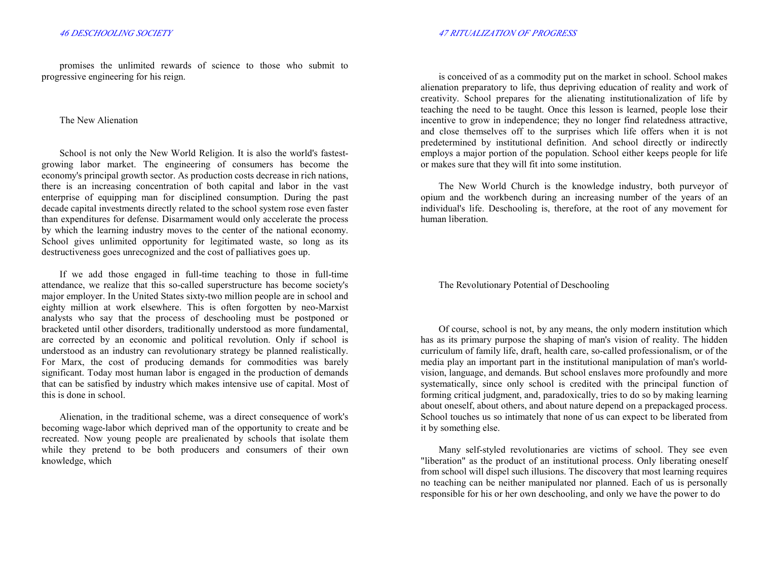promises the unlimited rewards of science to those who submit to progressive engineering for his reign.

#### The New Alienation

School is not only the New World Religion. It is also the world's fastestgrowing labor market. The engineering of consumers has become the economy's principal growth sector. As production costs decrease in rich nations. there is an increasing concentration of both capital and labor in the vast enterprise of equipping man for disciplined consumption. During the past decade capital investments directly related to the school system rose even faster than expenditures for defense. Disarmament would only accelerate the process by which the learning industry moves to the center of the national economy. School gives unlimited opportunity for legitimated waste, so long as its destructiveness goes unrecognized and the cost of palliatives goes up.

If we add those engaged in full-time teaching to those in full-time attendance, we realize that this so-called superstructure has become society's major employer. In the United States sixty-two million people are in school and eighty million at work elsewhere. This is often forgotten by neo-Marxist analysts who say that the process of deschooling must be postponed or bracketed until other disorders, traditionally understood as more fundamental, are corrected by an economic and political revolution. Only if school is understood as an industry can revolutionary strategy be planned realistically. For Marx, the cost of producing demands for commodities was barely significant. Today most human labor is engaged in the production of demands that can be satisfied by industry which makes intensive use of capital. Most of this is done in school.

Alienation, in the traditional scheme, was a direct consequence of work's becoming wage-labor which deprived man of the opportunity to create and be recreated. Now young people are prealienated by schools that isolate them while they pretend to be both producers and consumers of their own knowledge, which

is conceived of as a commodity put on the market in school. School makes alienation preparatory to life, thus depriving education of reality and work of creativity. School prepares for the alienating institutionalization of life by teaching the need to be taught. Once this lesson is learned, people lose their incentive to grow in independence; they no longer find relatedness attractive, and close themselves off to the surprises which life offers when it is not predetermined by institutional definition. And school directly or indirectly employs a major portion of the population. School either keeps people for life or makes sure that they will fit into some institution.

The New World Church is the knowledge industry, both purveyor of opium and the workbench during an increasing number of the years of an individual's life. Deschooling is, therefore, at the root of any movement for human liberation

The Revolutionary Potential of Deschooling

Of course, school is not, by any means, the only modern institution which has as its primary purpose the shaping of man's vision of reality. The hidden curriculum of family life, draft, health care, so-called professionalism, or of the media play an important part in the institutional manipulation of man's worldvision, language, and demands. But school enslaves more profoundly and more systematically, since only school is credited with the principal function of forming critical judgment, and, paradoxically, tries to do so by making learning about oneself, about others, and about nature depend on a prepackaged process. School touches us so intimately that none of us can expect to be liberated from it by something else.

Many self-styled revolutionaries are victims of school. They see even "liberation" as the product of an institutional process. Only liberating oneself from school will dispel such illusions. The discovery that most learning requires no teaching can be neither manipulated nor planned. Each of us is personally responsible for his or her own deschooling, and only we have the power to do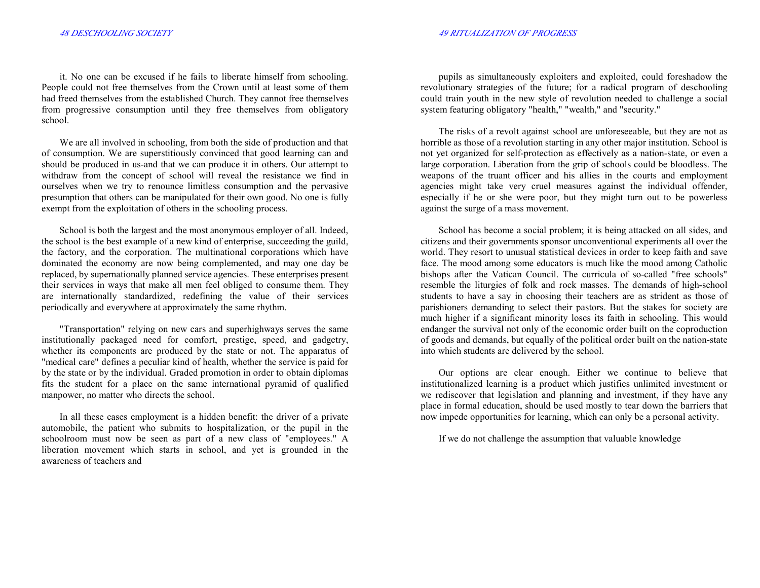it. No one can be excused if he fails to liberate himself from schooling. People could not free themselves from the Crown until at least some of them had freed themselves from the established Church. They cannot free themselves from progressive consumption until they free themselves from obligatory school.

We are all involved in schooling, from both the side of production and that of consumption. We are superstitiously convinced that good learning can and should be produced in us-and that we can produce it in others. Our attempt to withdraw from the concept of school will reveal the resistance we find in ourselves when we try to renounce limitless consumption and the pervasive presumption that others can be manipulated for their own good. No one is fully exempt from the exploitation of others in the schooling process.

School is both the largest and the most anonymous employer of all. Indeed, the school is the best example of a new kind of enterprise, succeeding the guild, the factory, and the corporation. The multinational corporations which have dominated the economy are now being complemented, and may one day be replaced, by supernationally planned service agencies. These enterprises present their services in ways that make all men feel obliged to consume them. They are internationally standardized, redefining the value of their services periodically and everywhere at approximately the same rhythm.

"Transportation" relying on new cars and superhighways serves the same institutionally packaged need for comfort, prestige, speed, and gadgetry, whether its components are produced by the state or not. The apparatus of "medical care" defines a peculiar kind of health, whether the service is paid for by the state or by the individual. Graded promotion in order to obtain diplomas fits the student for a place on the same international pyramid of qualified manpower, no matter who directs the school.

In all these cases employment is a hidden benefit: the driver of a private automobile, the patient who submits to hospitalization, or the pupil in the schoolroom must now be seen as part of a new class of "employees." A liberation movement which starts in school, and yet is grounded in the awareness of teachers and

pupils as simultaneously exploiters and exploited, could foreshadow the revolutionary strategies of the future; for a radical program of deschooling could train youth in the new style of revolution needed to challenge a social system featuring obligatory "health," "wealth," and "security."

The risks of a revolt against school are unforeseeable, but they are not as horrible as those of a revolution starting in any other major institution. School is not yet organized for self-protection as effectively as a nation-state, or even a large corporation. Liberation from the grip of schools could be bloodless. The weapons of the truant officer and his allies in the courts and employment agencies might take very cruel measures against the individual offender, especially if he or she were poor, but they might turn out to be powerless against the surge of a mass movement.

School has become a social problem; it is being attacked on all sides, and citizens and their governments sponsor unconventional experiments all over the world. They resort to unusual statistical devices in order to keep faith and save face. The mood among some educators is much like the mood among Catholic bishops after the Vatican Council. The curricula of so-called "free schools" resemble the liturgies of folk and rock masses. The demands of high-school students to have a say in choosing their teachers are as strident as those of parishioners demanding to select their pastors. But the stakes for society are much higher if a significant minority loses its faith in schooling. This would endanger the survival not only of the economic order built on the coproduction of goods and demands, but equally of the political order built on the nation-state into which students are delivered by the school.

Our options are clear enough. Either we continue to believe that institutionalized learning is a product which justifies unlimited investment or we rediscover that legislation and planning and investment, if they have any place in formal education, should be used mostly to tear down the barriers that now impede opportunities for learning, which can only be a personal activity.

If we do not challenge the assumption that valuable knowledge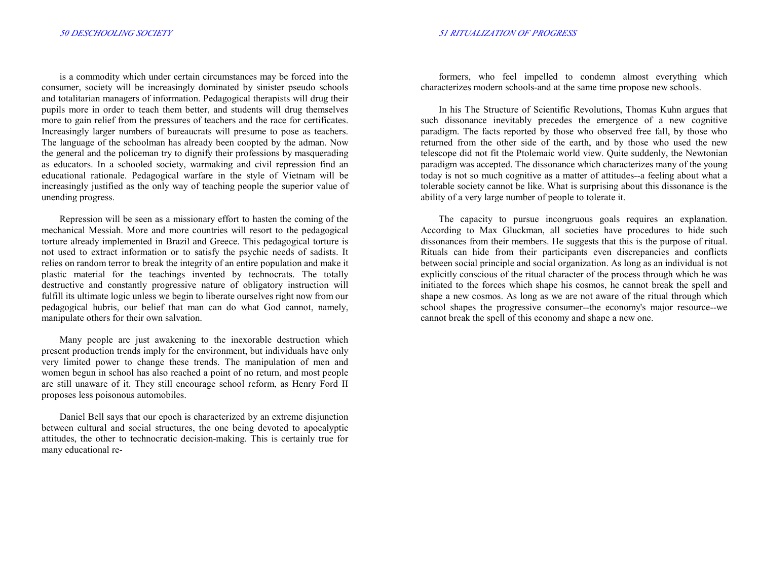is a commodity which under certain circumstances may be forced into the consumer, society will be increasingly dominated by sinister pseudo schools and totalitarian managers of information. Pedagogical therapists will drug their pupils more in order to teach them better, and students will drug themselves more to gain relief from the pressures of teachers and the race for certificates. Increasingly larger numbers of bureaucrats will presume to pose as teachers. The language of the schoolman has already been coopted by the adman. Now the general and the policeman try to dignify their professions by masquerading as educators. In a schooled society, warmaking and civil repression find an educational rationale. Pedagogical warfare in the style of Vietnam will be increasingly justified as the only way of teaching people the superior value of unending progress.

Repression will be seen as a missionary effort to hasten the coming of the mechanical Messiah. More and more countries will resort to the pedagogical torture already implemented in Brazil and Greece. This pedagogical torture is not used to extract information or to satisfy the psychic needs of sadists. It relies on random terror to break the integrity of an entire population and make it plastic material for the teachings invented by technocrats. The totally destructive and constantly progressive nature of obligatory instruction will fulfill its ultimate logic unless we begin to liberate ourselves right now from our pedagogical hubris, our belief that man can do what God cannot, namely, manipulate others for their own salvation.

Many people are just awakening to the inexorable destruction which present production trends imply for the environment, but individuals have only very limited power to change these trends. The manipulation of men and women begun in school has also reached a point of no return, and most people are still unaware of it. They still encourage school reform, as Henry Ford II proposes less poisonous automobiles.

Daniel Bell says that our epoch is characterized by an extreme disjunction between cultural and social structures, the one being devoted to apocalyptic attitudes, the other to technocratic decision-making. This is certainly true for many educational re-

formers, who feel impelled to condemn almost everything which characterizes modern schools-and at the same time propose new schools.

In his The Structure of Scientific Revolutions, Thomas Kuhn argues that such dissonance inevitably precedes the emergence of a new cognitive paradigm. The facts reported by those who observed free fall, by those who returned from the other side of the earth, and by those who used the new telescope did not fit the Ptolemaic world view. Ouite suddenly, the Newtonian paradigm was accepted. The dissonance which characterizes many of the young today is not so much cognitive as a matter of attitudes--a feeling about what a tolerable society cannot be like. What is surprising about this dissonance is the ability of a very large number of people to tolerate it.

The capacity to pursue incongruous goals requires an explanation. According to Max Gluckman, all societies have procedures to hide such dissonances from their members. He suggests that this is the purpose of ritual. Rituals can hide from their participants even discrepancies and conflicts between social principle and social organization. As long as an individual is not explicitly conscious of the ritual character of the process through which he was initiated to the forces which shape his cosmos, he cannot break the spell and shape a new cosmos. As long as we are not aware of the ritual through which school shapes the progressive consumer--the economy's major resource--we cannot break the spell of this economy and shape a new one.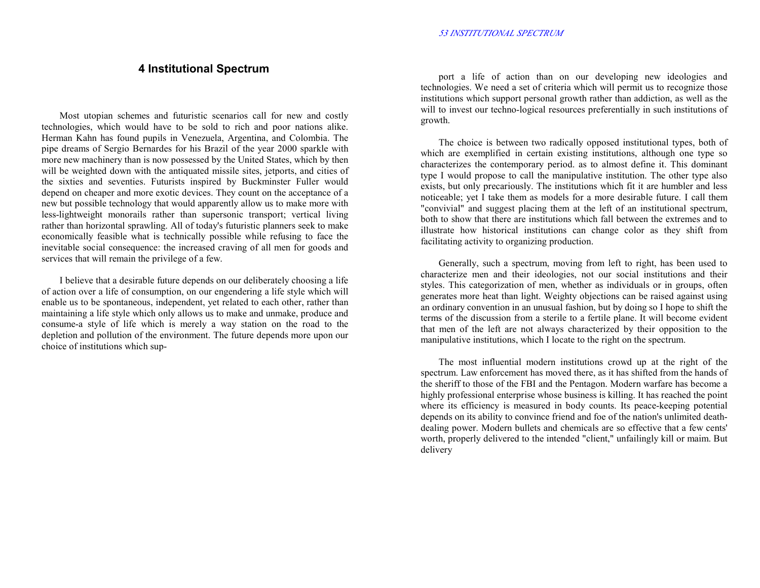# **4 Institutional Spectrum**

Most utopian schemes and futuristic scenarios call for new and costly technologies, which would have to be sold to rich and poor nations alike. Herman Kahn has found pupils in Venezuela, Argentina, and Colombia. The pipe dreams of Sergio Bernardes for his Brazil of the year 2000 sparkle with more new machinery than is now possessed by the United States, which by then will be weighted down with the antiquated missile sites, jetports, and cities of the sixties and seventies. Futurists inspired by Buckminster Fuller would depend on cheaper and more exotic devices. They count on the acceptance of a new but possible technology that would apparently allow us to make more with less-lightweight monorails rather than supersonic transport; vertical living rather than horizontal sprawling. All of today's futuristic planners seek to make economically feasible what is technically possible while refusing to face the inevitable social consequence: the increased craving of all men for goods and services that will remain the privilege of a few.

I believe that a desirable future depends on our deliberately choosing a life of action over a life of consumption, on our engendering a life style which will enable us to be spontaneous, independent, yet related to each other, rather than maintaining a life style which only allows us to make and unmake, produce and consume-a style of life which is merely a way station on the road to the depletion and pollution of the environment. The future depends more upon our choice of institutions which sup-

port a life of action than on our developing new ideologies and technologies. We need a set of criteria which will permit us to recognize those institutions which support personal growth rather than addiction, as well as the will to invest our techno-logical resources preferentially in such institutions of growth.

The choice is between two radically opposed institutional types, both of which are exemplified in certain existing institutions, although one type so characterizes the contemporary period, as to almost define it. This dominant type I would propose to call the manipulative institution. The other type also exists, but only precariously. The institutions which fit it are humbler and less noticeable; yet I take them as models for a more desirable future. I call them "convivial" and suggest placing them at the left of an institutional spectrum, both to show that there are institutions which fall between the extremes and to illustrate how historical institutions can change color as they shift from facilitating activity to organizing production.

Generally, such a spectrum, moving from left to right, has been used to characterize men and their ideologies, not our social institutions and their styles. This categorization of men, whether as individuals or in groups, often generates more heat than light. Weighty objections can be raised against using an ordinary convention in an unusual fashion, but by doing so I hope to shift the terms of the discussion from a sterile to a fertile plane. It will become evident that men of the left are not always characterized by their opposition to the manipulative institutions, which I locate to the right on the spectrum.

The most influential modern institutions crowd up at the right of the spectrum. Law enforcement has moved there, as it has shifted from the hands of the sheriff to those of the FBI and the Pentagon. Modern warfare has become a highly professional enterprise whose business is killing. It has reached the point where its efficiency is measured in body counts. Its peace-keeping potential depends on its ability to convince friend and foe of the nation's unlimited deathdealing power. Modern bullets and chemicals are so effective that a few cents' worth, properly delivered to the intended "client," unfailingly kill or maim. But delivery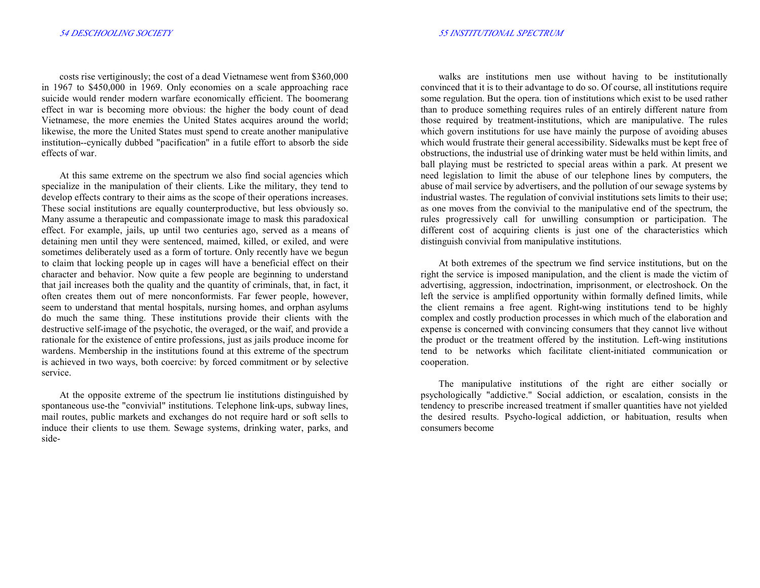costs rise vertiginously; the cost of a dead Vietnamese went from \$360,000 in 1967 to \$450,000 in 1969. Only economies on a scale approaching race suicide would render modern warfare economically efficient. The boomerang effect in war is becoming more obvious: the higher the body count of dead Vietnamese, the more enemies the United States acquires around the world; likewise, the more the United States must spend to create another manipulative institution--cynically dubbed "pacification" in a futile effort to absorb the side effects of war.

At this same extreme on the spectrum we also find social agencies which specialize in the manipulation of their clients. Like the military, they tend to develop effects contrary to their aims as the scope of their operations increases. These social institutions are equally counterproductive, but less obviously so. Many assume a therapeutic and compassionate image to mask this paradoxical effect. For example, jails, up until two centuries ago, served as a means of detaining men until they were sentenced, maimed, killed, or exiled, and were sometimes deliberately used as a form of torture. Only recently have we begun to claim that locking people up in cages will have a beneficial effect on their character and behavior. Now quite a few people are beginning to understand that jail increases both the quality and the quantity of criminals, that, in fact, it often creates them out of mere nonconformists. Far fewer people, however, seem to understand that mental hospitals, nursing homes, and orphan asylums do much the same thing. These institutions provide their clients with the destructive self-image of the psychotic, the overaged, or the waif, and provide a rationale for the existence of entire professions, just as jails produce income for wardens. Membership in the institutions found at this extreme of the spectrum is achieved in two ways, both coercive: by forced commitment or by selective service.

At the opposite extreme of the spectrum lie institutions distinguished by spontaneous use-the "convivial" institutions. Telephone link-ups, subway lines, mail routes, public markets and exchanges do not require hard or soft sells to induce their clients to use them. Sewage systems, drinking water, parks, and side-

walks are institutions men use without having to be institutionally convinced that it is to their advantage to do so. Of course, all institutions require some regulation. But the opera, tion of institutions which exist to be used rather than to produce something requires rules of an entirely different nature from those required by treatment-institutions, which are manipulative. The rules which govern institutions for use have mainly the purpose of avoiding abuses which would frustrate their general accessibility. Sidewalks must be kept free of obstructions, the industrial use of drinking water must be held within limits, and ball playing must be restricted to special areas within a park. At present we need legislation to limit the abuse of our telephone lines by computers, the abuse of mail service by advertisers, and the pollution of our sewage systems by industrial wastes. The regulation of convivial institutions sets limits to their use; as one moves from the convivial to the manipulative end of the spectrum, the rules progressively call for unwilling consumption or participation. The different cost of acquiring clients is just one of the characteristics which distinguish convivial from manipulative institutions.

At both extremes of the spectrum we find service institutions, but on the right the service is imposed manipulation, and the client is made the victim of advertising, aggression, indoctrination, imprisonment, or electroshock. On the left the service is amplified opportunity within formally defined limits, while the client remains a free agent. Right-wing institutions tend to be highly complex and costly production processes in which much of the elaboration and expense is concerned with convincing consumers that they cannot live without the product or the treatment offered by the institution. Left-wing institutions tend to be networks which facilitate client-initiated communication or cooperation.

The manipulative institutions of the right are either socially or psychologically "addictive." Social addiction, or escalation, consists in the tendency to prescribe increased treatment if smaller quantities have not yielded the desired results. Psycho-logical addiction, or habituation, results when consumers become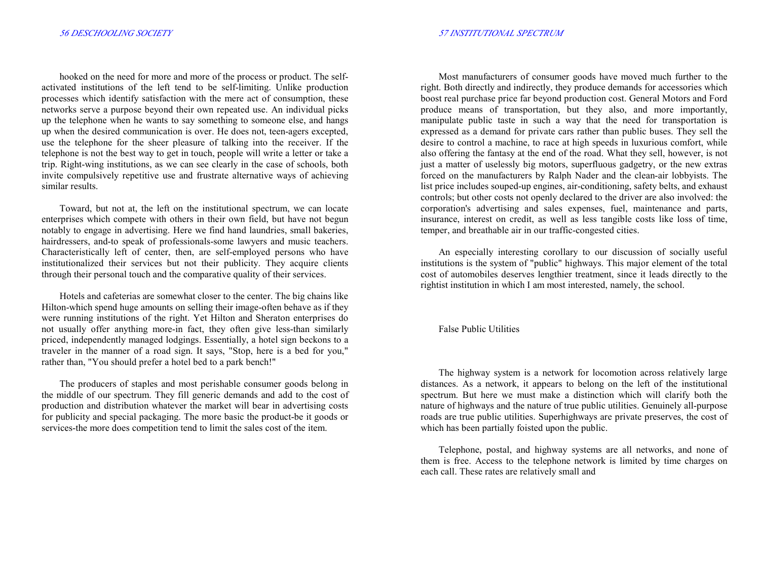hooked on the need for more and more of the process or product. The selfactivated institutions of the left tend to be self-limiting. Unlike production processes which identify satisfaction with the mere act of consumption, these networks serve a purpose beyond their own repeated use. An individual picks up the telephone when he wants to say something to someone else, and hangs up when the desired communication is over. He does not, teen-agers excepted, use the telephone for the sheer pleasure of talking into the receiver. If the telephone is not the best way to get in touch, people will write a letter or take a trip. Right-wing institutions, as we can see clearly in the case of schools, both invite compulsively repetitive use and frustrate alternative ways of achieving similar results.

Toward, but not at, the left on the institutional spectrum, we can locate enterprises which compete with others in their own field, but have not begun notably to engage in advertising. Here we find hand laundries, small bakeries, hairdressers, and-to speak of professionals-some lawyers and music teachers. Characteristically left of center, then, are self-employed persons who have institutionalized their services but not their publicity. They acquire clients through their personal touch and the comparative quality of their services.

Hotels and cafeterias are somewhat closer to the center. The big chains like Hilton-which spend huge amounts on selling their image-often behave as if they were running institutions of the right. Yet Hilton and Sheraton enterprises do not usually offer anything more-in fact, they often give less-than similarly priced, independently managed lodgings. Essentially, a hotel sign beckons to a traveler in the manner of a road sign. It says, "Stop, here is a bed for you," rather than, "You should prefer a hotel bed to a park bench!"

The producers of staples and most perishable consumer goods belong in the middle of our spectrum. They fill generic demands and add to the cost of production and distribution whatever the market will bear in advertising costs for publicity and special packaging. The more basic the product-be it goods or services-the more does competition tend to limit the sales cost of the item.

Most manufacturers of consumer goods have moved much further to the right. Both directly and indirectly, they produce demands for accessories which boost real purchase price far beyond production cost. General Motors and Ford produce means of transportation, but they also, and more importantly, manipulate public taste in such a way that the need for transportation is expressed as a demand for private cars rather than public buses. They sell the desire to control a machine, to race at high speeds in luxurious comfort, while also offering the fantasy at the end of the road. What they sell, however, is not just a matter of uselessly big motors, superfluous gadgetry, or the new extras forced on the manufacturers by Ralph Nader and the clean-air lobbyists. The list price includes souped-up engines, air-conditioning, safety belts, and exhaust controls; but other costs not openly declared to the driver are also involved: the corporation's advertising and sales expenses, fuel, maintenance and parts, insurance, interest on credit, as well as less tangible costs like loss of time, temper, and breathable air in our traffic-congested cities.

An especially interesting corollary to our discussion of socially useful institutions is the system of "public" highways. This major element of the total cost of automobiles deserves lengthier treatment, since it leads directly to the rightist institution in which I am most interested, namely, the school.

**False Public Utilities** 

The highway system is a network for locomotion across relatively large distances. As a network, it appears to belong on the left of the institutional spectrum. But here we must make a distinction which will clarify both the nature of highways and the nature of true public utilities. Genuinely all-purpose roads are true public utilities. Superhighways are private preserves, the cost of which has been partially foisted upon the public.

Telephone, postal, and highway systems are all networks, and none of them is free. Access to the telephone network is limited by time charges on each call. These rates are relatively small and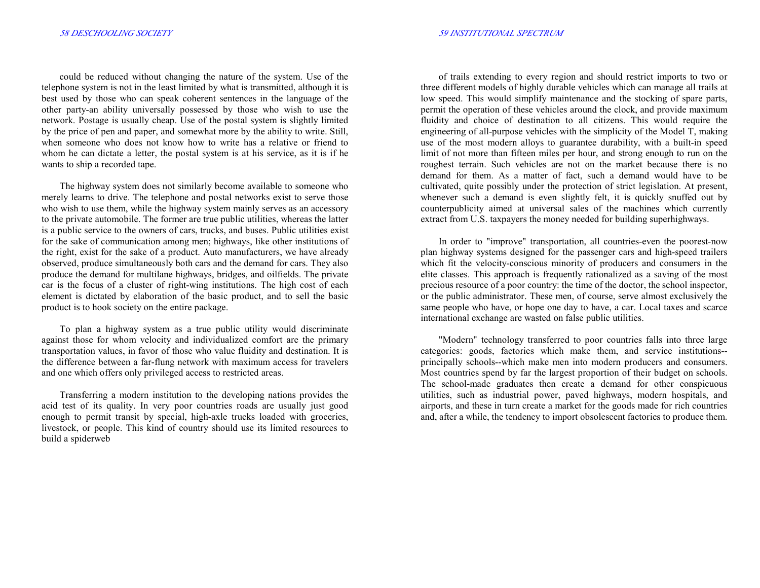could be reduced without changing the nature of the system. Use of the telephone system is not in the least limited by what is transmitted, although it is best used by those who can speak coherent sentences in the language of the other party-an ability universally possessed by those who wish to use the network. Postage is usually cheap. Use of the postal system is slightly limited by the price of pen and paper, and somewhat more by the ability to write. Still, when someone who does not know how to write has a relative or friend to whom he can dictate a letter, the postal system is at his service, as it is if he wants to ship a recorded tape.

The highway system does not similarly become available to someone who merely learns to drive. The telephone and postal networks exist to serve those who wish to use them, while the highway system mainly serves as an accessory to the private automobile. The former are true public utilities, whereas the latter is a public service to the owners of cars, trucks, and buses. Public utilities exist for the sake of communication among men; highways, like other institutions of the right, exist for the sake of a product. Auto manufacturers, we have already observed, produce simultaneously both cars and the demand for cars. They also produce the demand for multilane highways, bridges, and oilfields. The private car is the focus of a cluster of right-wing institutions. The high cost of each element is dictated by elaboration of the basic product, and to sell the basic product is to hook society on the entire package.

To plan a highway system as a true public utility would discriminate against those for whom velocity and individualized comfort are the primary transportation values, in favor of those who value fluidity and destination. It is the difference between a far-flung network with maximum access for travelers and one which offers only privileged access to restricted areas.

Transferring a modern institution to the developing nations provides the acid test of its quality. In very poor countries roads are usually just good enough to permit transit by special, high-axle trucks loaded with groceries, livestock, or people. This kind of country should use its limited resources to build a spiderweb

of trails extending to every region and should restrict imports to two or three different models of highly durable vehicles which can manage all trails at low speed. This would simplify maintenance and the stocking of spare parts, permit the operation of these vehicles around the clock, and provide maximum fluidity and choice of destination to all citizens. This would require the engineering of all-purpose vehicles with the simplicity of the Model T, making use of the most modern alloys to guarantee durability, with a built-in speed limit of not more than fifteen miles per hour, and strong enough to run on the roughest terrain. Such vehicles are not on the market because there is no demand for them. As a matter of fact, such a demand would have to be cultivated, quite possibly under the protection of strict legislation. At present, whenever such a demand is even slightly felt, it is quickly snuffed out by counterpublicity aimed at universal sales of the machines which currently extract from U.S. taxpayers the money needed for building superhighways.

In order to "improve" transportation, all countries-even the poorest-now plan highway systems designed for the passenger cars and high-speed trailers which fit the velocity-conscious minority of producers and consumers in the elite classes. This approach is frequently rationalized as a saving of the most precious resource of a poor country: the time of the doctor, the school inspector, or the public administrator. These men, of course, serve almost exclusively the same people who have, or hope one day to have, a car. Local taxes and scarce international exchange are wasted on false public utilities.

"Modern" technology transferred to poor countries falls into three large categories: goods, factories which make them, and service institutions-principally schools--which make men into modern producers and consumers. Most countries spend by far the largest proportion of their budget on schools. The school-made graduates then create a demand for other conspicuous utilities, such as industrial power, paved highways, modern hospitals, and airports, and these in turn create a market for the goods made for rich countries and, after a while, the tendency to import obsolescent factories to produce them.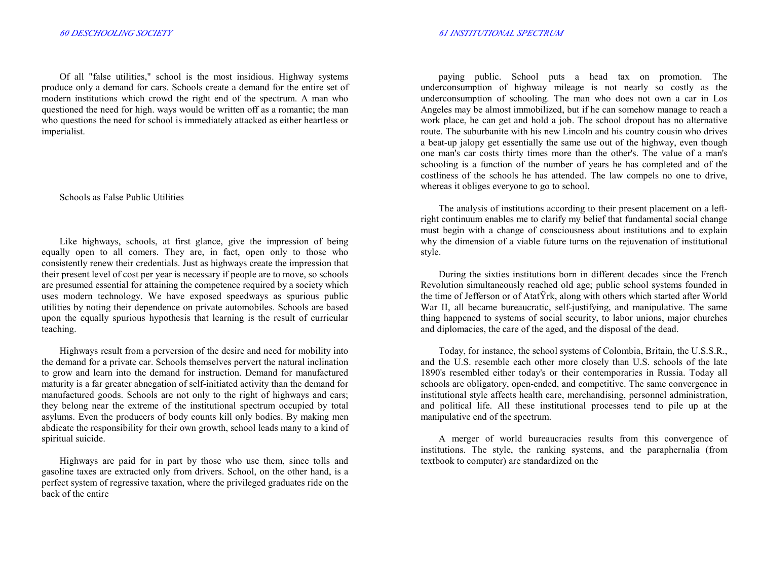Of all "false utilities," school is the most insidious. Highway systems produce only a demand for cars. Schools create a demand for the entire set of modern institutions which crowd the right end of the spectrum. A man who questioned the need for high, ways would be written off as a romantic; the man who questions the need for school is immediately attacked as either heartless or imperialist.

#### Schools as False Public Utilities

Like highways, schools, at first glance, give the impression of being equally open to all comers. They are, in fact, open only to those who consistently renew their credentials. Just as highways create the impression that their present level of cost per year is necessary if people are to move, so schools are presumed essential for attaining the competence required by a society which uses modern technology. We have exposed speedways as spurious public utilities by noting their dependence on private automobiles. Schools are based upon the equally spurious hypothesis that learning is the result of curricular teaching.

Highways result from a perversion of the desire and need for mobility into the demand for a private car. Schools themselves pervert the natural inclination to grow and learn into the demand for instruction. Demand for manufactured maturity is a far greater abnegation of self-initiated activity than the demand for manufactured goods. Schools are not only to the right of highways and cars; they belong near the extreme of the institutional spectrum occupied by total asylums. Even the producers of body counts kill only bodies. By making men abdicate the responsibility for their own growth, school leads many to a kind of spiritual suicide.

Highways are paid for in part by those who use them, since tolls and gasoline taxes are extracted only from drivers. School, on the other hand, is a perfect system of regressive taxation, where the privileged graduates ride on the back of the entire

paying public. School puts a head tax on promotion. The underconsumption of highway mileage is not nearly so costly as the underconsumption of schooling. The man who does not own a car in Los Angeles may be almost immobilized, but if he can somehow manage to reach a work place, he can get and hold a job. The school dropout has no alternative route. The suburbanite with his new Lincoln and his country cousin who drives a beat-up jalopy get essentially the same use out of the highway, even though one man's car costs thirty times more than the other's. The value of a man's schooling is a function of the number of years he has completed and of the costliness of the schools he has attended. The law compels no one to drive. whereas it obliges everyone to go to school.

The analysis of institutions according to their present placement on a leftright continuum enables me to clarify my belief that fundamental social change must begin with a change of consciousness about institutions and to explain why the dimension of a viable future turns on the rejuvenation of institutional style.

During the sixties institutions born in different decades since the French Revolution simultaneously reached old age; public school systems founded in the time of Jefferson or of AtatŸrk, along with others which started after World War II, all became bureaucratic, self-justifying, and manipulative. The same thing happened to systems of social security, to labor unions, major churches and diplomacies, the care of the aged, and the disposal of the dead.

Today, for instance, the school systems of Colombia, Britain, the U.S.S.R., and the U.S. resemble each other more closely than U.S. schools of the late 1890's resembled either today's or their contemporaries in Russia. Today all schools are obligatory, open-ended, and competitive. The same convergence in institutional style affects health care, merchandising, personnel administration, and political life. All these institutional processes tend to pile up at the manipulative end of the spectrum.

A merger of world bureaucracies results from this convergence of institutions. The style, the ranking systems, and the paraphernalia (from textbook to computer) are standardized on the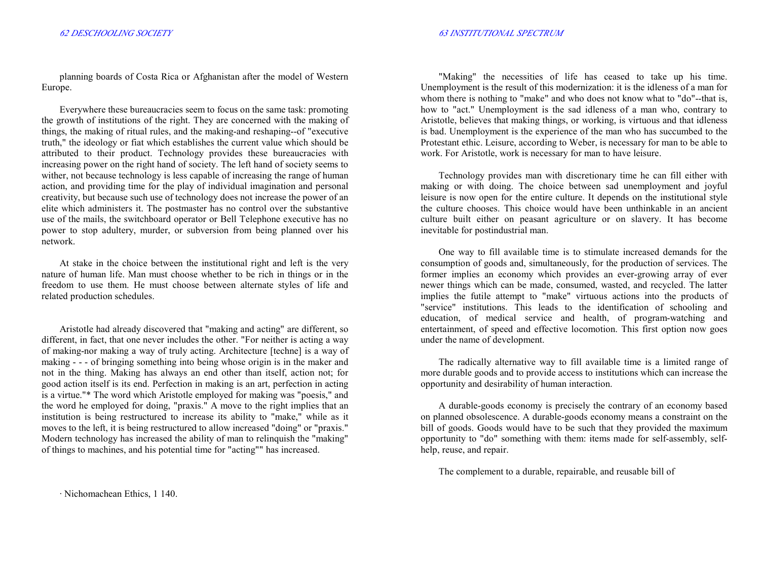planning boards of Costa Rica or Afghanistan after the model of Western Europe.

Everywhere these bureaucracies seem to focus on the same task: promoting the growth of institutions of the right. They are concerned with the making of things, the making of ritual rules, and the making-and reshaping--of "executive" truth," the ideology or fiat which establishes the current value which should be attributed to their product. Technology provides these bureaucracies with increasing power on the right hand of society. The left hand of society seems to wither, not because technology is less capable of increasing the range of human action, and providing time for the play of individual imagination and personal creativity, but because such use of technology does not increase the power of an elite which administers it. The postmaster has no control over the substantive use of the mails, the switchboard operator or Bell Telephone executive has no power to stop adultery, murder, or subversion from being planned over his network.

At stake in the choice between the institutional right and left is the very nature of human life. Man must choose whether to be rich in things or in the freedom to use them. He must choose between alternate styles of life and related production schedules.

Aristotle had already discovered that "making and acting" are different, so different, in fact, that one never includes the other. "For neither is acting a way of making-nor making a way of truly acting. Architecture [techne] is a way of making - - - of bringing something into being whose origin is in the maker and not in the thing. Making has always an end other than itself, action not; for good action itself is its end. Perfection in making is an art, perfection in acting is a virtue."\* The word which Aristotle employed for making was "poesis," and the word he employed for doing, "praxis." A move to the right implies that an institution is being restructured to increase its ability to "make," while as it moves to the left, it is being restructured to allow increased "doing" or "praxis." Modern technology has increased the ability of man to relinquish the "making" of things to machines, and his potential time for "acting"" has increased.

· Nichomachean Ethics, 1 140.

"Making" the necessities of life has ceased to take up his time. Unemployment is the result of this modernization: it is the idleness of a man for whom there is nothing to "make" and who does not know what to "do"--that is, how to "act." Unemployment is the sad idleness of a man who, contrary to Aristotle, believes that making things, or working, is virtuous and that idleness is bad. Unemployment is the experience of the man who has succumbed to the Protestant ethic. Leisure, according to Weber, is necessary for man to be able to work. For Aristotle, work is necessary for man to have leisure.

Technology provides man with discretionary time he can fill either with making or with doing. The choice between sad unemployment and joyful leisure is now open for the entire culture. It depends on the institutional style the culture chooses. This choice would have been unthinkable in an ancient culture built either on peasant agriculture or on slavery. It has become inevitable for postindustrial man.

One way to fill available time is to stimulate increased demands for the consumption of goods and, simultaneously, for the production of services. The former implies an economy which provides an ever-growing array of ever newer things which can be made, consumed, wasted, and recycled. The latter implies the futile attempt to "make" virtuous actions into the products of "service" institutions. This leads to the identification of schooling and education, of medical service and health, of program-watching and entertainment, of speed and effective locomotion. This first option now goes under the name of development.

The radically alternative way to fill available time is a limited range of more durable goods and to provide access to institutions which can increase the opportunity and desirability of human interaction.

A durable-goods economy is precisely the contrary of an economy based on planned obsolescence. A durable-goods economy means a constraint on the bill of goods. Goods would have to be such that they provided the maximum opportunity to "do" something with them: items made for self-assembly, selfhelp, reuse, and repair.

The complement to a durable, repairable, and reusable bill of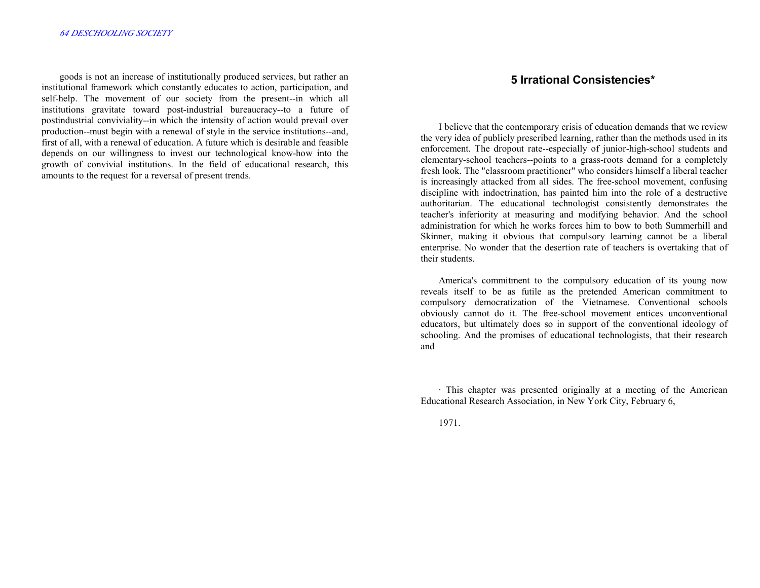goods is not an increase of institutionally produced services, but rather an institutional framework which constantly educates to action, participation, and self-help. The movement of our society from the present-in which all institutions gravitate toward post-industrial bureaucracy--to a future of postindustrial conviviality--in which the intensity of action would prevail over production--must begin with a renewal of style in the service institutions--and, first of all, with a renewal of education. A future which is desirable and feasible depends on our willingness to invest our technological know-how into the growth of convivial institutions. In the field of educational research, this amounts to the request for a reversal of present trends.

# 5 Irrational Consistencies\*

I believe that the contemporary crisis of education demands that we review the very idea of publicly prescribed learning, rather than the methods used in its enforcement. The dropout rate-especially of junior-high-school students and elementary-school teachers--points to a grass-roots demand for a completely fresh look. The "classroom practitioner" who considers himself a liberal teacher is increasingly attacked from all sides. The free-school movement, confusing discipline with indoctrination, has painted him into the role of a destructive authoritarian. The educational technologist consistently demonstrates the teacher's inferiority at measuring and modifying behavior. And the school administration for which he works forces him to bow to both Summerhill and Skinner, making it obvious that compulsory learning cannot be a liberal enterprise. No wonder that the desertion rate of teachers is overtaking that of their students.

America's commitment to the compulsory education of its young now reveals itself to be as futile as the pretended American commitment to compulsory democratization of the Vietnamese. Conventional schools obviously cannot do it. The free-school movement entices unconventional educators, but ultimately does so in support of the conventional ideology of schooling. And the promises of educational technologists, that their research and

· This chapter was presented originally at a meeting of the American Educational Research Association, in New York City, February 6,

1971.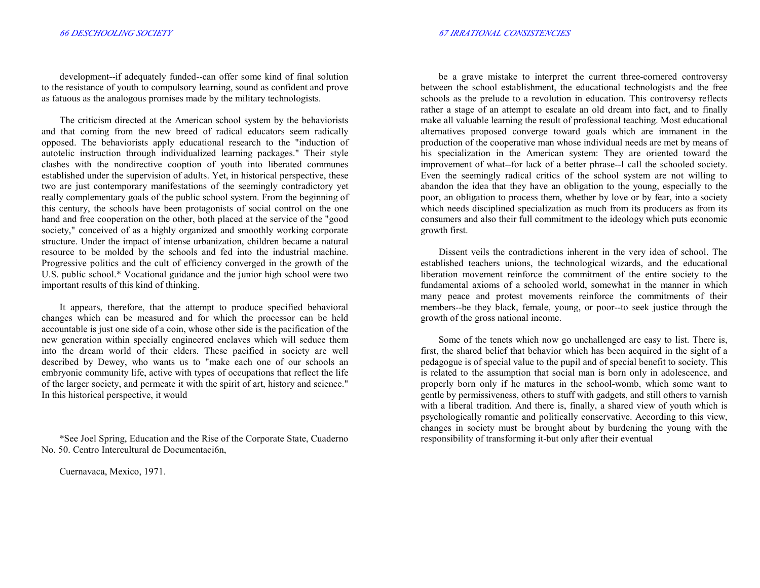development--if adequately funded--can offer some kind of final solution to the resistance of youth to compulsory learning, sound as confident and prove as fatuous as the analogous promises made by the military technologists.

The criticism directed at the American school system by the behaviorists and that coming from the new breed of radical educators seem radically opposed. The behaviorists apply educational research to the "induction of autotelic instruction through individualized learning packages." Their style clashes with the nondirective cooption of youth into liberated communes established under the supervision of adults. Yet, in historical perspective, these two are just contemporary manifestations of the seemingly contradictory yet really complementary goals of the public school system. From the beginning of this century, the schools have been protagonists of social control on the one hand and free cooperation on the other, both placed at the service of the "good society," conceived of as a highly organized and smoothly working corporate structure. Under the impact of intense urbanization, children became a natural resource to be molded by the schools and fed into the industrial machine. Progressive politics and the cult of efficiency converged in the growth of the U.S. public school.\* Vocational guidance and the junior high school were two important results of this kind of thinking.

It appears, therefore, that the attempt to produce specified behavioral changes which can be measured and for which the processor can be held accountable is just one side of a coin, whose other side is the pacification of the new generation within specially engineered enclaves which will seduce them into the dream world of their elders. These pacified in society are well described by Dewey, who wants us to "make each one of our schools an embryonic community life, active with types of occupations that reflect the life of the larger society, and permeate it with the spirit of art, history and science." In this historical perspective, it would

\*See Joel Spring, Education and the Rise of the Corporate State, Cuaderno No. 50. Centro Intercultural de Documentación.

Cuernavaca, Mexico, 1971.

be a grave mistake to interpret the current three-cornered controversy between the school establishment, the educational technologists and the free schools as the prelude to a revolution in education. This controversy reflects rather a stage of an attempt to escalate an old dream into fact, and to finally make all valuable learning the result of professional teaching. Most educational alternatives proposed converge toward goals which are immanent in the production of the cooperative man whose individual needs are met by means of his specialization in the American system: They are oriented toward the improvement of what-for lack of a better phrase-I call the schooled society. Even the seemingly radical critics of the school system are not willing to abandon the idea that they have an obligation to the young, especially to the poor, an obligation to process them, whether by love or by fear, into a society which needs disciplined specialization as much from its producers as from its consumers and also their full commitment to the ideology which puts economic growth first.

Dissent veils the contradictions inherent in the very idea of school. The established teachers unions, the technological wizards, and the educational liberation movement reinforce the commitment of the entire society to the fundamental axioms of a schooled world, somewhat in the manner in which many peace and protest movements reinforce the commitments of their members--be they black, female, young, or poor--to seek justice through the growth of the gross national income.

Some of the tenets which now go unchallenged are easy to list. There is, first, the shared belief that behavior which has been acquired in the sight of a pedagogue is of special value to the pupil and of special benefit to society. This is related to the assumption that social man is born only in adolescence, and properly born only if he matures in the school-womb, which some want to gentle by permissiveness, others to stuff with gadgets, and still others to varnish with a liberal tradition. And there is, finally, a shared view of youth which is psychologically romantic and politically conservative. According to this view, changes in society must be brought about by burdening the young with the responsibility of transforming it-but only after their eventual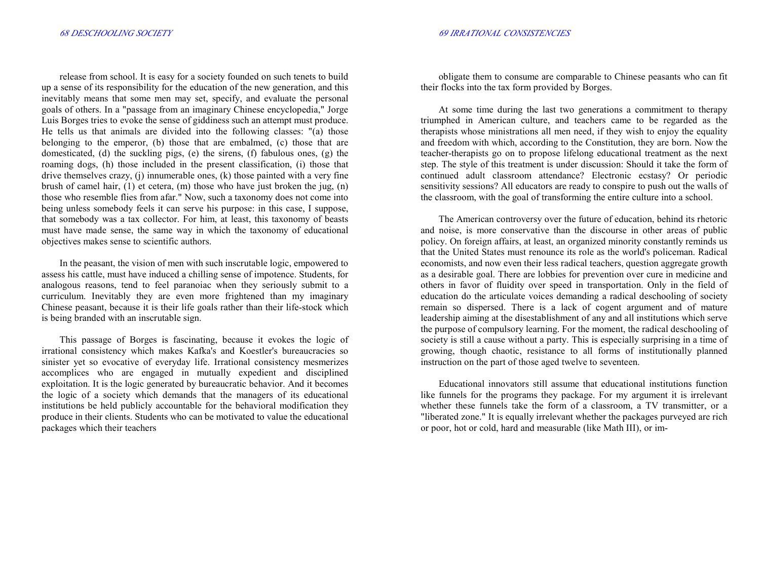release from school. It is easy for a society founded on such tenets to build up a sense of its responsibility for the education of the new generation, and this inevitably means that some men may set, specify, and evaluate the personal goals of others. In a "passage from an imaginary Chinese encyclopedia," Jorge Luis Borges tries to evoke the sense of giddiness such an attempt must produce. He tells us that animals are divided into the following classes: "(a) those belonging to the emperor, (b) those that are embalmed, (c) those that are domesticated, (d) the suckling pigs, (e) the sirens, (f) fabulous ones, (g) the roaming dogs, (h) those included in the present classification, (i) those that drive themselves crazy, (i) innumerable ones,  $(k)$  those painted with a very fine brush of camel hair,  $(1)$  et cetera,  $(m)$  those who have just broken the jug,  $(n)$ those who resemble flies from a far." Now, such a taxonomy does not come into being unless somebody feels it can serve his purpose: in this case, I suppose, that somebody was a tax collector. For him, at least, this taxonomy of beasts must have made sense, the same way in which the taxonomy of educational objectives makes sense to scientific authors.

In the peasant, the vision of men with such inscrutable logic, empowered to assess his cattle, must have induced a chilling sense of impotence. Students, for analogous reasons, tend to feel paranoiac when they seriously submit to a curriculum. Inevitably they are even more frightened than my imaginary Chinese peasant, because it is their life goals rather than their life-stock which is being branded with an inscrutable sign.

This passage of Borges is fascinating, because it evokes the logic of irrational consistency which makes Kafka's and Koestler's bureaucracies so sinister yet so evocative of everyday life. Irrational consistency mesmerizes accomplices who are engaged in mutually expedient and disciplined exploitation. It is the logic generated by bureaucratic behavior. And it becomes the logic of a society which demands that the managers of its educational institutions be held publicly accountable for the behavioral modification they produce in their clients. Students who can be motivated to value the educational packages which their teachers

obligate them to consume are comparable to Chinese peasants who can fit their flocks into the tax form provided by Borges.

At some time during the last two generations a commitment to therapy triumphed in American culture, and teachers came to be regarded as the therapists whose ministrations all men need, if they wish to enjoy the equality and freedom with which, according to the Constitution, they are born. Now the teacher-therapists go on to propose lifelong educational treatment as the next step. The style of this treatment is under discussion: Should it take the form of continued adult classroom attendance? Electronic ecstasy? Or periodic sensitivity sessions? All educators are ready to conspire to push out the walls of the classroom, with the goal of transforming the entire culture into a school.

The American controversy over the future of education, behind its rhetoric and noise, is more conservative than the discourse in other areas of public policy. On foreign affairs, at least, an organized minority constantly reminds us that the United States must renounce its role as the world's policeman. Radical economists, and now even their less radical teachers, question aggregate growth as a desirable goal. There are lobbies for prevention over cure in medicine and others in favor of fluidity over speed in transportation. Only in the field of education do the articulate voices demanding a radical deschooling of society remain so dispersed. There is a lack of cogent argument and of mature leadership aiming at the disestablishment of any and all institutions which serve the purpose of compulsory learning. For the moment, the radical deschooling of society is still a cause without a party. This is especially surprising in a time of growing, though chaotic, resistance to all forms of institutionally planned instruction on the part of those aged twelve to seventeen.

Educational innovators still assume that educational institutions function like funnels for the programs they package. For my argument it is irrelevant whether these funnels take the form of a classroom, a TV transmitter, or a "liberated zone." It is equally irrelevant whether the packages purveyed are rich or poor, hot or cold, hard and measurable (like Math III), or im-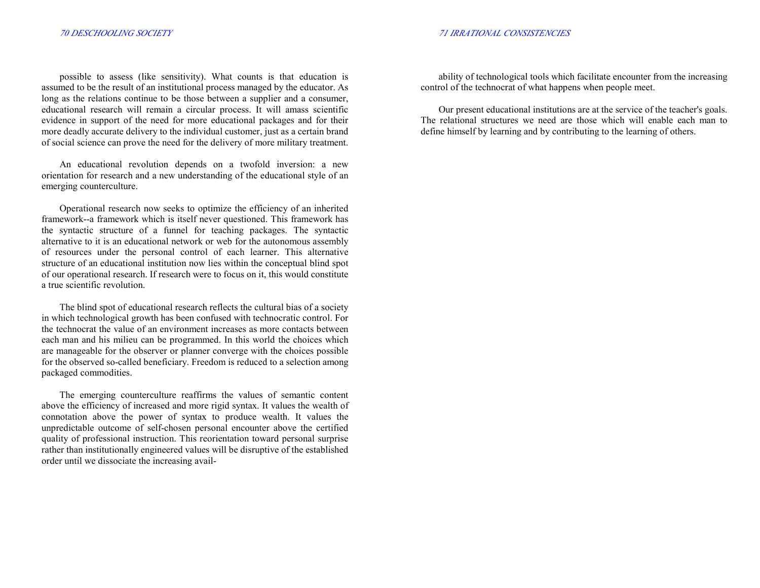#### **71 IRRATIONAL CONSISTENCIES**

possible to assess (like sensitivity). What counts is that education is assumed to be the result of an institutional process managed by the educator. As long as the relations continue to be those between a supplier and a consumer, educational research will remain a circular process. It will amass scientific evidence in support of the need for more educational packages and for their more deadly accurate delivery to the individual customer, just as a certain brand of social science can prove the need for the delivery of more military treatment.

An educational revolution depends on a twofold inversion: a new orientation for research and a new understanding of the educational style of an emerging counterculture.

Operational research now seeks to optimize the efficiency of an inherited framework--a framework which is itself never questioned. This framework has the syntactic structure of a funnel for teaching packages. The syntactic alternative to it is an educational network or web for the autonomous assembly of resources under the personal control of each learner. This alternative structure of an educational institution now lies within the conceptual blind spot of our operational research. If research were to focus on it, this would constitute a true scientific revolution.

The blind spot of educational research reflects the cultural bias of a society in which technological growth has been confused with technocratic control. For the technocrat the value of an environment increases as more contacts between each man and his milieu can be programmed. In this world the choices which are manageable for the observer or planner converge with the choices possible for the observed so-called beneficiary. Freedom is reduced to a selection among packaged commodities.

The emerging counterculture reaffirms the values of semantic content above the efficiency of increased and more rigid syntax. It values the wealth of connotation above the power of syntax to produce wealth. It values the unpredictable outcome of self-chosen personal encounter above the certified quality of professional instruction. This reorientation toward personal surprise rather than institutionally engineered values will be disruptive of the established order until we dissociate the increasing avail-

ability of technological tools which facilitate encounter from the increasing control of the technocrat of what happens when people meet.

Our present educational institutions are at the service of the teacher's goals. The relational structures we need are those which will enable each man to define himself by learning and by contributing to the learning of others.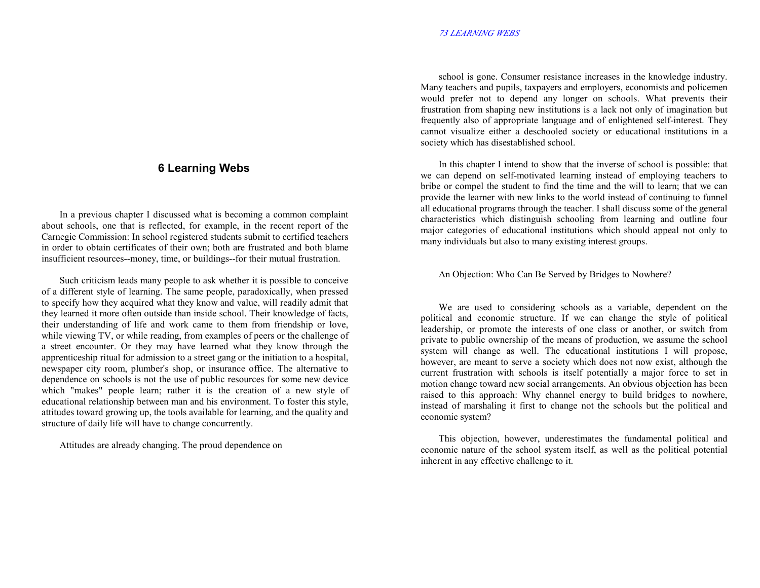**6 Learning Webs** 

In a previous chapter I discussed what is becoming a common complaint about schools, one that is reflected, for example, in the recent report of the Carnegie Commission: In school registered students submit to certified teachers in order to obtain certificates of their own; both are frustrated and both blame insufficient resources--money, time, or buildings--for their mutual frustration.

Such criticism leads many people to ask whether it is possible to conceive of a different style of learning. The same people, paradoxically, when pressed to specify how they acquired what they know and value, will readily admit that they learned it more often outside than inside school. Their knowledge of facts, their understanding of life and work came to them from friendship or love, while viewing TV, or while reading, from examples of peers or the challenge of a street encounter. Or they may have learned what they know through the apprenticeship ritual for admission to a street gang or the initiation to a hospital, newspaper city room, plumber's shop, or insurance office. The alternative to dependence on schools is not the use of public resources for some new device which "makes" people learn; rather it is the creation of a new style of educational relationship between man and his environment. To foster this style, attitudes toward growing up, the tools available for learning, and the quality and structure of daily life will have to change concurrently.

Attitudes are already changing. The proud dependence on

school is gone. Consumer resistance increases in the knowledge industry. Many teachers and pupils, taxpayers and employers, economists and policemen would prefer not to depend any longer on schools. What prevents their frustration from shaping new institutions is a lack not only of imagination but frequently also of appropriate language and of enlightened self-interest. They cannot visualize either a deschooled society or educational institutions in a society which has disestablished school.

In this chapter I intend to show that the inverse of school is possible: that we can depend on self-motivated learning instead of employing teachers to bribe or compel the student to find the time and the will to learn; that we can provide the learner with new links to the world instead of continuing to funnel all educational programs through the teacher. I shall discuss some of the general characteristics which distinguish schooling from learning and outline four major categories of educational institutions which should appeal not only to many individuals but also to many existing interest groups.

An Objection: Who Can Be Served by Bridges to Nowhere?

We are used to considering schools as a variable, dependent on the political and economic structure. If we can change the style of political leadership, or promote the interests of one class or another, or switch from private to public ownership of the means of production, we assume the school system will change as well. The educational institutions I will propose, however, are meant to serve a society which does not now exist, although the current frustration with schools is itself potentially a major force to set in motion change toward new social arrangements. An obvious objection has been raised to this approach: Why channel energy to build bridges to nowhere, instead of marshaling it first to change not the schools but the political and economic system?

This objection, however, underestimates the fundamental political and economic nature of the school system itself, as well as the political potential inherent in any effective challenge to it.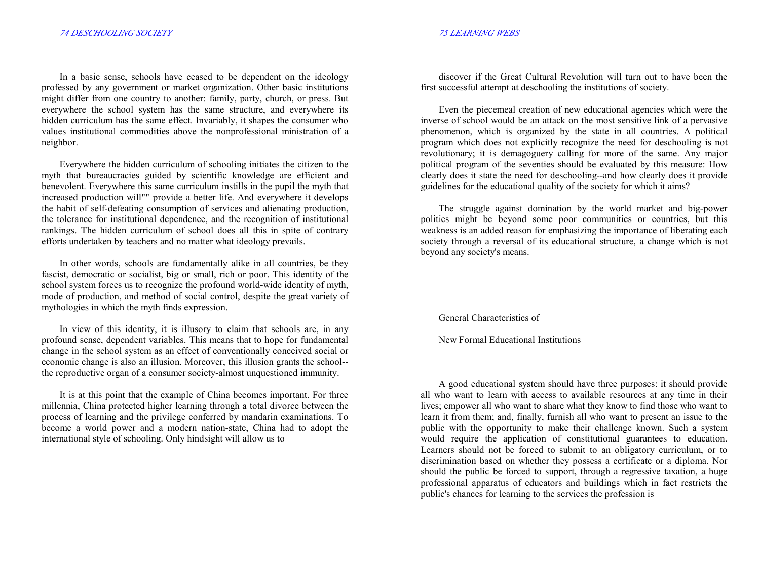In a basic sense, schools have ceased to be dependent on the ideology professed by any government or market organization. Other basic institutions might differ from one country to another: family, party, church, or press. But everywhere the school system has the same structure, and everywhere its hidden curriculum has the same effect. Invariably, it shapes the consumer who values institutional commodities above the nonprofessional ministration of a neighbor.

Everywhere the hidden curriculum of schooling initiates the citizen to the myth that bureaucracies guided by scientific knowledge are efficient and benevolent. Everywhere this same curriculum instills in the pupil the myth that increased production will"" provide a better life. And everywhere it develops the habit of self-defeating consumption of services and alienating production, the tolerance for institutional dependence, and the recognition of institutional rankings. The hidden curriculum of school does all this in spite of contrary efforts undertaken by teachers and no matter what ideology prevails.

In other words, schools are fundamentally alike in all countries, be they fascist, democratic or socialist, big or small, rich or poor. This identity of the school system forces us to recognize the profound world-wide identity of myth, mode of production, and method of social control, despite the great variety of mythologies in which the myth finds expression.

In view of this identity, it is illusory to claim that schools are, in any profound sense, dependent variables. This means that to hope for fundamental change in the school system as an effect of conventionally conceived social or economic change is also an illusion. Moreover, this illusion grants the school-the reproductive organ of a consumer society-almost unquestioned immunity.

It is at this point that the example of China becomes important. For three millennia, China protected higher learning through a total divorce between the process of learning and the privilege conferred by mandarin examinations. To become a world power and a modern nation-state, China had to adopt the international style of schooling. Only hindsight will allow us to

discover if the Great Cultural Revolution will turn out to have been the first successful attempt at deschooling the institutions of society.

Even the piecemeal creation of new educational agencies which were the inverse of school would be an attack on the most sensitive link of a pervasive phenomenon, which is organized by the state in all countries. A political program which does not explicitly recognize the need for deschooling is not revolutionary; it is demagoguery calling for more of the same. Any major political program of the seventies should be evaluated by this measure: How clearly does it state the need for deschooling--and how clearly does it provide guidelines for the educational quality of the society for which it aims?

The struggle against domination by the world market and big-power politics might be beyond some poor communities or countries, but this weakness is an added reason for emphasizing the importance of liberating each society through a reversal of its educational structure, a change which is not beyond any society's means.

#### General Characteristics of

New Formal Educational Institutions

A good educational system should have three purposes: it should provide all who want to learn with access to available resources at any time in their lives; empower all who want to share what they know to find those who want to learn it from them; and, finally, furnish all who want to present an issue to the public with the opportunity to make their challenge known. Such a system would require the application of constitutional guarantees to education. Learners should not be forced to submit to an obligatory curriculum, or to discrimination based on whether they possess a certificate or a diploma. Nor should the public be forced to support, through a regressive taxation, a huge professional apparatus of educators and buildings which in fact restricts the public's chances for learning to the services the profession is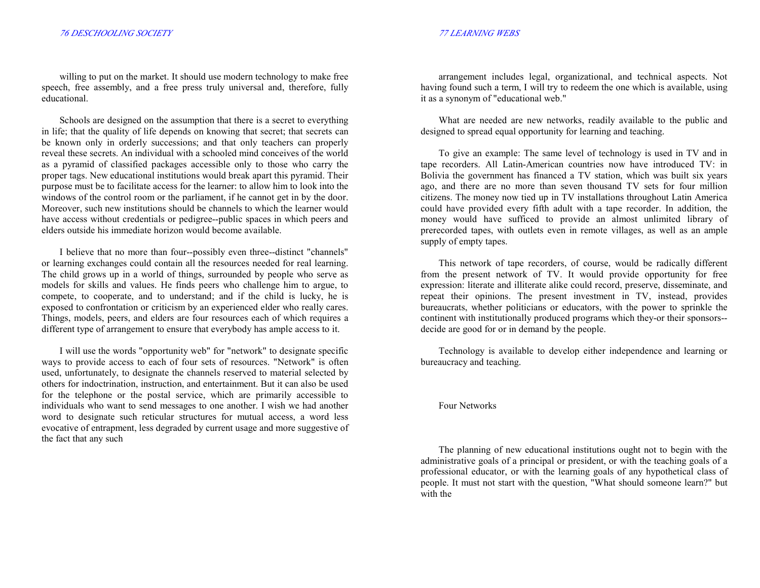#### **77 LEARNING WEBS**

willing to put on the market. It should use modern technology to make free speech, free assembly, and a free press truly universal and, therefore, fully educational

Schools are designed on the assumption that there is a secret to everything in life; that the quality of life depends on knowing that secret; that secrets can be known only in orderly successions; and that only teachers can properly reveal these secrets. An individual with a schooled mind conceives of the world as a pyramid of classified packages accessible only to those who carry the proper tags. New educational institutions would break apart this pyramid. Their purpose must be to facilitate access for the learner: to allow him to look into the windows of the control room or the parliament, if he cannot get in by the door. Moreover, such new institutions should be channels to which the learner would have access without credentials or pedigree--public spaces in which peers and elders outside his immediate horizon would become available.

I believe that no more than four--possibly even three--distinct "channels" or learning exchanges could contain all the resources needed for real learning. The child grows up in a world of things, surrounded by people who serve as models for skills and values. He finds peers who challenge him to argue, to compete, to cooperate, and to understand; and if the child is lucky, he is exposed to confrontation or criticism by an experienced elder who really cares. Things, models, peers, and elders are four resources each of which requires a different type of arrangement to ensure that everybody has ample access to it.

I will use the words "opportunity web" for "network" to designate specific ways to provide access to each of four sets of resources. "Network" is often used, unfortunately, to designate the channels reserved to material selected by others for indoctrination, instruction, and entertainment. But it can also be used for the telephone or the postal service, which are primarily accessible to individuals who want to send messages to one another. I wish we had another word to designate such reticular structures for mutual access, a word less evocative of entrapment, less degraded by current usage and more suggestive of the fact that any such

arrangement includes legal, organizational, and technical aspects. Not having found such a term, I will try to redeem the one which is available, using it as a synonym of "educational web."

What are needed are new networks, readily available to the public and designed to spread equal opportunity for learning and teaching.

To give an example: The same level of technology is used in TV and in tape recorders. All Latin-American countries now have introduced TV: in Bolivia the government has financed a TV station, which was built six years ago, and there are no more than seven thousand TV sets for four million citizens. The money now tied up in TV installations throughout Latin America could have provided every fifth adult with a tape recorder. In addition, the money would have sufficed to provide an almost unlimited library of prerecorded tapes, with outlets even in remote villages, as well as an ample supply of empty tapes.

This network of tape recorders, of course, would be radically different from the present network of TV. It would provide opportunity for free expression: literate and illiterate alike could record, preserve, disseminate, and repeat their opinions. The present investment in TV, instead, provides bureaucrats, whether politicians or educators, with the power to sprinkle the continent with institutionally produced programs which they-or their sponsors-decide are good for or in demand by the people.

Technology is available to develop either independence and learning or bureaucracy and teaching.

**Four Networks** 

The planning of new educational institutions ought not to begin with the administrative goals of a principal or president, or with the teaching goals of a professional educator, or with the learning goals of any hypothetical class of people. It must not start with the question. "What should someone learn?" but with the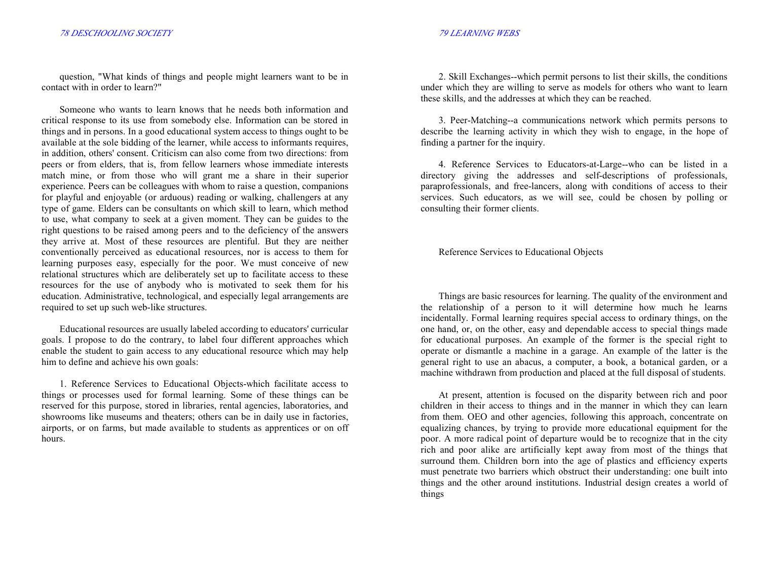#### **79 LEARNING WEBS**

question, "What kinds of things and people might learners want to be in contact with in order to learn?"

Someone who wants to learn knows that he needs both information and critical response to its use from somebody else. Information can be stored in things and in persons. In a good educational system access to things ought to be available at the sole bidding of the learner, while access to informants requires, in addition, others' consent. Criticism can also come from two directions: from peers or from elders, that is, from fellow learners whose immediate interests match mine, or from those who will grant me a share in their superior experience. Peers can be colleagues with whom to raise a question, companions for playful and enjoyable (or arduous) reading or walking, challengers at any type of game. Elders can be consultants on which skill to learn, which method to use, what company to seek at a given moment. They can be guides to the right questions to be raised among peers and to the deficiency of the answers they arrive at. Most of these resources are plentiful. But they are neither conventionally perceived as educational resources, nor is access to them for learning purposes easy, especially for the poor. We must conceive of new relational structures which are deliberately set up to facilitate access to these resources for the use of anybody who is motivated to seek them for his education. Administrative, technological, and especially legal arrangements are required to set up such web-like structures.

Educational resources are usually labeled according to educators' curricular goals. I propose to do the contrary, to label four different approaches which enable the student to gain access to any educational resource which may help him to define and achieve his own goals:

1. Reference Services to Educational Objects-which facilitate access to things or processes used for formal learning. Some of these things can be reserved for this purpose, stored in libraries, rental agencies, laboratories, and showrooms like museums and theaters; others can be in daily use in factories, airports, or on farms, but made available to students as apprentices or on off hours.

2. Skill Exchanges-which permit persons to list their skills, the conditions under which they are willing to serve as models for others who want to learn these skills, and the addresses at which they can be reached.

3. Peer-Matching--a communications network which permits persons to describe the learning activity in which they wish to engage, in the hope of finding a partner for the inquiry.

4. Reference Services to Educators-at-Large--who can be listed in a directory giving the addresses and self-descriptions of professionals. paraprofessionals, and free-lancers, along with conditions of access to their services. Such educators, as we will see, could be chosen by polling or consulting their former clients.

Reference Services to Educational Objects

Things are basic resources for learning. The quality of the environment and the relationship of a person to it will determine how much he learns incidentally. Formal learning requires special access to ordinary things, on the one hand, or, on the other, easy and dependable access to special things made for educational purposes. An example of the former is the special right to operate or dismantle a machine in a garage. An example of the latter is the general right to use an abacus, a computer, a book, a botanical garden, or a machine withdrawn from production and placed at the full disposal of students.

At present, attention is focused on the disparity between rich and poor children in their access to things and in the manner in which they can learn from them. OEO and other agencies, following this approach, concentrate on equalizing chances, by trying to provide more educational equipment for the poor. A more radical point of departure would be to recognize that in the city rich and poor alike are artificially kept away from most of the things that surround them. Children born into the age of plastics and efficiency experts must penetrate two barriers which obstruct their understanding: one built into things and the other around institutions. Industrial design creates a world of things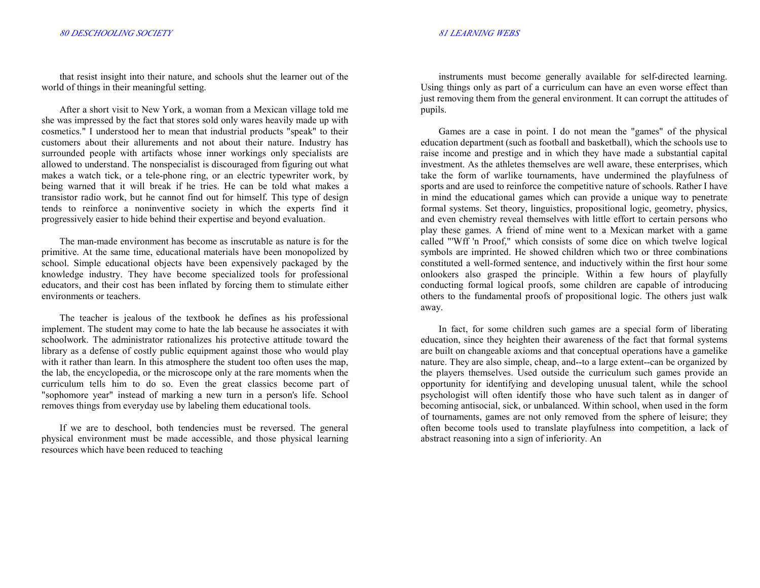that resist insight into their nature, and schools shut the learner out of the world of things in their meaningful setting.

After a short visit to New York, a woman from a Mexican village told me she was impressed by the fact that stores sold only wares heavily made up with cosmetics." I understood her to mean that industrial products "speak" to their customers about their allurements and not about their nature. Industry has surrounded people with artifacts whose inner workings only specialists are allowed to understand. The nonspecialist is discouraged from figuring out what makes a watch tick, or a tele-phone ring, or an electric typewriter work, by being warned that it will break if he tries. He can be told what makes a transistor radio work, but he cannot find out for himself. This type of design tends to reinforce a noninventive society in which the experts find it progressively easier to hide behind their expertise and beyond evaluation.

The man-made environment has become as inscrutable as nature is for the primitive. At the same time, educational materials have been monopolized by school. Simple educational objects have been expensively packaged by the knowledge industry. They have become specialized tools for professional educators, and their cost has been inflated by forcing them to stimulate either environments or teachers.

The teacher is jealous of the textbook he defines as his professional implement. The student may come to hate the lab because he associates it with schoolwork. The administrator rationalizes his protective attitude toward the library as a defense of costly public equipment against those who would play with it rather than learn. In this atmosphere the student too often uses the map, the lab, the encyclopedia, or the microscope only at the rare moments when the curriculum tells him to do so. Even the great classics become part of "sophomore year" instead of marking a new turn in a person's life. School removes things from everyday use by labeling them educational tools.

If we are to deschool, both tendencies must be reversed. The general physical environment must be made accessible, and those physical learning resources which have been reduced to teaching

instruments must become generally available for self-directed learning. Using things only as part of a curriculum can have an even worse effect than just removing them from the general environment. It can corrupt the attitudes of pupils.

Games are a case in point. I do not mean the "games" of the physical education department (such as football and basketball), which the schools use to raise income and prestige and in which they have made a substantial capital investment. As the athletes themselves are well aware, these enterprises, which take the form of warlike tournaments, have undermined the playfulness of sports and are used to reinforce the competitive nature of schools. Rather I have in mind the educational games which can provide a unique way to penetrate formal systems. Set theory, linguistics, propositional logic, geometry, physics, and even chemistry reveal themselves with little effort to certain persons who play these games. A friend of mine went to a Mexican market with a game called "Wff 'n Proof," which consists of some dice on which twelve logical symbols are imprinted. He showed children which two or three combinations constituted a well-formed sentence, and inductively within the first hour some onlookers also grasped the principle. Within a few hours of playfully conducting formal logical proofs, some children are capable of introducing others to the fundamental proofs of propositional logic. The others just walk away.

In fact, for some children such games are a special form of liberating education, since they heighten their awareness of the fact that formal systems are built on changeable axioms and that conceptual operations have a gamelike nature. They are also simple, cheap, and-to a large extent-can be organized by the players themselves. Used outside the curriculum such games provide an opportunity for identifying and developing unusual talent, while the school psychologist will often identify those who have such talent as in danger of becoming antisocial, sick, or unbalanced. Within school, when used in the form of tournaments, games are not only removed from the sphere of leisure; they often become tools used to translate playfulness into competition, a lack of abstract reasoning into a sign of inferiority. An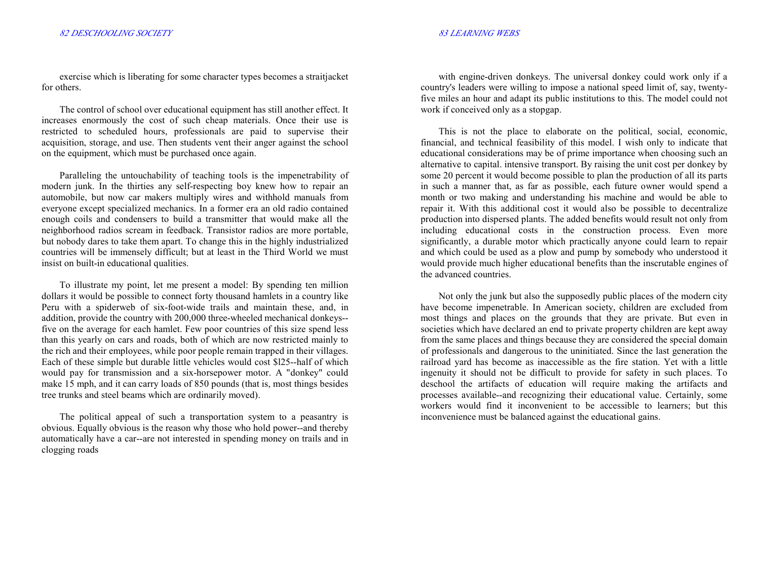exercise which is liberating for some character types becomes a strait acket for others.

The control of school over educational equipment has still another effect. It increases enormously the cost of such cheap materials. Once their use is restricted to scheduled hours, professionals are paid to supervise their acquisition, storage, and use. Then students vent their anger against the school on the equipment, which must be purchased once again.

Paralleling the untouchability of teaching tools is the impenetrability of modern junk. In the thirties any self-respecting boy knew how to repair an automobile, but now car makers multiply wires and withhold manuals from everyone except specialized mechanics. In a former era an old radio contained enough coils and condensers to build a transmitter that would make all the neighborhood radios scream in feedback. Transistor radios are more portable, but nobody dares to take them apart. To change this in the highly industrialized countries will be immensely difficult; but at least in the Third World we must insist on built-in educational qualities.

To illustrate my point, let me present a model: By spending ten million dollars it would be possible to connect forty thousand hamlets in a country like Peru with a spiderweb of six-foot-wide trails and maintain these, and, in addition, provide the country with 200,000 three-wheeled mechanical donkeys-five on the average for each hamlet. Few poor countries of this size spend less than this yearly on cars and roads, both of which are now restricted mainly to the rich and their employees, while poor people remain trapped in their villages. Each of these simple but durable little vehicles would cost \$125-half of which would pay for transmission and a six-horsepower motor. A "donkey" could make 15 mph, and it can carry loads of 850 pounds (that is, most things besides tree trunks and steel beams which are ordinarily moved).

The political appeal of such a transportation system to a peasantry is obvious. Equally obvious is the reason why those who hold power-and thereby automatically have a car--are not interested in spending money on trails and in clogging roads

with engine-driven donkeys. The universal donkey could work only if a country's leaders were willing to impose a national speed limit of, say, twentyfive miles an hour and adapt its public institutions to this. The model could not work if conceived only as a stopgap.

This is not the place to elaborate on the political, social, economic, financial, and technical feasibility of this model. I wish only to indicate that educational considerations may be of prime importance when choosing such an alternative to capital. intensive transport. By raising the unit cost per donkey by some 20 percent it would become possible to plan the production of all its parts in such a manner that, as far as possible, each future owner would spend a month or two making and understanding his machine and would be able to repair it. With this additional cost it would also be possible to decentralize production into dispersed plants. The added benefits would result not only from including educational costs in the construction process. Even more significantly, a durable motor which practically anyone could learn to repair and which could be used as a plow and pump by somebody who understood it would provide much higher educational benefits than the inscrutable engines of the advanced countries

Not only the junk but also the supposedly public places of the modern city have become impenetrable. In American society, children are excluded from most things and places on the grounds that they are private. But even in societies which have declared an end to private property children are kept away from the same places and things because they are considered the special domain of professionals and dangerous to the uninitiated. Since the last generation the railroad yard has become as inaccessible as the fire station. Yet with a little ingenuity it should not be difficult to provide for safety in such places. To deschool the artifacts of education will require making the artifacts and processes available--and recognizing their educational value. Certainly, some workers would find it inconvenient to be accessible to learners; but this inconvenience must be balanced against the educational gains.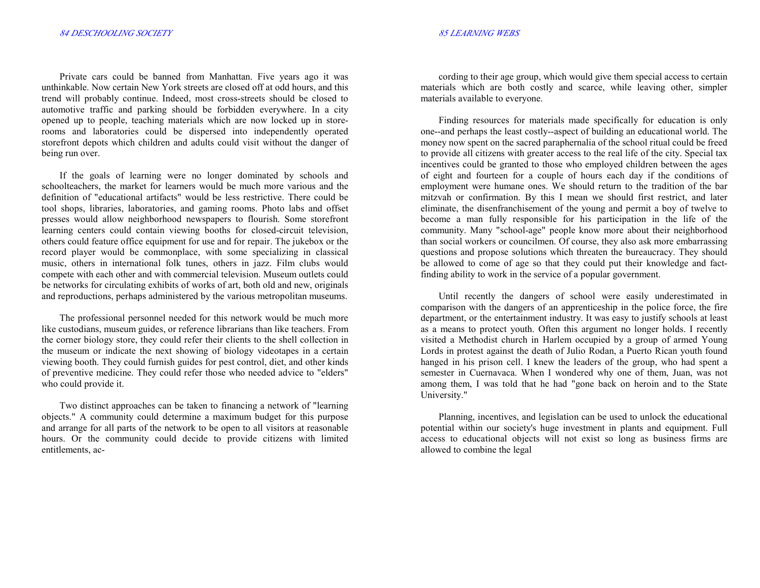Private cars could be banned from Manhattan. Five years ago it was unthinkable. Now certain New York streets are closed off at odd hours, and this trend will probably continue. Indeed, most cross-streets should be closed to automotive traffic and parking should be forbidden everywhere. In a city opened up to people, teaching materials which are now locked up in storerooms and laboratories could be dispersed into independently operated storefront depots which children and adults could visit without the danger of being run over.

If the goals of learning were no longer dominated by schools and schoolteachers, the market for learners would be much more various and the definition of "educational artifacts" would be less restrictive. There could be tool shops, libraries, laboratories, and gaming rooms. Photo labs and offset presses would allow neighborhood newspapers to flourish. Some storefront learning centers could contain viewing booths for closed-circuit television, others could feature office equipment for use and for repair. The jukebox or the record player would be commonplace, with some specializing in classical music, others in international folk tunes, others in jazz. Film clubs would compete with each other and with commercial television. Museum outlets could be networks for circulating exhibits of works of art, both old and new, originals and reproductions, perhaps administered by the various metropolitan museums.

The professional personnel needed for this network would be much more like custodians, museum guides, or reference librarians than like teachers. From the corner biology store, they could refer their clients to the shell collection in the museum or indicate the next showing of biology videotapes in a certain viewing booth. They could furnish guides for pest control, diet, and other kinds of preventive medicine. They could refer those who needed advice to "elders" who could provide it.

Two distinct approaches can be taken to financing a network of "learning" objects." A community could determine a maximum budget for this purpose and arrange for all parts of the network to be open to all visitors at reasonable hours. Or the community could decide to provide citizens with limited entitlements, ac-

cording to their age group, which would give them special access to certain materials which are both costly and scarce, while leaving other, simpler materials available to everyone.

Finding resources for materials made specifically for education is only one--and perhaps the least costly--aspect of building an educational world. The money now spent on the sacred paraphernalia of the school ritual could be freed to provide all citizens with greater access to the real life of the city. Special tax incentives could be granted to those who employed children between the ages of eight and fourteen for a couple of hours each day if the conditions of employment were humane ones. We should return to the tradition of the bar mitzvah or confirmation. By this I mean we should first restrict, and later eliminate, the disenfranchisement of the young and permit a boy of twelve to become a man fully responsible for his participation in the life of the community. Many "school-age" people know more about their neighborhood than social workers or councilmen. Of course, they also ask more embarrassing questions and propose solutions which threaten the bureaucracy. They should be allowed to come of age so that they could put their knowledge and factfinding ability to work in the service of a popular government.

Until recently the dangers of school were easily underestimated in comparison with the dangers of an apprenticeship in the police force, the fire department, or the entertainment industry. It was easy to justify schools at least as a means to protect youth. Often this argument no longer holds. I recently visited a Methodist church in Harlem occupied by a group of armed Young Lords in protest against the death of Julio Rodan, a Puerto Rican youth found hanged in his prison cell. I knew the leaders of the group, who had spent a semester in Cuernavaca. When I wondered why one of them, Juan, was not among them, I was told that he had "gone back on heroin and to the State University."

Planning, incentives, and legislation can be used to unlock the educational potential within our society's huge investment in plants and equipment. Full access to educational objects will not exist so long as business firms are allowed to combine the legal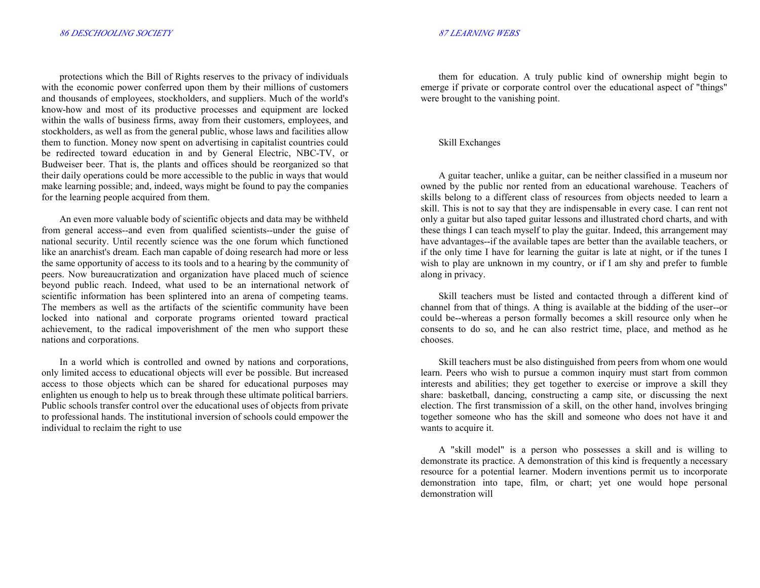#### **87 LEARNING WEBS**

protections which the Bill of Rights reserves to the privacy of individuals with the economic power conferred upon them by their millions of customers and thousands of employees, stockholders, and suppliers. Much of the world's know-how and most of its productive processes and equipment are locked within the walls of business firms, away from their customers, employees, and stockholders, as well as from the general public, whose laws and facilities allow them to function. Money now spent on advertising in capitalist countries could be redirected toward education in and by General Electric, NBC-TV, or Budweiser beer. That is, the plants and offices should be reorganized so that their daily operations could be more accessible to the public in ways that would make learning possible; and, indeed, ways might be found to pay the companies for the learning people acquired from them.

An even more valuable body of scientific objects and data may be withheld from general access-and even from qualified scientists-under the guise of national security. Until recently science was the one forum which functioned like an anarchist's dream. Each man capable of doing research had more or less the same opportunity of access to its tools and to a hearing by the community of peers. Now bureaucratization and organization have placed much of science beyond public reach. Indeed, what used to be an international network of scientific information has been splintered into an arena of competing teams. The members as well as the artifacts of the scientific community have been locked into national and corporate programs oriented toward practical achievement, to the radical impoverishment of the men who support these nations and corporations.

In a world which is controlled and owned by nations and corporations, only limited access to educational objects will ever be possible. But increased access to those objects which can be shared for educational purposes may enlighten us enough to help us to break through these ultimate political barriers. Public schools transfer control over the educational uses of objects from private to professional hands. The institutional inversion of schools could empower the individual to reclaim the right to use

them for education. A truly public kind of ownership might begin to emerge if private or corporate control over the educational aspect of "things" were brought to the vanishing point.

#### Skill Exchanges

A guitar teacher, unlike a guitar, can be neither classified in a museum nor owned by the public nor rented from an educational warehouse. Teachers of skills belong to a different class of resources from objects needed to learn a skill. This is not to say that they are indispensable in every case. I can rent not only a guitar but also taped guitar lessons and illustrated chord charts, and with these things I can teach myself to play the guitar. Indeed, this arrangement may have advantages-if the available tapes are better than the available teachers, or if the only time I have for learning the guitar is late at night, or if the tunes I wish to play are unknown in my country, or if I am shy and prefer to fumble along in privacy.

Skill teachers must be listed and contacted through a different kind of channel from that of things. A thing is available at the bidding of the user--or could be--whereas a person formally becomes a skill resource only when he consents to do so, and he can also restrict time, place, and method as he chooses.

Skill teachers must be also distinguished from peers from whom one would learn. Peers who wish to pursue a common inquiry must start from common interests and abilities; they get together to exercise or improve a skill they share: basketball, dancing, constructing a camp site, or discussing the next election. The first transmission of a skill, on the other hand, involves bringing together someone who has the skill and someone who does not have it and wants to acquire it.

A "skill model" is a person who possesses a skill and is willing to demonstrate its practice. A demonstration of this kind is frequently a necessary resource for a potential learner. Modern inventions permit us to incorporate demonstration into tape, film, or chart; yet one would hope personal demonstration will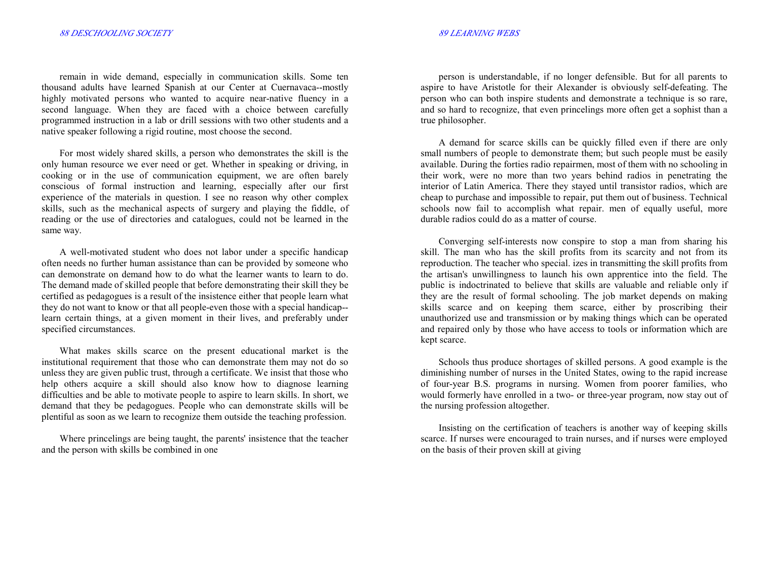remain in wide demand, especially in communication skills. Some ten thousand adults have learned Spanish at our Center at Cuernavaca--mostly highly motivated persons who wanted to acquire near-native fluency in a second language. When they are faced with a choice between carefully programmed instruction in a lab or drill sessions with two other students and a native speaker following a rigid routine, most choose the second.

For most widely shared skills, a person who demonstrates the skill is the only human resource we ever need or get. Whether in speaking or driving, in cooking or in the use of communication equipment, we are often barely conscious of formal instruction and learning, especially after our first experience of the materials in question. I see no reason why other complex skills, such as the mechanical aspects of surgery and playing the fiddle, of reading or the use of directories and catalogues, could not be learned in the same way.

A well-motivated student who does not labor under a specific handicap often needs no further human assistance than can be provided by someone who can demonstrate on demand how to do what the learner wants to learn to do. The demand made of skilled people that before demonstrating their skill they be certified as pedagogues is a result of the insistence either that people learn what they do not want to know or that all people-even those with a special handicap-learn certain things, at a given moment in their lives, and preferably under specified circumstances.

What makes skills scarce on the present educational market is the institutional requirement that those who can demonstrate them may not do so unless they are given public trust, through a certificate. We insist that those who help others acquire a skill should also know how to diagnose learning difficulties and be able to motivate people to aspire to learn skills. In short, we demand that they be pedagogues. People who can demonstrate skills will be plentiful as soon as we learn to recognize them outside the teaching profession.

Where princelings are being taught, the parents' insistence that the teacher and the person with skills be combined in one

person is understandable, if no longer defensible. But for all parents to aspire to have Aristotle for their Alexander is obviously self-defeating. The person who can both inspire students and demonstrate a technique is so rare, and so hard to recognize, that even princelings more often get a sophist than a true philosopher.

A demand for scarce skills can be quickly filled even if there are only small numbers of people to demonstrate them; but such people must be easily available. During the forties radio repairmen, most of them with no schooling in their work, were no more than two years behind radios in penetrating the interior of Latin America. There they staved until transistor radios, which are cheap to purchase and impossible to repair, put them out of business. Technical schools now fail to accomplish what repair. men of equally useful, more durable radios could do as a matter of course

Converging self-interests now conspire to stop a man from sharing his skill. The man who has the skill profits from its scarcity and not from its reproduction. The teacher who special, izes in transmitting the skill profits from the artisan's unwillingness to launch his own apprentice into the field. The public is indoctrinated to believe that skills are valuable and reliable only if they are the result of formal schooling. The job market depends on making skills scarce and on keeping them scarce, either by proscribing their unauthorized use and transmission or by making things which can be operated and repaired only by those who have access to tools or information which are kept scarce.

Schools thus produce shortages of skilled persons. A good example is the diminishing number of nurses in the United States, owing to the rapid increase of four-year B.S. programs in nursing. Women from poorer families, who would formerly have enrolled in a two- or three-year program, now stay out of the nursing profession altogether.

Insisting on the certification of teachers is another way of keeping skills scarce. If nurses were encouraged to train nurses, and if nurses were employed on the basis of their proven skill at giving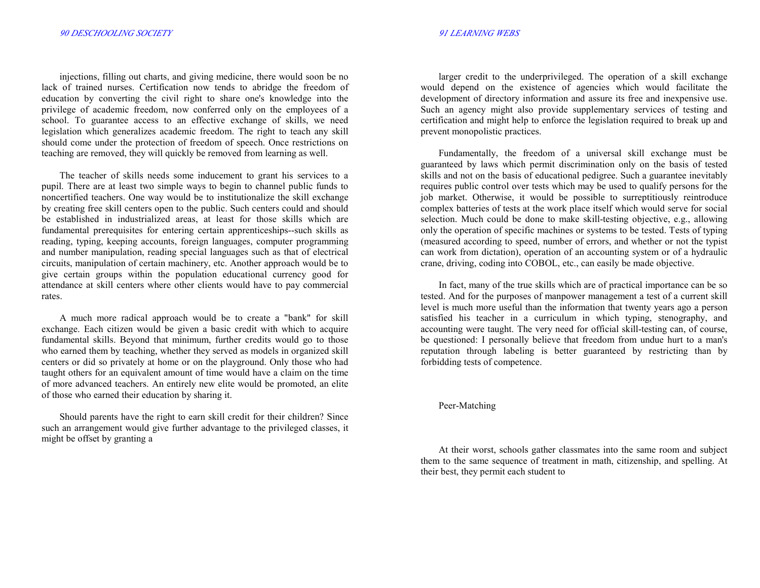injections, filling out charts, and giving medicine, there would soon be no lack of trained nurses. Certification now tends to abridge the freedom of education by converting the civil right to share one's knowledge into the privilege of academic freedom, now conferred only on the employees of a school. To guarantee access to an effective exchange of skills, we need legislation which generalizes academic freedom. The right to teach any skill should come under the protection of freedom of speech. Once restrictions on teaching are removed, they will quickly be removed from learning as well.

The teacher of skills needs some inducement to grant his services to a pupil. There are at least two simple ways to begin to channel public funds to noncertified teachers. One way would be to institutionalize the skill exchange by creating free skill centers open to the public. Such centers could and should be established in industrialized areas, at least for those skills which are fundamental prerequisites for entering certain apprenticeships-such skills as reading, typing, keeping accounts, foreign languages, computer programming and number manipulation, reading special languages such as that of electrical circuits, manipulation of certain machinery, etc. Another approach would be to give certain groups within the population educational currency good for attendance at skill centers where other clients would have to pay commercial rates.

A much more radical approach would be to create a "bank" for skill exchange. Each citizen would be given a basic credit with which to acquire fundamental skills. Beyond that minimum, further credits would go to those who earned them by teaching, whether they served as models in organized skill centers or did so privately at home or on the playground. Only those who had taught others for an equivalent amount of time would have a claim on the time of more advanced teachers. An entirely new elite would be promoted, an elite of those who earned their education by sharing it.

Should parents have the right to earn skill credit for their children? Since such an arrangement would give further advantage to the privileged classes, it might be offset by granting a

larger credit to the underprivileged. The operation of a skill exchange would depend on the existence of agencies which would facilitate the development of directory information and assure its free and inexpensive use. Such an agency might also provide supplementary services of testing and certification and might help to enforce the legislation required to break up and prevent monopolistic practices.

Fundamentally, the freedom of a universal skill exchange must be guaranteed by laws which permit discrimination only on the basis of tested skills and not on the basis of educational pedigree. Such a guarantee inevitably requires public control over tests which may be used to qualify persons for the job market. Otherwise, it would be possible to surreptitiously reintroduce complex batteries of tests at the work place itself which would serve for social selection. Much could be done to make skill-testing objective, e.g., allowing only the operation of specific machines or systems to be tested. Tests of typing (measured according to speed, number of errors, and whether or not the typist can work from dictation), operation of an accounting system or of a hydraulic crane, driving, coding into COBOL, etc., can easily be made objective.

In fact, many of the true skills which are of practical importance can be so tested. And for the purposes of manpower management a test of a current skill level is much more useful than the information that twenty years ago a person satisfied his teacher in a curriculum in which typing, stenography, and accounting were taught. The very need for official skill-testing can, of course, be questioned: I personally believe that freedom from undue hurt to a man's reputation through labeling is better guaranteed by restricting than by forbidding tests of competence.

Peer-Matching

At their worst, schools gather classmates into the same room and subject them to the same sequence of treatment in math, citizenship, and spelling. At their best, they permit each student to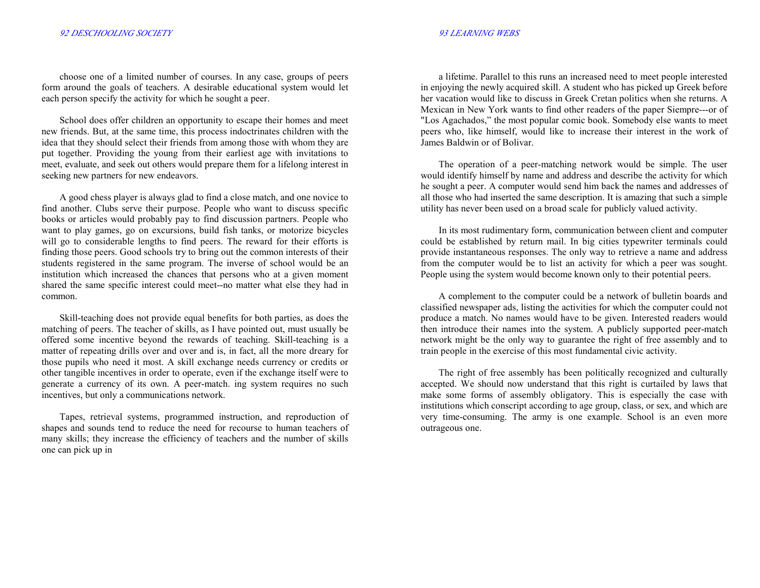choose one of a limited number of courses. In any case, groups of peers form around the goals of teachers. A desirable educational system would let each person specify the activity for which he sought a peer.

School does offer children an opportunity to escape their homes and meet new friends. But, at the same time, this process indoctrinates children with the idea that they should select their friends from among those with whom they are put together. Providing the young from their earliest age with invitations to meet, evaluate, and seek out others would prepare them for a lifelong interest in seeking new partners for new endeavors.

A good chess player is always glad to find a close match, and one novice to find another. Clubs serve their purpose. People who want to discuss specific books or articles would probably pay to find discussion partners. People who want to play games, go on excursions, build fish tanks, or motorize bicycles will go to considerable lengths to find peers. The reward for their efforts is finding those peers. Good schools try to bring out the common interests of their students registered in the same program. The inverse of school would be an institution which increased the chances that persons who at a given moment shared the same specific interest could meet-no matter what else they had in common.

Skill-teaching does not provide equal benefits for both parties, as does the matching of peers. The teacher of skills, as I have pointed out, must usually be offered some incentive beyond the rewards of teaching. Skill-teaching is a matter of repeating drills over and over and is, in fact, all the more dreary for those pupils who need it most. A skill exchange needs currency or credits or other tangible incentives in order to operate, even if the exchange itself were to generate a currency of its own. A peer-match, ing system requires no such incentives, but only a communications network.

Tapes, retrieval systems, programmed instruction, and reproduction of shapes and sounds tend to reduce the need for recourse to human teachers of many skills; they increase the efficiency of teachers and the number of skills one can pick up in

a lifetime. Parallel to this runs an increased need to meet people interested in enjoying the newly acquired skill. A student who has picked up Greek before her vacation would like to discuss in Greek Cretan politics when she returns. A Mexican in New York wants to find other readers of the paper Siempre---or of "Los Agachados," the most popular comic book. Somebody else wants to meet peers who, like himself, would like to increase their interest in the work of James Baldwin or of Bolivar

The operation of a peer-matching network would be simple. The user would identify himself by name and address and describe the activity for which he sought a peer. A computer would send him back the names and addresses of all those who had inserted the same description. It is amazing that such a simple utility has never been used on a broad scale for publicly valued activity.

In its most rudimentary form, communication between client and computer could be established by return mail. In big cities typewriter terminals could provide instantaneous responses. The only way to retrieve a name and address from the computer would be to list an activity for which a peer was sought. People using the system would become known only to their potential peers.

A complement to the computer could be a network of bulletin boards and classified newspaper ads, listing the activities for which the computer could not produce a match. No names would have to be given. Interested readers would then introduce their names into the system. A publicly supported peer-match network might be the only way to guarantee the right of free assembly and to train people in the exercise of this most fundamental civic activity.

The right of free assembly has been politically recognized and culturally accepted. We should now understand that this right is curtailed by laws that make some forms of assembly obligatory. This is especially the case with institutions which conscript according to age group, class, or sex, and which are very time-consuming. The army is one example. School is an even more outrageous one.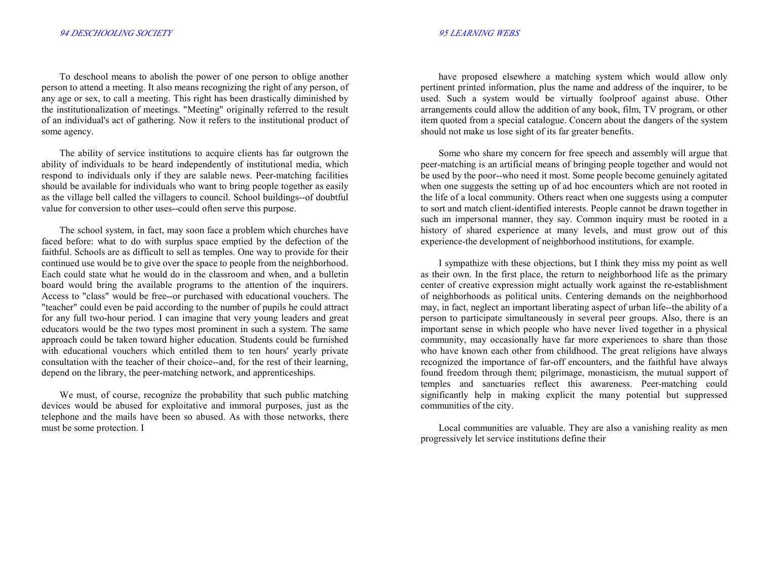To deschool means to abolish the power of one person to oblige another person to attend a meeting. It also means recognizing the right of any person, of any age or sex, to call a meeting. This right has been drastically diminished by the institutionalization of meetings. "Meeting" originally referred to the result of an individual's act of gathering. Now it refers to the institutional product of some agency.

The ability of service institutions to acquire clients has far outgrown the ability of individuals to be heard independently of institutional media, which respond to individuals only if they are salable news. Peer-matching facilities should be available for individuals who want to bring people together as easily as the village bell called the villagers to council. School buildings--of doubtful value for conversion to other uses--could often serve this purpose.

The school system, in fact, may soon face a problem which churches have faced before: what to do with surplus space emptied by the defection of the faithful. Schools are as difficult to sell as temples. One way to provide for their continued use would be to give over the space to people from the neighborhood. Each could state what he would do in the classroom and when, and a bulletin board would bring the available programs to the attention of the inquirers. Access to "class" would be free--or purchased with educational vouchers. The "teacher" could even be paid according to the number of pupils he could attract for any full two-hour period. I can imagine that very young leaders and great educators would be the two types most prominent in such a system. The same approach could be taken toward higher education. Students could be furnished with educational vouchers which entitled them to ten hours' yearly private consultation with the teacher of their choice-and, for the rest of their learning, depend on the library, the peer-matching network, and apprenticeships.

We must, of course, recognize the probability that such public matching devices would be abused for exploitative and immoral purposes, just as the telephone and the mails have been so abused. As with those networks, there must be some protection. I

have proposed elsewhere a matching system which would allow only pertinent printed information, plus the name and address of the inquirer, to be used. Such a system would be virtually foolproof against abuse. Other arrangements could allow the addition of any book, film, TV program, or other item quoted from a special catalogue. Concern about the dangers of the system should not make us lose sight of its far greater benefits.

Some who share my concern for free speech and assembly will argue that peer-matching is an artificial means of bringing people together and would not be used by the poor-who need it most. Some people become genuinely agitated when one suggests the setting up of ad hoc encounters which are not rooted in the life of a local community. Others react when one suggests using a computer to sort and match client-identified interests. People cannot be drawn together in such an impersonal manner, they say. Common inquiry must be rooted in a history of shared experience at many levels, and must grow out of this experience-the development of neighborhood institutions, for example.

I sympathize with these objections, but I think they miss my point as well as their own. In the first place, the return to neighborhood life as the primary center of creative expression might actually work against the re-establishment of neighborhoods as political units. Centering demands on the neighborhood may, in fact, neglect an important liberating aspect of urban life--the ability of a person to participate simultaneously in several peer groups. Also, there is an important sense in which people who have never lived together in a physical community, may occasionally have far more experiences to share than those who have known each other from childhood. The great religions have always recognized the importance of far-off encounters, and the faithful have always found freedom through them; pilgrimage, monasticism, the mutual support of temples and sanctuaries reflect this awareness. Peer-matching could significantly help in making explicit the many potential but suppressed communities of the city.

Local communities are valuable. They are also a vanishing reality as men progressively let service institutions define their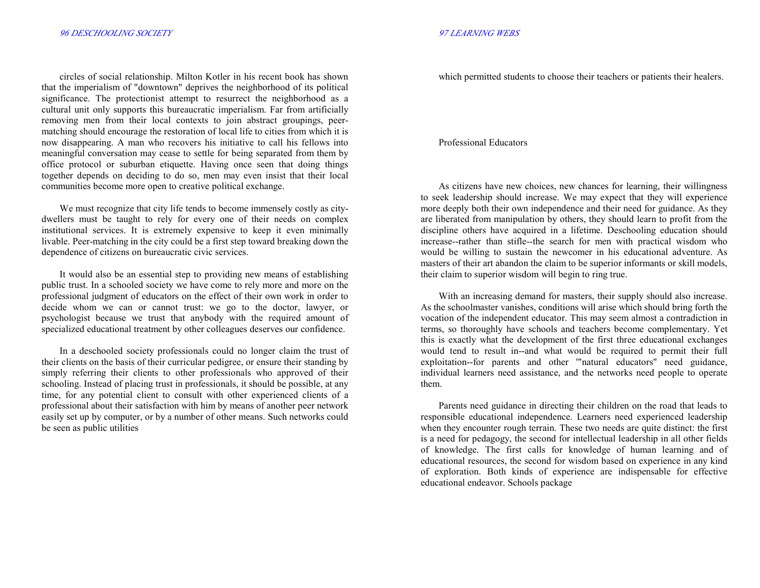which permitted students to choose their teachers or patients their healers.

circles of social relationship. Milton Kotler in his recent book has shown that the imperialism of "downtown" deprives the neighborhood of its political significance. The protectionist attempt to resurrect the neighborhood as a cultural unit only supports this bureaucratic imperialism. Far from artificially removing men from their local contexts to join abstract groupings, peermatching should encourage the restoration of local life to cities from which it is now disappearing. A man who recovers his initiative to call his fellows into meaningful conversation may cease to settle for being separated from them by office protocol or suburban etiquette. Having once seen that doing things together depends on deciding to do so, men may even insist that their local communities become more open to creative political exchange.

We must recognize that city life tends to become immensely costly as citydwellers must be taught to rely for every one of their needs on complex institutional services. It is extremely expensive to keep it even minimally livable. Peer-matching in the city could be a first step toward breaking down the dependence of citizens on bureaucratic civic services.

It would also be an essential step to providing new means of establishing public trust. In a schooled society we have come to rely more and more on the professional judgment of educators on the effect of their own work in order to decide whom we can or cannot trust: we go to the doctor, lawyer, or psychologist because we trust that anybody with the required amount of specialized educational treatment by other colleagues deserves our confidence.

In a deschooled society professionals could no longer claim the trust of their clients on the basis of their curricular pedigree, or ensure their standing by simply referring their clients to other professionals who approved of their schooling. Instead of placing trust in professionals, it should be possible, at any time, for any potential client to consult with other experienced clients of a professional about their satisfaction with him by means of another peer network easily set up by computer, or by a number of other means. Such networks could be seen as public utilities

#### **Professional Educators**

As citizens have new choices, new chances for learning, their willingness to seek leadership should increase. We may expect that they will experience more deeply both their own independence and their need for guidance. As they are liberated from manipulation by others, they should learn to profit from the discipline others have acquired in a lifetime. Deschooling education should increase--rather than stifle--the search for men with practical wisdom who would be willing to sustain the newcomer in his educational adventure. As masters of their art abandon the claim to be superior informants or skill models, their claim to superior wisdom will begin to ring true.

With an increasing demand for masters, their supply should also increase. As the schoolmaster vanishes, conditions will arise which should bring forth the vocation of the independent educator. This may seem almost a contradiction in terms, so thoroughly have schools and teachers become complementary. Yet this is exactly what the development of the first three educational exchanges would tend to result in-and what would be required to permit their full exploitation-for parents and other "natural educators" need guidance, individual learners need assistance, and the networks need people to operate them.

Parents need guidance in directing their children on the road that leads to responsible educational independence. Learners need experienced leadership when they encounter rough terrain. These two needs are quite distinct: the first is a need for pedagogy, the second for intellectual leadership in all other fields of knowledge. The first calls for knowledge of human learning and of educational resources, the second for wisdom based on experience in any kind of exploration. Both kinds of experience are indispensable for effective educational endeavor. Schools package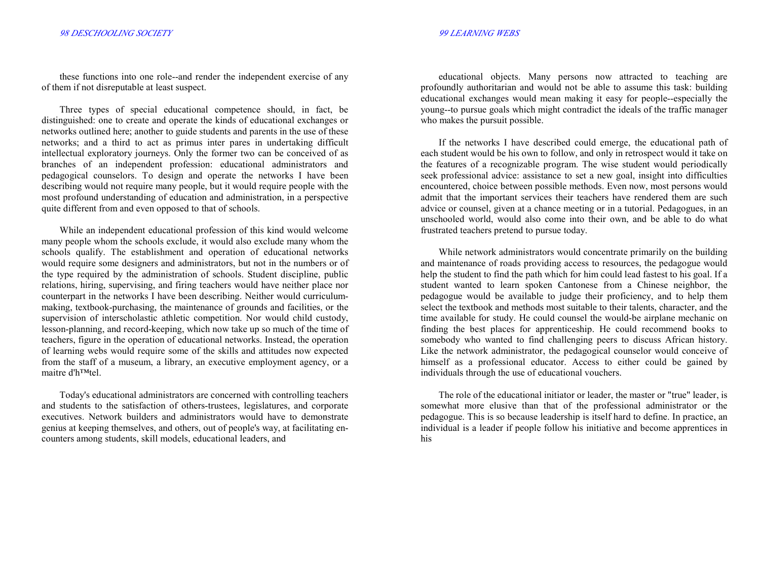these functions into one role-and render the independent exercise of any of them if not disreputable at least suspect.

Three types of special educational competence should, in fact, be distinguished: one to create and operate the kinds of educational exchanges or networks outlined here; another to guide students and parents in the use of these networks; and a third to act as primus inter pares in undertaking difficult intellectual exploratory journeys. Only the former two can be conceived of as branches of an independent profession: educational administrators and pedagogical counselors. To design and operate the networks I have been describing would not require many people, but it would require people with the most profound understanding of education and administration, in a perspective quite different from and even opposed to that of schools.

While an independent educational profession of this kind would welcome many people whom the schools exclude, it would also exclude many whom the schools qualify. The establishment and operation of educational networks would require some designers and administrators, but not in the numbers or of the type required by the administration of schools. Student discipline, public relations, hiring, supervising, and firing teachers would have neither place nor counterpart in the networks I have been describing. Neither would curriculummaking, textbook-purchasing, the maintenance of grounds and facilities, or the supervision of interscholastic athletic competition. Nor would child custody, lesson-planning, and record-keeping, which now take up so much of the time of teachers, figure in the operation of educational networks. Instead, the operation of learning webs would require some of the skills and attitudes now expected from the staff of a museum, a library, an executive employment agency, or a maitre d'h<sup>TM</sup>tel.

Today's educational administrators are concerned with controlling teachers and students to the satisfaction of others-trustees, legislatures, and corporate executives. Network builders and administrators would have to demonstrate genius at keeping themselves, and others, out of people's way, at facilitating encounters among students, skill models, educational leaders, and

educational objects. Many persons now attracted to teaching are profoundly authoritarian and would not be able to assume this task: building educational exchanges would mean making it easy for people-especially the young--to pursue goals which might contradict the ideals of the traffic manager who makes the pursuit possible.

If the networks I have described could emerge, the educational path of each student would be his own to follow, and only in retrospect would it take on the features of a recognizable program. The wise student would periodically seek professional advice: assistance to set a new goal, insight into difficulties encountered, choice between possible methods. Even now, most persons would admit that the important services their teachers have rendered them are such advice or counsel, given at a chance meeting or in a tutorial. Pedagogues, in an unschooled world, would also come into their own, and be able to do what frustrated teachers pretend to pursue today.

While network administrators would concentrate primarily on the building and maintenance of roads providing access to resources, the pedagogue would help the student to find the path which for him could lead fastest to his goal. If a student wanted to learn spoken Cantonese from a Chinese neighbor, the pedagogue would be available to judge their proficiency, and to help them select the textbook and methods most suitable to their talents, character, and the time available for study. He could counsel the would-be airplane mechanic on finding the best places for apprenticeship. He could recommend books to somebody who wanted to find challenging peers to discuss African history. Like the network administrator, the pedagogical counselor would conceive of himself as a professional educator. Access to either could be gained by individuals through the use of educational vouchers.

The role of the educational initiator or leader, the master or "true" leader, is somewhat more elusive than that of the professional administrator or the pedagogue. This is so because leadership is itself hard to define. In practice, an individual is a leader if people follow his initiative and become apprentices in his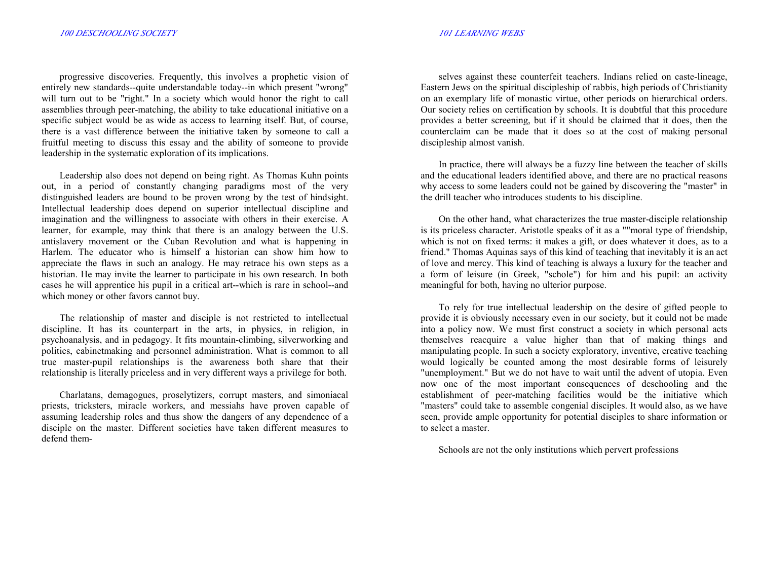progressive discoveries. Frequently, this involves a prophetic vision of entirely new standards--quite understandable today--in which present "wrong" will turn out to be "right." In a society which would honor the right to call assemblies through peer-matching, the ability to take educational initiative on a specific subject would be as wide as access to learning itself. But, of course, there is a vast difference between the initiative taken by someone to call a fruitful meeting to discuss this essay and the ability of someone to provide leadership in the systematic exploration of its implications.

Leadership also does not depend on being right. As Thomas Kuhn points out, in a period of constantly changing paradigms most of the very distinguished leaders are bound to be proven wrong by the test of hindsight. Intellectual leadership does depend on superior intellectual discipline and imagination and the willingness to associate with others in their exercise. A learner, for example, may think that there is an analogy between the U.S. antislavery movement or the Cuban Revolution and what is happening in Harlem. The educator who is himself a historian can show him how to appreciate the flaws in such an analogy. He may retrace his own steps as a historian. He may invite the learner to participate in his own research. In both cases he will apprentice his pupil in a critical art--which is rare in school--and which money or other favors cannot buy.

The relationship of master and disciple is not restricted to intellectual discipline. It has its counterpart in the arts, in physics, in religion, in psychoanalysis, and in pedagogy. It fits mountain-climbing, silverworking and politics, cabinet making and personnel administration. What is common to all true master-pupil relationships is the awareness both share that their relationship is literally priceless and in very different ways a privilege for both.

Charlatans, demagogues, proselytizers, corrupt masters, and simoniacal priests, tricksters, miracle workers, and messiahs have proven capable of assuming leadership roles and thus show the dangers of any dependence of a disciple on the master. Different societies have taken different measures to defend them-

selves against these counterfeit teachers. Indians relied on caste-lineage, Eastern Jews on the spiritual discipleship of rabbis, high periods of Christianity on an exemplary life of monastic virtue, other periods on hierarchical orders. Our society relies on certification by schools. It is doubtful that this procedure provides a better screening, but if it should be claimed that it does, then the counterclaim can be made that it does so at the cost of making personal discipleship almost vanish.

In practice, there will always be a fuzzy line between the teacher of skills and the educational leaders identified above, and there are no practical reasons why access to some leaders could not be gained by discovering the "master" in the drill teacher who introduces students to his discipline.

On the other hand, what characterizes the true master-disciple relationship is its priceless character. Aristotle speaks of it as a ""moral type of friendship, which is not on fixed terms: it makes a gift, or does whatever it does, as to a friend." Thomas Aquinas says of this kind of teaching that inevitably it is an act of love and mercy. This kind of teaching is always a luxury for the teacher and a form of leisure (in Greek, "schole") for him and his pupil: an activity meaningful for both, having no ulterior purpose.

To rely for true intellectual leadership on the desire of gifted people to provide it is obviously necessary even in our society, but it could not be made into a policy now. We must first construct a society in which personal acts themselves reacquire a value higher than that of making things and manipulating people. In such a society exploratory, inventive, creative teaching would logically be counted among the most desirable forms of leisurely "unemployment." But we do not have to wait until the advent of utopia. Even now one of the most important consequences of deschooling and the establishment of peer-matching facilities would be the initiative which "masters" could take to assemble congenial disciples. It would also, as we have seen, provide ample opportunity for potential disciples to share information or to select a master.

Schools are not the only institutions which pervert professions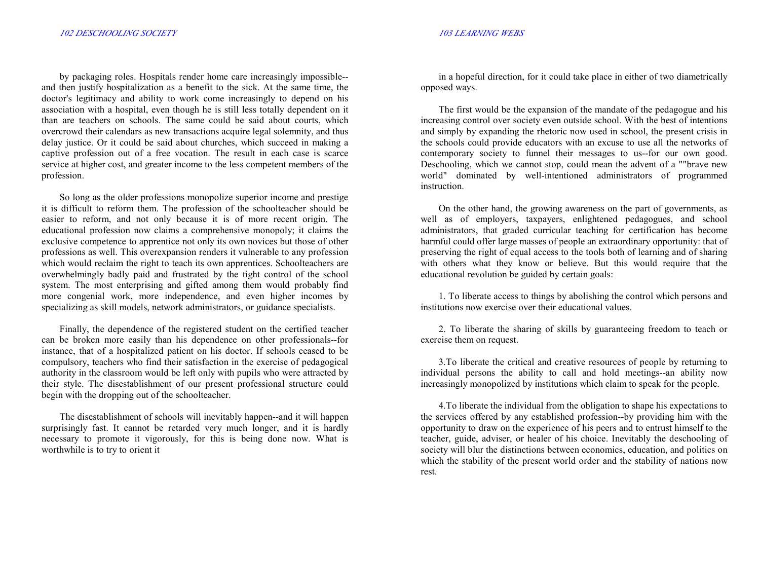by packaging roles. Hospitals render home care increasingly impossible-and then justify hospitalization as a benefit to the sick. At the same time, the doctor's legitimacy and ability to work come increasingly to depend on his association with a hospital, even though he is still less totally dependent on it than are teachers on schools. The same could be said about courts, which overcrowd their calendars as new transactions acquire legal solemnity, and thus delay justice. Or it could be said about churches, which succeed in making a captive profession out of a free vocation. The result in each case is scarce service at higher cost, and greater income to the less competent members of the profession.

So long as the older professions monopolize superior income and prestige it is difficult to reform them. The profession of the schoolteacher should be easier to reform, and not only because it is of more recent origin. The educational profession now claims a comprehensive monopoly; it claims the exclusive competence to apprentice not only its own novices but those of other professions as well. This overexpansion renders it vulnerable to any profession which would reclaim the right to teach its own apprentices. Schoolteachers are overwhelmingly badly paid and frustrated by the tight control of the school system. The most enterprising and gifted among them would probably find more congenial work, more independence, and even higher incomes by specializing as skill models, network administrators, or guidance specialists.

Finally, the dependence of the registered student on the certified teacher can be broken more easily than his dependence on other professionals--for instance, that of a hospitalized patient on his doctor. If schools ceased to be compulsory, teachers who find their satisfaction in the exercise of pedagogical authority in the classroom would be left only with pupils who were attracted by their style. The disestablishment of our present professional structure could begin with the dropping out of the schoolteacher.

The disestablishment of schools will inevitably happen--and it will happen surprisingly fast. It cannot be retarded very much longer, and it is hardly necessary to promote it vigorously, for this is being done now. What is worthwhile is to try to orient it

in a hopeful direction, for it could take place in either of two diametrically opposed ways.

The first would be the expansion of the mandate of the pedagogue and his increasing control over society even outside school. With the best of intentions and simply by expanding the rhetoric now used in school, the present crisis in the schools could provide educators with an excuse to use all the networks of contemporary society to funnel their messages to us--for our own good. Deschooling, which we cannot stop, could mean the advent of a ""brave new world" dominated by well-intentioned administrators of programmed instruction.

On the other hand, the growing awareness on the part of governments, as well as of employers, taxpayers, enlightened pedagogues, and school administrators, that graded curricular teaching for certification has become harmful could offer large masses of people an extraordinary opportunity: that of preserving the right of equal access to the tools both of learning and of sharing with others what they know or believe. But this would require that the educational revolution be guided by certain goals:

1. To liberate access to things by abolishing the control which persons and institutions now exercise over their educational values.

2. To liberate the sharing of skills by guaranteeing freedom to teach or exercise them on request.

3. To liberate the critical and creative resources of people by returning to individual persons the ability to call and hold meetings--an ability now increasingly monopolized by institutions which claim to speak for the people.

4. To liberate the individual from the obligation to shape his expectations to the services offered by any established profession--by providing him with the opportunity to draw on the experience of his peers and to entrust himself to the teacher, guide, adviser, or healer of his choice. Inevitably the deschooling of society will blur the distinctions between economics, education, and politics on which the stability of the present world order and the stability of nations now rest.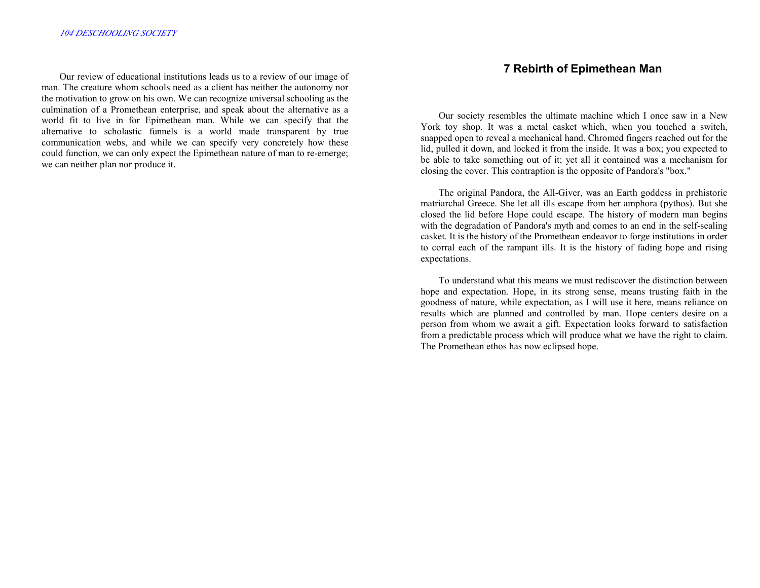Our review of educational institutions leads us to a review of our image of man. The creature whom schools need as a client has neither the autonomy nor the motivation to grow on his own. We can recognize universal schooling as the culmination of a Promethean enterprise, and speak about the alternative as a world fit to live in for Epimethean man. While we can specify that the alternative to scholastic funnels is a world made transparent by true communication webs, and while we can specify very concretely how these could function, we can only expect the Epimethean nature of man to re-emerge; we can neither plan nor produce it.

# 7 Rebirth of Epimethean Man

Our society resembles the ultimate machine which I once saw in a New York toy shop. It was a metal casket which, when you touched a switch, snapped open to reveal a mechanical hand. Chromed fingers reached out for the lid. pulled it down, and locked it from the inside. It was a box; you expected to be able to take something out of it; yet all it contained was a mechanism for closing the cover. This contraption is the opposite of Pandora's "box."

The original Pandora, the All-Giver, was an Earth goddess in prehistoric matriarchal Greece. She let all ills escape from her amphora (pythos). But she closed the lid before Hope could escape. The history of modern man begins with the degradation of Pandora's myth and comes to an end in the self-sealing casket. It is the history of the Promethean endeavor to forge institutions in order to corral each of the rampant ills. It is the history of fading hope and rising expectations.

To understand what this means we must rediscover the distinction between hope and expectation. Hope, in its strong sense, means trusting faith in the goodness of nature, while expectation, as I will use it here, means reliance on results which are planned and controlled by man. Hope centers desire on a person from whom we await a gift. Expectation looks forward to satisfaction from a predictable process which will produce what we have the right to claim. The Promethean ethos has now eclipsed hope.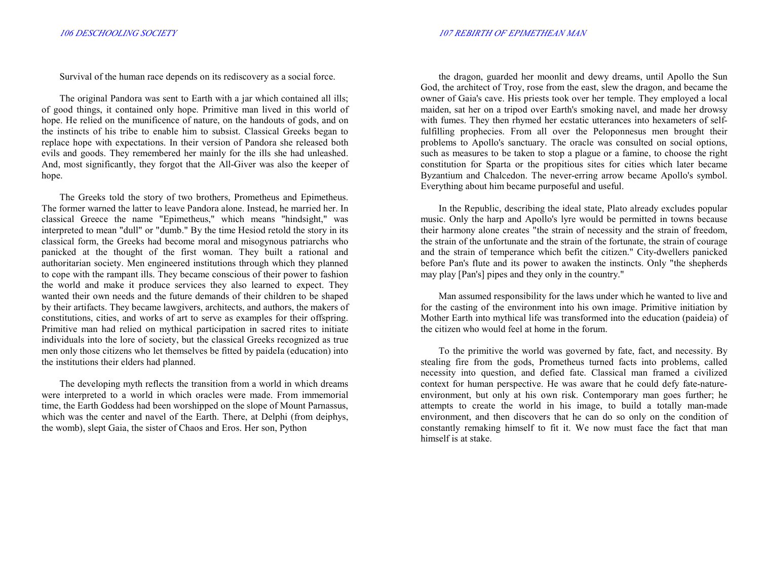Survival of the human race depends on its rediscovery as a social force.

The original Pandora was sent to Earth with a jar which contained all ills; of good things, it contained only hope. Primitive man lived in this world of hope. He relied on the munificence of nature, on the handouts of gods, and on the instincts of his tribe to enable him to subsist. Classical Greeks began to replace hope with expectations. In their version of Pandora she released both evils and goods. They remembered her mainly for the ills she had unleashed. And, most significantly, they forgot that the All-Giver was also the keeper of hope.

The Greeks told the story of two brothers, Prometheus and Epimetheus. The former warned the latter to leave Pandora alone. Instead, he married her. In classical Greece the name "Epimetheus," which means "hindsight," was interpreted to mean "dull" or "dumb." By the time Hesiod retold the story in its classical form, the Greeks had become moral and misogynous patriarchs who panicked at the thought of the first woman. They built a rational and authoritarian society. Men engineered institutions through which they planned to cope with the rampant ills. They became conscious of their power to fashion the world and make it produce services they also learned to expect. They wanted their own needs and the future demands of their children to be shaped by their artifacts. They became lawgivers, architects, and authors, the makers of constitutions, cities, and works of art to serve as examples for their offspring. Primitive man had relied on mythical participation in sacred rites to initiate individuals into the lore of society, but the classical Greeks recognized as true men only those citizens who let themselves be fitted by paidela (education) into the institutions their elders had planned.

The developing myth reflects the transition from a world in which dreams were interpreted to a world in which oracles were made. From immemorial time, the Earth Goddess had been worshipped on the slope of Mount Parnassus, which was the center and navel of the Earth. There, at Delphi (from deiphys, the womb), slept Gaia, the sister of Chaos and Eros. Her son, Python

the dragon, guarded her moonlit and dewy dreams, until Apollo the Sun God, the architect of Troy, rose from the east, slew the dragon, and became the owner of Gaia's cave. His priests took over her temple. They employed a local maiden, sat her on a tripod over Earth's smoking navel, and made her drowsy with fumes. They then rhymed her ecstatic utterances into hexameters of selffulfilling prophecies. From all over the Peloponnesus men brought their problems to Apollo's sanctuary. The oracle was consulted on social options, such as measures to be taken to stop a plague or a famine, to choose the right constitution for Sparta or the propitious sites for cities which later became Byzantium and Chalcedon. The never-erring arrow became Apollo's symbol. Everything about him became purposeful and useful.

In the Republic, describing the ideal state, Plato already excludes popular music. Only the harp and Apollo's lyre would be permitted in towns because their harmony alone creates "the strain of necessity and the strain of freedom, the strain of the unfortunate and the strain of the fortunate, the strain of courage and the strain of temperance which befit the citizen." City-dwellers panicked before Pan's flute and its power to awaken the instincts. Only "the shepherds may play [Pan's] pipes and they only in the country."

Man assumed responsibility for the laws under which he wanted to live and for the casting of the environment into his own image. Primitive initiation by Mother Earth into mythical life was transformed into the education (paideia) of the citizen who would feel at home in the forum.

To the primitive the world was governed by fate, fact, and necessity. By stealing fire from the gods, Prometheus turned facts into problems, called necessity into question, and defied fate. Classical man framed a civilized context for human perspective. He was aware that he could defy fate-natureenvironment, but only at his own risk. Contemporary man goes further; he attempts to create the world in his image, to build a totally man-made environment, and then discovers that he can do so only on the condition of constantly remaking himself to fit it. We now must face the fact that man himself is at stake.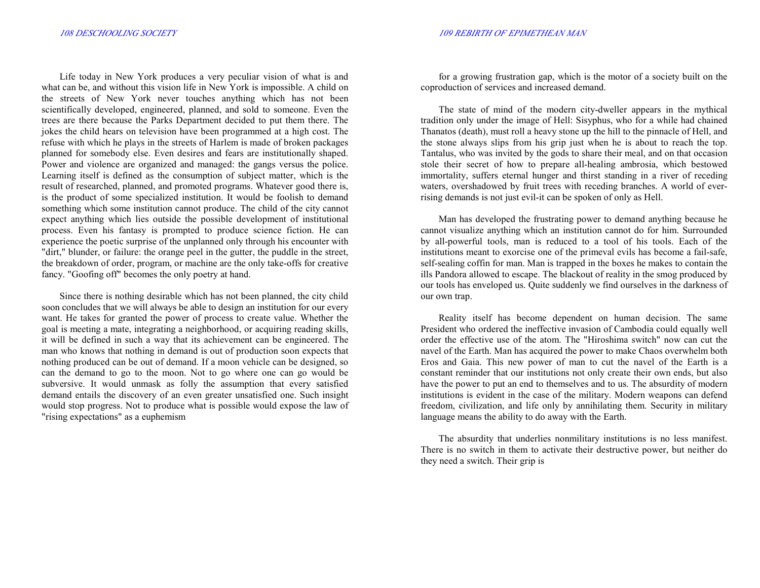Life today in New York produces a very peculiar vision of what is and what can be, and without this vision life in New York is impossible. A child on the streets of New York never touches anything which has not been scientifically developed, engineered, planned, and sold to someone. Even the trees are there because the Parks Department decided to put them there. The jokes the child hears on television have been programmed at a high cost. The refuse with which he plays in the streets of Harlem is made of broken packages planned for somebody else. Even desires and fears are institutionally shaped. Power and violence are organized and managed: the gangs versus the police. Learning itself is defined as the consumption of subject matter, which is the result of researched, planned, and promoted programs. Whatever good there is, is the product of some specialized institution. It would be foolish to demand something which some institution cannot produce. The child of the city cannot expect anything which lies outside the possible development of institutional process. Even his fantasy is prompted to produce science fiction. He can experience the poetic surprise of the unplanned only through his encounter with "dirt," blunder, or failure: the orange peel in the gutter, the puddle in the street, the breakdown of order, program, or machine are the only take-offs for creative fancy. "Goofing off" becomes the only poetry at hand.

Since there is nothing desirable which has not been planned, the city child soon concludes that we will always be able to design an institution for our every want. He takes for granted the power of process to create value. Whether the goal is meeting a mate, integrating a neighborhood, or acquiring reading skills, it will be defined in such a way that its achievement can be engineered. The man who knows that nothing in demand is out of production soon expects that nothing produced can be out of demand. If a moon vehicle can be designed, so can the demand to go to the moon. Not to go where one can go would be subversive. It would unmask as folly the assumption that every satisfied demand entails the discovery of an even greater unsatisfied one. Such insight would stop progress. Not to produce what is possible would expose the law of "rising expectations" as a euphemism

for a growing frustration gap, which is the motor of a society built on the coproduction of services and increased demand.

The state of mind of the modern city-dweller appears in the mythical tradition only under the image of Hell: Sisyphus, who for a while had chained Thanatos (death), must roll a heavy stone up the hill to the pinnacle of Hell, and the stone always slips from his grip just when he is about to reach the top. Tantalus, who was invited by the gods to share their meal, and on that occasion stole their secret of how to prepare all-healing ambrosia, which bestowed immortality, suffers eternal hunger and thirst standing in a river of receding waters, overshadowed by fruit trees with receding branches. A world of everrising demands is not just evil-it can be spoken of only as Hell.

Man has developed the frustrating power to demand anything because he cannot visualize anything which an institution cannot do for him. Surrounded by all-powerful tools, man is reduced to a tool of his tools. Each of the institutions meant to exorcise one of the primeval evils has become a fail-safe, self-sealing coffin for man. Man is trapped in the boxes he makes to contain the ills Pandora allowed to escape. The blackout of reality in the smog produced by our tools has enveloped us. Ouite suddenly we find ourselves in the darkness of our own trap.

Reality itself has become dependent on human decision. The same President who ordered the ineffective invasion of Cambodia could equally well order the effective use of the atom. The "Hiroshima switch" now can cut the navel of the Earth. Man has acquired the power to make Chaos overwhelm both Eros and Gaia. This new power of man to cut the navel of the Earth is a constant reminder that our institutions not only create their own ends, but also have the power to put an end to themselves and to us. The absurdity of modern institutions is evident in the case of the military. Modern weapons can defend freedom, civilization, and life only by annihilating them. Security in military language means the ability to do away with the Earth.

The absurdity that underlies nonmilitary institutions is no less manifest. There is no switch in them to activate their destructive power, but neither do they need a switch. Their grip is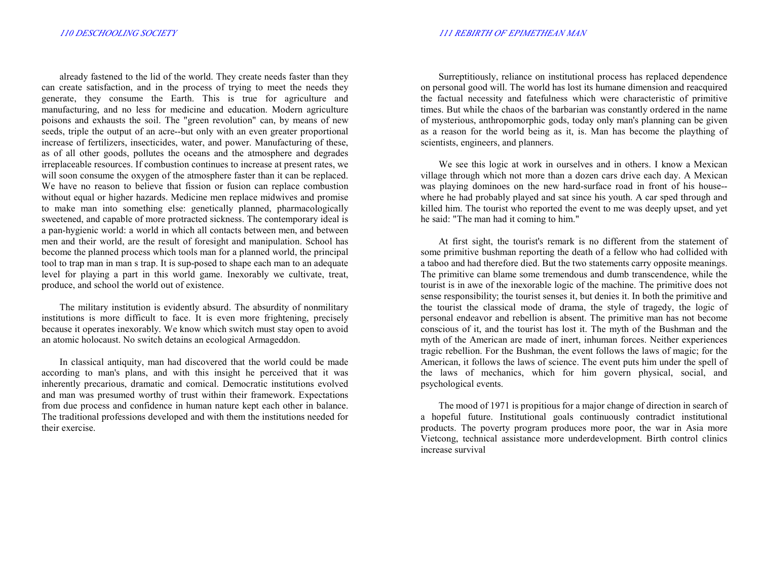already fastened to the lid of the world. They create needs faster than they can create satisfaction, and in the process of trying to meet the needs they generate, they consume the Earth. This is true for agriculture and manufacturing, and no less for medicine and education. Modern agriculture poisons and exhausts the soil. The "green revolution" can, by means of new seeds, triple the output of an acre-but only with an even greater proportional increase of fertilizers, insecticides, water, and power. Manufacturing of these, as of all other goods, pollutes the oceans and the atmosphere and degrades irreplaceable resources. If combustion continues to increase at present rates, we will soon consume the oxygen of the atmosphere faster than it can be replaced. We have no reason to believe that fission or fusion can replace combustion without equal or higher hazards. Medicine men replace midwives and promise to make man into something else: genetically planned, pharmacologically sweetened, and capable of more protracted sickness. The contemporary ideal is a pan-hygienic world: a world in which all contacts between men, and between men and their world, are the result of foresight and manipulation. School has become the planned process which tools man for a planned world, the principal tool to trap man in man s trap. It is sup-posed to shape each man to an adequate level for playing a part in this world game. Inexorably we cultivate, treat, produce, and school the world out of existence.

The military institution is evidently absurd. The absurdity of nonmilitary institutions is more difficult to face. It is even more frightening, precisely because it operates inexorably. We know which switch must stay open to avoid an atomic holocaust. No switch detains an ecological Armageddon.

In classical antiquity, man had discovered that the world could be made according to man's plans, and with this insight he perceived that it was inherently precarious, dramatic and comical. Democratic institutions evolved and man was presumed worthy of trust within their framework. Expectations from due process and confidence in human nature kept each other in balance. The traditional professions developed and with them the institutions needed for their exercise.

Surreptitiously, reliance on institutional process has replaced dependence on personal good will. The world has lost its humane dimension and reacquired the factual necessity and fatefulness which were characteristic of primitive times. But while the chaos of the barbarian was constantly ordered in the name of mysterious, anthropomorphic gods, today only man's planning can be given as a reason for the world being as it, is. Man has become the plaything of scientists, engineers, and planners.

We see this logic at work in ourselves and in others. I know a Mexican village through which not more than a dozen cars drive each day. A Mexican was playing dominoes on the new hard-surface road in front of his house-where he had probably played and sat since his youth. A car sped through and killed him. The tourist who reported the event to me was deeply upset, and yet he said: "The man had it coming to him."

At first sight, the tourist's remark is no different from the statement of some primitive bushman reporting the death of a fellow who had collided with a taboo and had therefore died. But the two statements carry opposite meanings. The primitive can blame some tremendous and dumb transcendence, while the tourist is in awe of the inexorable logic of the machine. The primitive does not sense responsibility; the tourist senses it, but denies it. In both the primitive and the tourist the classical mode of drama, the style of tragedy, the logic of personal endeavor and rebellion is absent. The primitive man has not become conscious of it, and the tourist has lost it. The myth of the Bushman and the myth of the American are made of inert, inhuman forces. Neither experiences tragic rebellion. For the Bushman, the event follows the laws of magic; for the American, it follows the laws of science. The event puts him under the spell of the laws of mechanics, which for him govern physical, social, and psychological events.

The mood of 1971 is propitious for a major change of direction in search of a hopeful future. Institutional goals continuously contradict institutional products. The poverty program produces more poor, the war in Asia more Vietcong, technical assistance more underdevelopment. Birth control clinics increase survival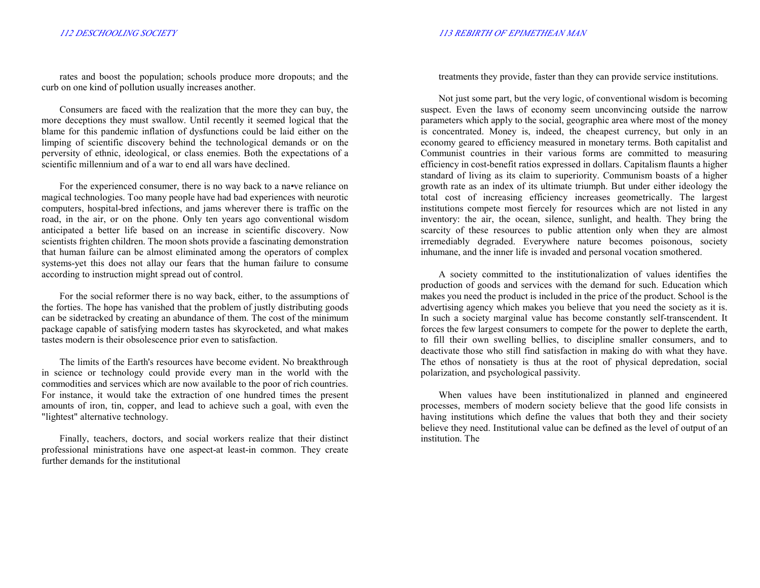rates and boost the population; schools produce more dropouts; and the curb on one kind of pollution usually increases another.

Consumers are faced with the realization that the more they can buy, the more deceptions they must swallow. Until recently it seemed logical that the blame for this pandemic inflation of dysfunctions could be laid either on the limping of scientific discovery behind the technological demands or on the perversity of ethnic, ideological, or class enemies. Both the expectations of a scientific millennium and of a war to end all wars have declined.

For the experienced consumer, there is no way back to a na•ve reliance on magical technologies. Too many people have had bad experiences with neurotic computers, hospital-bred infections, and jams wherever there is traffic on the road, in the air, or on the phone. Only ten years ago conventional wisdom anticipated a better life based on an increase in scientific discovery. Now scientists frighten children. The moon shots provide a fascinating demonstration that human failure can be almost eliminated among the operators of complex systems-yet this does not allay our fears that the human failure to consume according to instruction might spread out of control.

For the social reformer there is no way back, either, to the assumptions of the forties. The hope has vanished that the problem of justly distributing goods can be sidetracked by creating an abundance of them. The cost of the minimum package capable of satisfying modern tastes has skyrocketed, and what makes tastes modern is their obsolescence prior even to satisfaction.

The limits of the Earth's resources have become evident. No breakthrough in science or technology could provide every man in the world with the commodities and services which are now available to the poor of rich countries. For instance, it would take the extraction of one hundred times the present amounts of iron, tin, copper, and lead to achieve such a goal, with even the "lightest" alternative technology.

Finally, teachers, doctors, and social workers realize that their distinct professional ministrations have one aspect-at least-in common. They create further demands for the institutional

treatments they provide, faster than they can provide service institutions.

Not just some part, but the very logic, of conventional wisdom is becoming suspect. Even the laws of economy seem unconvincing outside the narrow parameters which apply to the social, geographic area where most of the money is concentrated. Money is, indeed, the cheapest currency, but only in an economy geared to efficiency measured in monetary terms. Both capitalist and Communist countries in their various forms are committed to measuring efficiency in cost-benefit ratios expressed in dollars. Capitalism flaunts a higher standard of living as its claim to superiority. Communism boasts of a higher growth rate as an index of its ultimate triumph. But under either ideology the total cost of increasing efficiency increases geometrically. The largest institutions compete most fiercely for resources which are not listed in any inventory: the air, the ocean, silence, sunlight, and health. They bring the scarcity of these resources to public attention only when they are almost irremediably degraded. Everywhere nature becomes poisonous, society inhumane, and the inner life is invaded and personal vocation smothered.

A society committed to the institutionalization of values identifies the production of goods and services with the demand for such. Education which makes you need the product is included in the price of the product. School is the advertising agency which makes you believe that you need the society as it is. In such a society marginal value has become constantly self-transcendent. It forces the few largest consumers to compete for the power to deplete the earth, to fill their own swelling bellies, to discipline smaller consumers, and to deactivate those who still find satisfaction in making do with what they have. The ethos of nonsatiety is thus at the root of physical depredation, social polarization, and psychological passivity.

When values have been institutionalized in planned and engineered processes, members of modern society believe that the good life consists in having institutions which define the values that both they and their society believe they need. Institutional value can be defined as the level of output of an institution. The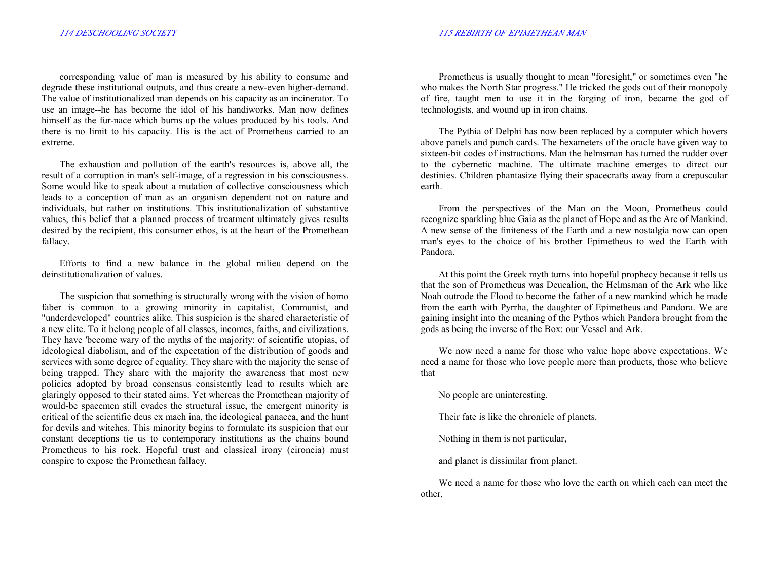corresponding value of man is measured by his ability to consume and degrade these institutional outputs, and thus create a new-even higher-demand. The value of institutionalized man depends on his capacity as an incinerator. To use an image-he has become the idol of his handiworks. Man now defines himself as the fur-nace which burns up the values produced by his tools. And there is no limit to his capacity. His is the act of Prometheus carried to an extreme

The exhaustion and pollution of the earth's resources is, above all, the result of a corruption in man's self-image, of a regression in his consciousness. Some would like to speak about a mutation of collective consciousness which leads to a conception of man as an organism dependent not on nature and individuals, but rather on institutions. This institutionalization of substantive values, this belief that a planned process of treatment ultimately gives results desired by the recipient, this consumer ethos, is at the heart of the Promethean fallacy.

Efforts to find a new balance in the global milieu depend on the deinstitutionalization of values.

The suspicion that something is structurally wrong with the vision of homo faber is common to a growing minority in capitalist, Communist, and "underdeveloped" countries alike. This suspicion is the shared characteristic of a new elite. To it belong people of all classes, incomes, faiths, and civilizations. They have 'become wary of the myths of the majority: of scientific utopias, of ideological diabolism, and of the expectation of the distribution of goods and services with some degree of equality. They share with the majority the sense of being trapped. They share with the majority the awareness that most new policies adopted by broad consensus consistently lead to results which are glaringly opposed to their stated aims. Yet whereas the Promethean majority of would-be spacemen still evades the structural issue, the emergent minority is critical of the scientific deus ex mach ina, the ideological panacea, and the hunt for devils and witches. This minority begins to formulate its suspicion that our constant deceptions tie us to contemporary institutions as the chains bound Prometheus to his rock. Hopeful trust and classical irony (eironeia) must conspire to expose the Promethean fallacy.

Prometheus is usually thought to mean "foresight," or sometimes even "he who makes the North Star progress." He tricked the gods out of their monopoly of fire, taught men to use it in the forging of iron, became the god of technologists, and wound up in iron chains.

The Pythia of Delphi has now been replaced by a computer which hovers above panels and punch cards. The hexameters of the oracle have given way to sixteen-bit codes of instructions. Man the helmsman has turned the rudder over to the cybernetic machine. The ultimate machine emerges to direct our destinies. Children phantasize flying their spacecrafts away from a crepuscular earth.

From the perspectives of the Man on the Moon, Prometheus could recognize sparkling blue Gaia as the planet of Hope and as the Arc of Mankind. A new sense of the finiteness of the Earth and a new nostalgia now can open man's eyes to the choice of his brother Epimetheus to wed the Earth with Pandora.

At this point the Greek myth turns into hopeful prophecy because it tells us that the son of Prometheus was Deucalion, the Helmsman of the Ark who like Noah outrode the Flood to become the father of a new mankind which he made from the earth with Pyrrha, the daughter of Epimetheus and Pandora. We are gaining insight into the meaning of the Pythos which Pandora brought from the gods as being the inverse of the Box: our Vessel and Ark.

We now need a name for those who value hope above expectations. We need a name for those who love people more than products, those who believe that

No people are uninteresting.

Their fate is like the chronicle of planets.

Nothing in them is not particular,

and planet is dissimilar from planet.

We need a name for those who love the earth on which each can meet the other.